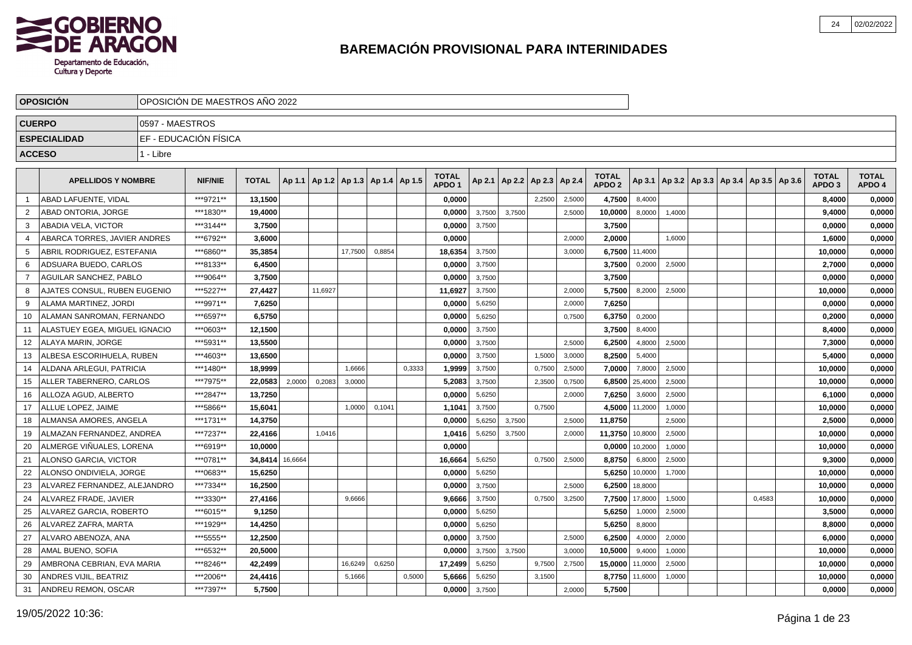

|                | <b>OPOSICION</b>              |                 | OPOSICION DE MAESTROS ANO 2022 |              |         |         |                                   |        |        |                                   |        |        |                          |        |                                   |         |                                                     |  |        |                                   |                        |
|----------------|-------------------------------|-----------------|--------------------------------|--------------|---------|---------|-----------------------------------|--------|--------|-----------------------------------|--------|--------|--------------------------|--------|-----------------------------------|---------|-----------------------------------------------------|--|--------|-----------------------------------|------------------------|
|                | <b>CUERPO</b>                 | 0597 - MAESTROS |                                |              |         |         |                                   |        |        |                                   |        |        |                          |        |                                   |         |                                                     |  |        |                                   |                        |
|                | <b>ESPECIALIDAD</b>           |                 | EF - EDUCACIÓN FÍSICA          |              |         |         |                                   |        |        |                                   |        |        |                          |        |                                   |         |                                                     |  |        |                                   |                        |
|                | <b>ACCESO</b>                 | 1 - Libre       |                                |              |         |         |                                   |        |        |                                   |        |        |                          |        |                                   |         |                                                     |  |        |                                   |                        |
|                |                               |                 |                                |              |         |         |                                   |        |        |                                   |        |        |                          |        |                                   |         |                                                     |  |        |                                   |                        |
|                | <b>APELLIDOS Y NOMBRE</b>     |                 | <b>NIF/NIE</b>                 | <b>TOTAL</b> | Ap 1.1  |         | Ap 1.2   Ap 1.3   Ap 1.4   Ap 1.5 |        |        | <b>TOTAL</b><br>APDO <sub>1</sub> | Ap 2.1 |        | Ap 2.2   Ap 2.3   Ap 2.4 |        | <b>TOTAL</b><br>APDO <sub>2</sub> |         | Ap 3.1   Ap 3.2   Ap 3.3   Ap 3.4   Ap 3.5   Ap 3.6 |  |        | <b>TOTAL</b><br>APDO <sub>3</sub> | <b>TOTAL</b><br>APDO 4 |
|                | ABAD LAFUENTE, VIDAL          |                 | ***9721**                      | 13,1500      |         |         |                                   |        |        | 0,0000                            |        |        | 2,2500                   | 2,5000 | 4,7500                            | 8,4000  |                                                     |  |        | 8,4000                            | 0,0000                 |
| $\overline{2}$ | ABAD ONTORIA, JORGE           |                 | ***1830**                      | 19,4000      |         |         |                                   |        |        | 0,0000                            | 3,7500 | 3,7500 |                          | 2,5000 | 10,0000                           | 8,0000  | 1,4000                                              |  |        | 9,4000                            | 0,0000                 |
| -3             | ABADIA VELA, VICTOR           |                 | ***3144**                      | 3,7500       |         |         |                                   |        |        | 0.0000                            | 3,7500 |        |                          |        | 3,7500                            |         |                                                     |  |        | 0.0000                            | 0,0000                 |
| $\overline{4}$ | ABARCA TORRES, JAVIER ANDRES  |                 | ***6792**                      | 3,6000       |         |         |                                   |        |        | 0,0000                            |        |        |                          | 2.0000 | 2,0000                            |         | 1.6000                                              |  |        | 1,6000                            | 0,0000                 |
| -5             | ABRIL RODRIGUEZ, ESTEFANIA    |                 | ***6860**                      | 35,3854      |         |         | 17,7500                           | 0,8854 |        | 18,6354                           | 3,7500 |        |                          | 3,0000 | 6,7500                            | 11,4000 |                                                     |  |        | 10,0000                           | 0,0000                 |
| 6              | ADSUARA BUEDO, CARLOS         |                 | ***8133**                      | 6,4500       |         |         |                                   |        |        | 0,0000                            | 3,7500 |        |                          |        | 3,7500                            | 0,2000  | 2,5000                                              |  |        | 2,7000                            | 0,0000                 |
| $\overline{7}$ | <b>AGUILAR SANCHEZ, PABLO</b> |                 | ***9064**                      | 3,7500       |         |         |                                   |        |        | 0,0000                            | 3,7500 |        |                          |        | 3,7500                            |         |                                                     |  |        | 0,0000                            | 0,0000                 |
| 8              | AJATES CONSUL, RUBEN EUGENIO  |                 | ***5227**                      | 27,4427      |         | 11,6927 |                                   |        |        | 11,6927                           | 3,7500 |        |                          | 2,0000 | 5,7500                            | 8,2000  | 2,5000                                              |  |        | 10,0000                           | 0,0000                 |
| 9              | ALAMA MARTINEZ, JORDI         |                 | ***9971**                      | 7,6250       |         |         |                                   |        |        | 0,0000                            | 5,6250 |        |                          | 2,0000 | 7,6250                            |         |                                                     |  |        | 0,0000                            | 0,0000                 |
| 10             | ALAMAN SANROMAN, FERNANDO     |                 | ***6597**                      | 6,5750       |         |         |                                   |        |        | 0,0000                            | 5,6250 |        |                          | 0,7500 | 6,3750                            | 0,2000  |                                                     |  |        | 0,2000                            | 0,0000                 |
| 11             | ALASTUEY EGEA, MIGUEL IGNACIO |                 | ***0603**                      | 12,1500      |         |         |                                   |        |        | 0,0000                            | 3,7500 |        |                          |        | 3,7500                            | 8,4000  |                                                     |  |        | 8,4000                            | 0,0000                 |
| 12             | <b>ALAYA MARIN, JORGE</b>     |                 | ***5931**                      | 13,5500      |         |         |                                   |        |        | 0,0000                            | 3,7500 |        |                          | 2,5000 | 6,2500                            | 4,8000  | 2,5000                                              |  |        | 7,3000                            | 0,0000                 |
| 13             | ALBESA ESCORIHUELA. RUBEN     |                 | ***4603**                      | 13,6500      |         |         |                                   |        |        | 0,0000                            | 3,7500 |        | 1,5000                   | 3,0000 | 8,2500                            | 5,4000  |                                                     |  |        | 5,4000                            | 0,0000                 |
| 14             | ALDANA ARLEGUI, PATRICIA      |                 | ***1480**                      | 18,9999      |         |         | 1,6666                            |        | 0,3333 | 1,9999                            | 3,7500 |        | 0,7500                   | 2,5000 | 7,0000                            | 7,8000  | 2,5000                                              |  |        | 10,0000                           | 0,0000                 |
| 15             | ALLER TABERNERO, CARLOS       |                 | ***7975**                      | 22,0583      | 2,0000  | 0,2083  | 3,0000                            |        |        | 5,2083                            | 3,7500 |        | 2,3500                   | 0,7500 | 6,8500                            | 25,4000 | 2,5000                                              |  |        | 10,0000                           | 0,0000                 |
| 16             | ALLOZA AGUD, ALBERTO          |                 | ***2847**                      | 13,7250      |         |         |                                   |        |        | 0,0000                            | 5,6250 |        |                          | 2,0000 | 7,6250                            | 3,6000  | 2,5000                                              |  |        | 6,1000                            | 0,0000                 |
| 17             | ALLUE LOPEZ. JAIME            |                 | ***5866**                      | 15,6041      |         |         | 1,0000                            | 0,1041 |        | 1,104'                            | 3,7500 |        | 0,7500                   |        | 4,5000                            | 11,2000 | 1,0000                                              |  |        | 10,0000                           | 0,0000                 |
| 18             | ALMANSA AMORES, ANGELA        |                 | ***1731**                      | 14,3750      |         |         |                                   |        |        | 0,0000                            | 5,6250 | 3,7500 |                          | 2,5000 | 11,8750                           |         | 2,5000                                              |  |        | 2,5000                            | 0,0000                 |
| 19             | ALMAZAN FERNANDEZ, ANDREA     |                 | ***7237**                      | 22,4166      |         | 1,0416  |                                   |        |        | 1,0416                            | 5,6250 | 3,7500 |                          | 2,0000 | 11,3750                           | 10,8000 | 2,5000                                              |  |        | 10,0000                           | 0,0000                 |
| 20             | ALMERGE VIÑUALES. LORENA      |                 | ***6919**                      | 10.0000      |         |         |                                   |        |        | 0.0000                            |        |        |                          |        | 0.0000                            | 10,2000 | 1,0000                                              |  |        | 10.0000                           | 0,0000                 |
| 21             | ALONSO GARCIA, VICTOR         |                 | ***0781**                      | 34,8414      | 16,6664 |         |                                   |        |        | 16,6664                           | 5,6250 |        | 0,7500                   | 2,5000 | 8,8750                            | 6,8000  | 2,5000                                              |  |        | 9,3000                            | 0,0000                 |
| 22             | ALONSO ONDIVIELA, JORGE       |                 | ***0683**                      | 15,6250      |         |         |                                   |        |        | 0,0000                            | 5,6250 |        |                          |        | 5,6250                            | 10,0000 | 1,7000                                              |  |        | 10,0000                           | 0,0000                 |
| 23             | ALVAREZ FERNANDEZ, ALEJANDRO  |                 | ***7334**                      | 16,2500      |         |         |                                   |        |        | 0,0000                            | 3,7500 |        |                          | 2,5000 | 6,2500                            | 18,8000 |                                                     |  |        | 10,0000                           | 0,0000                 |
| 24             | ALVAREZ FRADE, JAVIER         |                 | ***3330**                      | 27,4166      |         |         | 9,6666                            |        |        | 9,6666                            | 3,7500 |        | 0,7500                   | 3,2500 | 7,7500                            | 17,8000 | 1,5000                                              |  | 0,4583 | 10,0000                           | 0,0000                 |
| 25             | ALVAREZ GARCIA, ROBERTO       |                 | ***6015**                      | 9,1250       |         |         |                                   |        |        | 0,0000                            | 5,6250 |        |                          |        | 5,6250                            | 1,0000  | 2,5000                                              |  |        | 3,5000                            | 0,0000                 |
| 26             | ALVAREZ ZAFRA, MARTA          |                 | ***1929**                      | 14,4250      |         |         |                                   |        |        | 0,0000                            | 5,6250 |        |                          |        | 5,6250                            | 8,8000  |                                                     |  |        | 8,8000                            | 0,0000                 |
| 27             | ALVARO ABENOZA, ANA           |                 | ***5555**                      | 12,2500      |         |         |                                   |        |        | 0,0000                            | 3,7500 |        |                          | 2,5000 | 6,2500                            | 4,0000  | 2,0000                                              |  |        | 6,0000                            | 0,0000                 |
| 28             | <b>AMAL BUENO, SOFIA</b>      |                 | ***6532**                      | 20,5000      |         |         |                                   |        |        | 0.0000                            | 3,7500 | 3.7500 |                          | 3.0000 | 10,5000                           | 9,4000  | 1,0000                                              |  |        | 10.0000                           | 0,0000                 |
| 29             | AMBRONA CEBRIAN, EVA MARIA    |                 | ***8246**                      | 42,2499      |         |         | 16,6249                           | 0.6250 |        | 17,2499                           | 5,6250 |        | 9,7500                   | 2,7500 | 15,0000                           | 11,0000 | 2,5000                                              |  |        | 10,0000                           | 0,0000                 |
| 30             | <b>ANDRES VIJIL, BEATRIZ</b>  |                 | ***2006**                      | 24,4416      |         |         | 5,1666                            |        | 0,5000 | 5,6666                            | 5,6250 |        | 3,1500                   |        | 8,7750                            | 11,6000 | 1,0000                                              |  |        | 10,0000                           | 0,0000                 |
| 31             | <b>ANDREU REMON, OSCAR</b>    |                 | ***7397**                      | 5,7500       |         |         |                                   |        |        | 0,0000                            | 3,7500 |        |                          | 2,0000 | 5,7500                            |         |                                                     |  |        | 0.0000                            | 0,0000                 |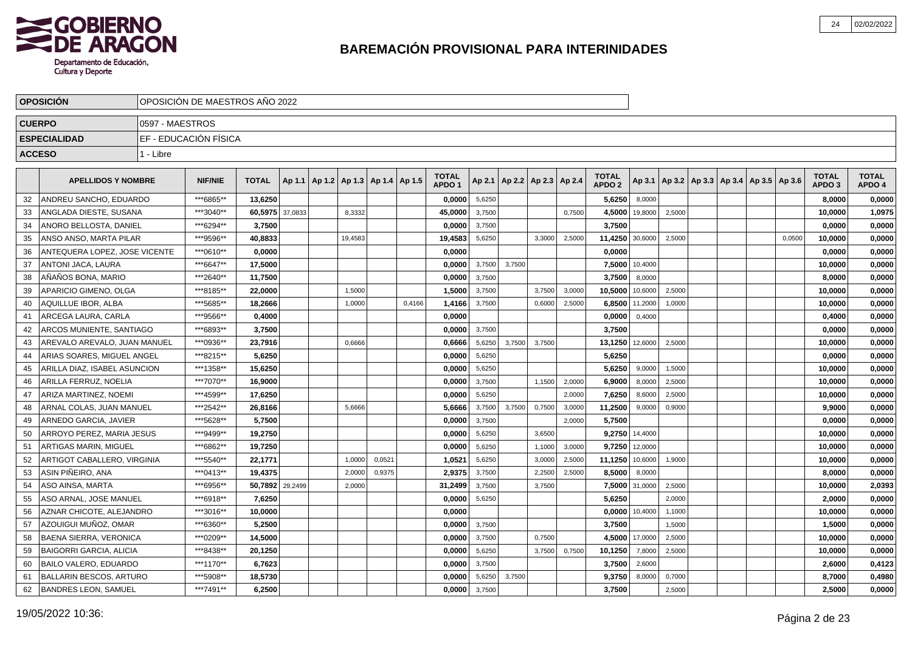

|               | <b>OPOSICION</b>               |                 | OPOSICION DE MAESTROS ANO 2022 |              |         |                                   |         |        |        |                                   |        |        |                          |        |                                   |         |                                            |  |        |                                   |                        |
|---------------|--------------------------------|-----------------|--------------------------------|--------------|---------|-----------------------------------|---------|--------|--------|-----------------------------------|--------|--------|--------------------------|--------|-----------------------------------|---------|--------------------------------------------|--|--------|-----------------------------------|------------------------|
| <b>CUERPO</b> |                                | 0597 - MAESTROS |                                |              |         |                                   |         |        |        |                                   |        |        |                          |        |                                   |         |                                            |  |        |                                   |                        |
|               | <b>ESPECIALIDAD</b>            |                 | EF - EDUCACIÓN FÍSICA          |              |         |                                   |         |        |        |                                   |        |        |                          |        |                                   |         |                                            |  |        |                                   |                        |
|               | <b>ACCESO</b>                  | 1 - Libre       |                                |              |         |                                   |         |        |        |                                   |        |        |                          |        |                                   |         |                                            |  |        |                                   |                        |
|               |                                |                 |                                |              |         |                                   |         |        |        |                                   |        |        |                          |        |                                   |         |                                            |  |        |                                   |                        |
|               | <b>APELLIDOS Y NOMBRE</b>      |                 | <b>NIF/NIE</b>                 | <b>TOTAL</b> | Ap 1.1  | Ap 1.2   Ap 1.3   Ap 1.4   Ap 1.5 |         |        |        | <b>TOTAL</b><br>APDO <sub>1</sub> | Ap 2.1 |        | Ap 2.2   Ap 2.3   Ap 2.4 |        | <b>TOTAL</b><br>APDO <sub>2</sub> | Ap 3.1  | Ap 3.2   Ap 3.3   Ap 3.4   Ap 3.5   Ap 3.6 |  |        | <b>TOTAL</b><br>APDO <sub>3</sub> | <b>TOTAL</b><br>APDO 4 |
| 32            | ANDREU SANCHO, EDUARDO         |                 | ***6865**                      | 13,6250      |         |                                   |         |        |        | 0,0000                            | 5,6250 |        |                          |        | 5,6250                            | 8,0000  |                                            |  |        | 8,0000                            | 0,0000                 |
| 33            | ANGLADA DIESTE, SUSANA         |                 | ***3040**                      | 60,5975      | 37,0833 |                                   | 8,3332  |        |        | 45,0000                           | 3,7500 |        |                          | 0.7500 | 4,5000                            | 19,8000 | 2,5000                                     |  |        | 10,0000                           | 1,0975                 |
| 34            | ANORO BELLOSTA, DANIEL         |                 | ***6294**                      | 3,7500       |         |                                   |         |        |        | 0,0000                            | 3,7500 |        |                          |        | 3,7500                            |         |                                            |  |        | 0,0000                            | 0,0000                 |
| 35            | ANSO ANSO, MARTA PILAR         |                 | ***9596**                      | 40.8833      |         |                                   | 19,4583 |        |        | 19,4583                           | 5,6250 |        | 3,3000                   | 2,5000 | 11,4250                           | 30,6000 | 2,5000                                     |  | 0,0500 | 10,0000                           | 0,0000                 |
| 36            | ANTEQUERA LOPEZ. JOSE VICENTE  |                 | ***0610**                      | 0.0000       |         |                                   |         |        |        | 0.0000                            |        |        |                          |        | 0.0000                            |         |                                            |  |        | 0,0000                            | 0,0000                 |
| 37            | <b>ANTONI JACA, LAURA</b>      |                 | ***6647**                      | 17,5000      |         |                                   |         |        |        | 0,0000                            | 3,7500 | 3,7500 |                          |        | 7,5000                            | 10,4000 |                                            |  |        | 10,0000                           | 0,0000                 |
| 38            | AÑAÑOS BONA, MARIO             |                 | ***2640**                      | 11,7500      |         |                                   |         |        |        | 0,0000                            | 3,7500 |        |                          |        | 3,7500                            | 8,0000  |                                            |  |        | 8,0000                            | 0,0000                 |
| 39            | APARICIO GIMENO, OLGA          |                 | ***8185**                      | 22,0000      |         |                                   | 1,5000  |        |        | 1,5000                            | 3,7500 |        | 3,7500                   | 3,0000 | 10,5000                           | 10,6000 | 2,5000                                     |  |        | 10,0000                           | 0,0000                 |
| 40            | AQUILLUE IBOR. ALBA            |                 | ***5685**                      | 18.2666      |         |                                   | 1,0000  |        | 0,4166 | 1,4166                            | 3,7500 |        | 0,6000                   | 2,5000 | 6,8500                            | 11,2000 | 1,0000                                     |  |        | 10,0000                           | 0,0000                 |
| 41            | ARCEGA LAURA, CARLA            |                 | ***9566**                      | 0,4000       |         |                                   |         |        |        | 0,0000                            |        |        |                          |        | 0,0000                            | 0,4000  |                                            |  |        | 0,4000                            | 0,0000                 |
| 42            | ARCOS MUNIENTE, SANTIAGO       |                 | ***6893**                      | 3,7500       |         |                                   |         |        |        | 0,0000                            | 3,7500 |        |                          |        | 3,7500                            |         |                                            |  |        | 0,0000                            | 0,0000                 |
| 43            | AREVALO AREVALO, JUAN MANUEL   |                 | ***0936**                      | 23,7916      |         |                                   | 0,6666  |        |        | 0,6666                            | 5,6250 | 3,7500 | 3,7500                   |        | 13,1250                           | 12,6000 | 2,5000                                     |  |        | 10,0000                           | 0,0000                 |
| 44            | ARIAS SOARES, MIGUEL ANGEL     |                 | ***8215**                      | 5,6250       |         |                                   |         |        |        | 0,0000                            | 5,6250 |        |                          |        | 5,6250                            |         |                                            |  |        | 0,0000                            | 0,0000                 |
| 45            | ARILLA DIAZ, ISABEL ASUNCION   |                 | ***1358**                      | 15,6250      |         |                                   |         |        |        | 0,0000                            | 5,6250 |        |                          |        | 5,6250                            | 9.0000  | 1,5000                                     |  |        | 10,0000                           | 0,0000                 |
| 46            | ARILLA FERRUZ. NOELIA          |                 | ***7070**                      | 16.9000      |         |                                   |         |        |        | 0,0000                            | 3,7500 |        | 1,1500                   | 2,0000 | 6,9000                            | 8,0000  | 2,5000                                     |  |        | 10,0000                           | 0,0000                 |
| 47            | ARIZA MARTINEZ, NOEMI          |                 | ***4599**                      | 17,6250      |         |                                   |         |        |        | 0,0000                            | 5,6250 |        |                          | 2.0000 | 7,6250                            | 8,6000  | 2,5000                                     |  |        | 10,0000                           | 0,0000                 |
| 48            | ARNAL COLAS, JUAN MANUEL       |                 | ***2542**                      | 26,8166      |         |                                   | 5,6666  |        |        | 5,6666                            | 3,7500 | 3,7500 | 0,7500                   | 3,0000 | 11,2500                           | 9,0000  | 0,9000                                     |  |        | 9,9000                            | 0,0000                 |
| 49            | ARNEDO GARCIA, JAVIER          |                 | ***5628**                      | 5,7500       |         |                                   |         |        |        | 0,0000                            | 3,7500 |        |                          | 2,0000 | 5,7500                            |         |                                            |  |        | 0,0000                            | 0,0000                 |
| 50            | ARROYO PEREZ. MARIA JESUS      |                 | ***9499**                      | 19,2750      |         |                                   |         |        |        | 0,0000                            | 5,6250 |        | 3,6500                   |        | 9,2750                            | 14,4000 |                                            |  |        | 10,0000                           | 0,0000                 |
| 51            | ARTIGAS MARIN, MIGUEL          |                 | ***6862**                      | 19,7250      |         |                                   |         |        |        | 0,0000                            | 5,6250 |        | 1,1000                   | 3,0000 | 9,7250                            | 12,0000 |                                            |  |        | 10,0000                           | 0,0000                 |
| 52            | ARTIGOT CABALLERO, VIRGINIA    |                 | ***5540**                      | 22,1771      |         |                                   | 1,0000  | 0,0521 |        | 1,0521                            | 5,6250 |        | 3,0000                   | 2,5000 | 11,1250                           | 10,6000 | 1,9000                                     |  |        | 10,0000                           | 0,0000                 |
| 53            | ASIN PIÑEIRO, ANA              |                 | ***0413**                      | 19,4375      |         |                                   | 2,0000  | 0,9375 |        | 2,9375                            | 3,7500 |        | 2,2500                   | 2,5000 | 8,5000                            | 8,0000  |                                            |  |        | 8,0000                            | 0,0000                 |
| 54            | ASO AINSA, MARTA               |                 | ***6956**                      | 50,7892      | 29,2499 |                                   | 2,0000  |        |        | 31,2499                           | 3,7500 |        | 3,7500                   |        | 7,5000                            | 31,0000 | 2,5000                                     |  |        | 10,0000                           | 2,0393                 |
| 55            | ASO ARNAL, JOSE MANUEL         |                 | ***6918**                      | 7,6250       |         |                                   |         |        |        | 0,0000                            | 5,6250 |        |                          |        | 5,6250                            |         | 2,0000                                     |  |        | 2,0000                            | 0,0000                 |
| 56            | AZNAR CHICOTE, ALEJANDRO       |                 | ***3016**                      | 10.0000      |         |                                   |         |        |        | 0.0000                            |        |        |                          |        | 0,0000                            | 10,4000 | 1,1000                                     |  |        | 10,0000                           | 0,0000                 |
| 57            | AZOUIGUI MUÑOZ, OMAR           |                 | ***6360**                      | 5,2500       |         |                                   |         |        |        | 0.0000                            | 3,7500 |        |                          |        | 3,7500                            |         | 1,5000                                     |  |        | 1,5000                            | 0,0000                 |
| 58            | <b>BAENA SIERRA, VERONICA</b>  |                 | ***0209**                      | 14,5000      |         |                                   |         |        |        | 0,0000                            | 3,7500 |        | 0,7500                   |        | 4,5000                            | 17,0000 | 2,5000                                     |  |        | 10,0000                           | 0,0000                 |
| 59            | <b>BAIGORRI GARCIA, ALICIA</b> |                 | ***8438**                      | 20,1250      |         |                                   |         |        |        | 0,0000                            | 5,6250 |        | 3,7500                   | 0,7500 | 10,1250                           | 7,8000  | 2,5000                                     |  |        | 10,0000                           | 0,0000                 |
| 60            | BAILO VALERO, EDUARDO          |                 | ***1170**                      | 6,7623       |         |                                   |         |        |        | 0,0000                            | 3,7500 |        |                          |        | 3,7500                            | 2,6000  |                                            |  |        | 2,6000                            | 0,4123                 |
| 61            | <b>BALLARIN BESCOS, ARTURO</b> |                 | ***5908**                      | 18,5730      |         |                                   |         |        |        | 0,0000                            | 5,6250 | 3,7500 |                          |        | 9,3750                            | 8,0000  | 0,7000                                     |  |        | 8.7000                            | 0,4980                 |
| 62            | <b>BANDRES LEON, SAMUEL</b>    |                 | ***7491**                      | 6,2500       |         |                                   |         |        |        | 0,0000                            | 3,7500 |        |                          |        | 3,7500                            |         | 2,5000                                     |  |        | 2.5000                            | 0,0000                 |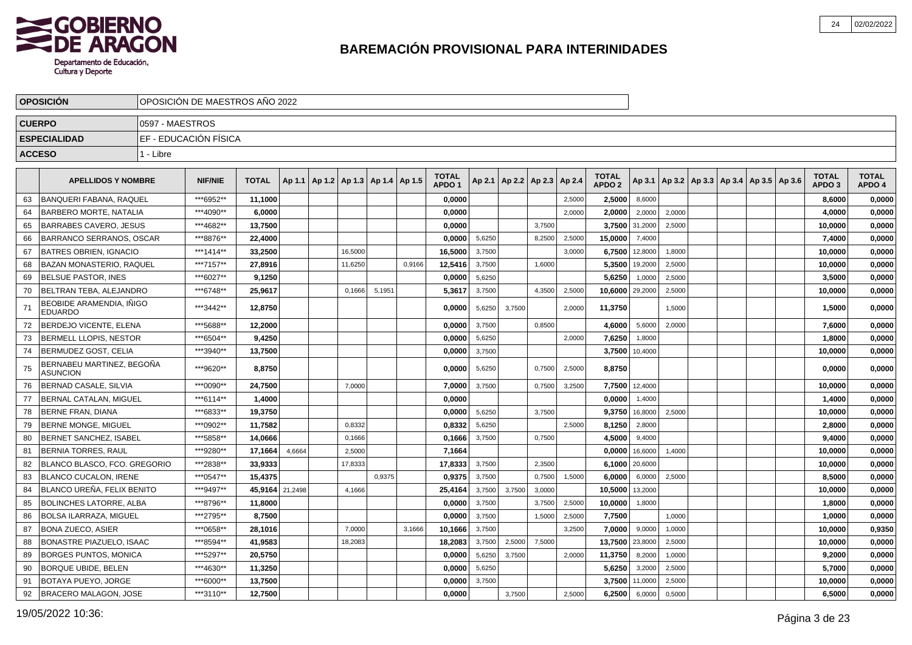

|    | <b>OPOSICIÓN</b>                           | OPOSICIÓN DE MAESTROS AÑO 2022 |                |              |         |                                            |        |        |                              |        |        |                                   |        |                                   |         |        |                                            |  |                                   |                        |
|----|--------------------------------------------|--------------------------------|----------------|--------------|---------|--------------------------------------------|--------|--------|------------------------------|--------|--------|-----------------------------------|--------|-----------------------------------|---------|--------|--------------------------------------------|--|-----------------------------------|------------------------|
|    | <b>CUERPO</b>                              | 0597 - MAESTROS                |                |              |         |                                            |        |        |                              |        |        |                                   |        |                                   |         |        |                                            |  |                                   |                        |
|    | <b>ESPECIALIDAD</b>                        | EF - EDUCACIÓN FÍSICA          |                |              |         |                                            |        |        |                              |        |        |                                   |        |                                   |         |        |                                            |  |                                   |                        |
|    | <b>ACCESO</b>                              | 1 - Libre                      |                |              |         |                                            |        |        |                              |        |        |                                   |        |                                   |         |        |                                            |  |                                   |                        |
|    |                                            |                                |                |              |         |                                            |        |        |                              |        |        |                                   |        |                                   |         |        |                                            |  |                                   |                        |
|    | <b>APELLIDOS Y NOMBRE</b>                  |                                | <b>NIF/NIE</b> | <b>TOTAL</b> |         | Ap 1.1   Ap 1.2   Ap 1.3   Ap 1.4   Ap 1.5 |        |        | <b>TOTAL</b><br><b>APDO1</b> |        |        | Ap 2.1   Ap 2.2   Ap 2.3   Ap 2.4 |        | <b>TOTAL</b><br>APDO <sub>2</sub> | Ap 3.1  |        | Ap 3.2   Ap 3.3   Ap 3.4   Ap 3.5   Ap 3.6 |  | <b>TOTAL</b><br>APDO <sub>3</sub> | <b>TOTAL</b><br>APDO 4 |
| 63 | <b>BANQUERI FABANA, RAQUEL</b>             |                                | ***6952**      | 11,1000      |         |                                            |        |        | 0,0000                       |        |        |                                   | 2,5000 | 2,5000                            | 8,6000  |        |                                            |  | 8,6000                            | 0,0000                 |
| 64 | BARBERO MORTE, NATALIA                     |                                | ***4090**      | 6,0000       |         |                                            |        |        | 0.0000                       |        |        |                                   | 2,0000 | 2,0000                            | 2,0000  | 2,0000 |                                            |  | 4,0000                            | 0,0000                 |
| 65 | <b>BARRABES CAVERO, JESUS</b>              |                                | ***4682**      | 13,7500      |         |                                            |        |        | 0.0000                       |        |        | 3.7500                            |        | 3,7500                            | 31,2000 | 2,5000 |                                            |  | 10.0000                           | 0,0000                 |
| 66 | <b>BARRANCO SERRANOS, OSCAR</b>            |                                | ***8876**      | 22,4000      |         |                                            |        |        | 0,0000                       | 5,6250 |        | 8,2500                            | 2,5000 | 15,0000                           | 7,4000  |        |                                            |  | 7,4000                            | 0,0000                 |
| 67 | <b>BATRES OBRIEN, IGNACIO</b>              |                                | ***1414**      | 33,2500      |         | 16,5000                                    |        |        | 16,5000                      | 3,7500 |        |                                   | 3,0000 | 6,7500                            | 12,8000 | 1,8000 |                                            |  | 10,0000                           | 0,0000                 |
| 68 | <b>BAZAN MONASTERIO, RAQUEL</b>            |                                | ***7157**      | 27,8916      |         | 11,6250                                    |        | 0,9166 | 12,5416                      | 3,7500 |        | 1,6000                            |        | 5,3500                            | 19,2000 | 2,5000 |                                            |  | 10,0000                           | 0,0000                 |
| 69 | <b>BELSUE PASTOR, INES</b>                 |                                | ***6027**      | 9,1250       |         |                                            |        |        | 0.0000                       | 5,6250 |        |                                   |        | 5,6250                            | 1,0000  | 2,5000 |                                            |  | 3,5000                            | 0,0000                 |
| 70 | BELTRAN TEBA, ALEJANDRO                    |                                | ***6748**      | 25,9617      |         | 0,1666                                     | 5,1951 |        | 5,3617                       | 3,7500 |        | 4,3500                            | 2,5000 | 10,6000                           | 29,2000 | 2,5000 |                                            |  | 10,0000                           | 0,0000                 |
| 71 | BEOBIDE ARAMENDIA, IÑIGO<br><b>EDUARDO</b> |                                | ***3442**      | 12,8750      |         |                                            |        |        | 0.0000                       | 5,6250 | 3.7500 |                                   | 2,0000 | 11,3750                           |         | 1,5000 |                                            |  | 1,5000                            | 0,0000                 |
| 72 | <b>BERDEJO VICENTE, ELENA</b>              |                                | ***5688**      | 12,2000      |         |                                            |        |        | 0,0000                       | 3,7500 |        | 0,8500                            |        | 4,6000                            | 5,6000  | 2,0000 |                                            |  | 7,6000                            | 0,0000                 |
| 73 | <b>BERMELL LLOPIS, NESTOR</b>              |                                | ***6504**      | 9,4250       |         |                                            |        |        | 0.0000                       | 5,6250 |        |                                   | 2,0000 | 7,6250                            | 1,8000  |        |                                            |  | 1,8000                            | 0,0000                 |
| 74 | BERMUDEZ GOST, CELIA                       |                                | ***3940**      | 13,7500      |         |                                            |        |        | 0,0000                       | 3,7500 |        |                                   |        | 3,7500                            | 10,4000 |        |                                            |  | 10,0000                           | 0,0000                 |
| 75 | BERNABEU MARTINEZ, BEGOÑA<br>ASUNCION      |                                | ***9620**      | 8,8750       |         |                                            |        |        | 0.0000                       | 5,6250 |        | 0,7500                            | 2,5000 | 8,8750                            |         |        |                                            |  | 0,0000                            | 0,0000                 |
| 76 | BERNAD CASALE, SILVIA                      |                                | ***0090**      | 24,7500      |         | 7,0000                                     |        |        | 7,0000                       | 3,7500 |        | 0,7500                            | 3,2500 | 7,7500                            | 12,4000 |        |                                            |  | 10,0000                           | 0,0000                 |
| 77 | <b>IBERNAL CATALAN. MIGUEL</b>             |                                | ***6114**      | 1,4000       |         |                                            |        |        | 0.0000                       |        |        |                                   |        | 0,0000                            | 1,4000  |        |                                            |  | 1,4000                            | 0,0000                 |
| 78 | <b>BERNE FRAN. DIANA</b>                   |                                | ***6833**      | 19,3750      |         |                                            |        |        | 0,0000                       | 5,6250 |        | 3,7500                            |        | 9,3750                            | 16,8000 | 2,5000 |                                            |  | 10,0000                           | 0,0000                 |
| 79 | <b>BERNE MONGE, MIGUEL</b>                 |                                | ***0902**      | 11,7582      |         | 0,8332                                     |        |        | 0,8332                       | 5,6250 |        |                                   | 2,5000 | 8,1250                            | 2,8000  |        |                                            |  | 2,8000                            | 0,0000                 |
| 80 | <b>BERNET SANCHEZ, ISABEL</b>              |                                | ***5858**      | 14,0666      |         | 0,1666                                     |        |        | 0,1666                       | 3,7500 |        | 0,7500                            |        | 4,5000                            | 9,4000  |        |                                            |  | 9,4000                            | 0,0000                 |
| 81 | <b>BERNIA TORRES, RAUL</b>                 |                                | ***9280**      | 17,1664      | 4,6664  | 2,5000                                     |        |        | 7,1664                       |        |        |                                   |        | 0,0000                            | 16,6000 | 1,4000 |                                            |  | 10,0000                           | 0,0000                 |
| 82 | BLANCO BLASCO, FCO, GREGORIO               |                                | ***2838**      | 33.9333      |         | 17,8333                                    |        |        | 17,8333                      | 3,7500 |        | 2.3500                            |        | 6,1000                            | 20,6000 |        |                                            |  | 10.0000                           | 0,0000                 |
| 83 | <b>BLANCO CUCALON. IRENE</b>               |                                | ***0547**      | 15,4375      |         |                                            | 0,9375 |        | 0,9375                       | 3,7500 |        | 0,7500                            | 1,5000 | 6,0000                            | 6,0000  | 2,5000 |                                            |  | 8,5000                            | 0,0000                 |
| 84 | BLANCO UREÑA, FELIX BENITO                 |                                | ***9497**      | 45,9164      | 21,2498 | 4,1666                                     |        |        | 25,4164                      | 3,7500 | 3,7500 | 3,0000                            |        | 10,5000                           | 13,2000 |        |                                            |  | 10,0000                           | 0,0000                 |
| 85 | <b>BOLINCHES LATORRE, ALBA</b>             |                                | ***8796**      | 11,8000      |         |                                            |        |        | 0.0000                       | 3,7500 |        | 3,7500                            | 2,5000 | 10,0000                           | 1,8000  |        |                                            |  | 1,8000                            | 0,0000                 |
| 86 | BOLSA ILARRAZA. MIGUEL                     |                                | ***2795**      | 8,7500       |         |                                            |        |        | 0.0000                       | 3,7500 |        | 1,5000                            | 2,5000 | 7,7500                            |         | 1,0000 |                                            |  | 1,0000                            | 0,0000                 |
| 87 | <b>BONA ZUECO, ASIER</b>                   |                                | ***0658**      | 28,1016      |         | 7,0000                                     |        | 3,1666 | 10,1666                      | 3,7500 |        |                                   | 3,2500 | 7,0000                            | 9,0000  | 1,0000 |                                            |  | 10,0000                           | 0,9350                 |
| 88 | <b>BONASTRE PIAZUELO, ISAAC</b>            |                                | ***8594**      | 41,9583      |         | 18,2083                                    |        |        | 18,2083                      | 3,7500 | 2,5000 | 7,5000                            |        | 13,7500                           | 23,8000 | 2,5000 |                                            |  | 10,0000                           | 0,0000                 |
| 89 | <b>BORGES PUNTOS, MONICA</b>               |                                | ***5297**      | 20,5750      |         |                                            |        |        | 0,0000                       | 5,6250 | 3,7500 |                                   | 2,0000 | 11,3750                           | 8,2000  | 1,0000 |                                            |  | 9,2000                            | 0,0000                 |
| 90 | <b>BORQUE UBIDE, BELEN</b>                 |                                | ***4630**      | 11,3250      |         |                                            |        |        | 0,0000                       | 5,6250 |        |                                   |        | 5,6250                            | 3,2000  | 2,5000 |                                            |  | 5,7000                            | 0,0000                 |
| 91 | <b>BOTAYA PUEYO, JORGE</b>                 |                                | ***6000**      | 13,7500      |         |                                            |        |        | 0,0000                       | 3,7500 |        |                                   |        | 3,7500                            | 11,0000 | 2,5000 |                                            |  | 10,0000                           | 0,0000                 |
| 92 | <b>BRACERO MALAGON, JOSE</b>               |                                | ***3110**      | 12,7500      |         |                                            |        |        | 0,0000                       |        | 3,7500 |                                   | 2,5000 | 6,2500                            | 6,0000  | 0,5000 |                                            |  | 6,5000                            | 0,0000                 |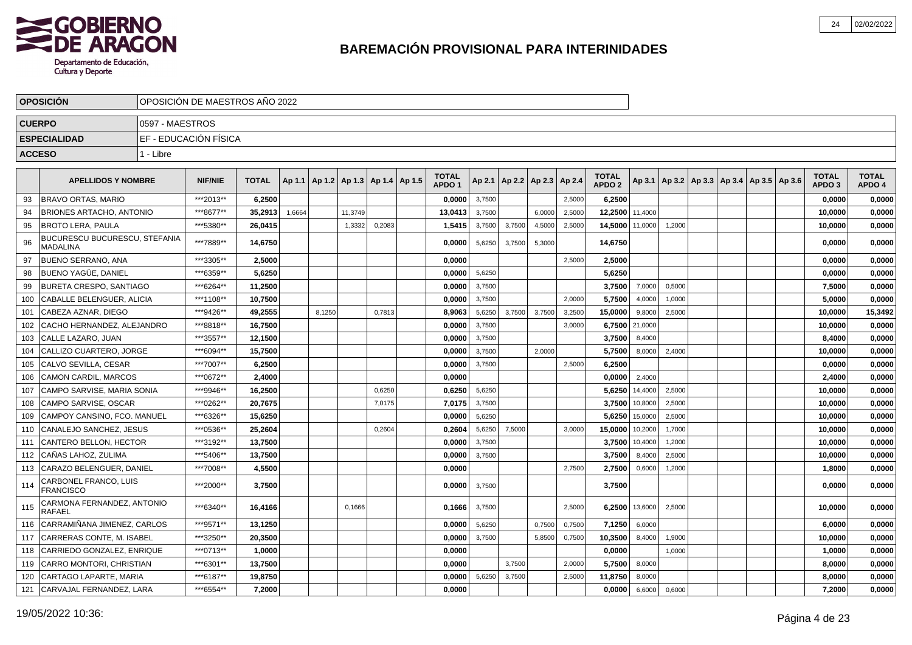

|               | <b>OPOSICION</b>                                 |                 | OPOSICIÓN DE MAESTROS AÑO 2022 |              |        |        |                                   |        |                                   |        |        |                          |        |                                   |         |                                                     |  |  |                                   |                        |
|---------------|--------------------------------------------------|-----------------|--------------------------------|--------------|--------|--------|-----------------------------------|--------|-----------------------------------|--------|--------|--------------------------|--------|-----------------------------------|---------|-----------------------------------------------------|--|--|-----------------------------------|------------------------|
| <b>CUERPO</b> |                                                  | 0597 - MAESTROS |                                |              |        |        |                                   |        |                                   |        |        |                          |        |                                   |         |                                                     |  |  |                                   |                        |
|               | <b>ESPECIALIDAD</b>                              |                 | EF - EDUCACIÓN FÍSICA          |              |        |        |                                   |        |                                   |        |        |                          |        |                                   |         |                                                     |  |  |                                   |                        |
|               | <b>ACCESO</b>                                    | 1 - Libre       |                                |              |        |        |                                   |        |                                   |        |        |                          |        |                                   |         |                                                     |  |  |                                   |                        |
|               |                                                  |                 |                                |              |        |        |                                   |        |                                   |        |        |                          |        |                                   |         |                                                     |  |  |                                   |                        |
|               | <b>APELLIDOS Y NOMBRE</b>                        |                 | <b>NIF/NIE</b>                 | <b>TOTAL</b> | Ap 1.1 |        | Ap 1.2   Ap 1.3   Ap 1.4   Ap 1.5 |        | <b>TOTAL</b><br>APDO <sub>1</sub> | Ap 2.1 |        | Ap 2.2   Ap 2.3   Ap 2.4 |        | <b>TOTAL</b><br>APDO <sub>2</sub> |         | Ap 3.1   Ap 3.2   Ap 3.3   Ap 3.4   Ap 3.5   Ap 3.6 |  |  | <b>TOTAL</b><br>APDO <sub>3</sub> | <b>TOTAL</b><br>APDO 4 |
| 93            | <b>BRAVO ORTAS, MARIO</b>                        |                 | ***2013**                      | 6,2500       |        |        |                                   |        | 0,0000                            | 3,7500 |        |                          | 2,5000 | 6,2500                            |         |                                                     |  |  | 0,0000                            | 0,0000                 |
| 94            | <b>BRIONES ARTACHO, ANTONIO</b>                  |                 | ***8677**                      | 35,2913      | 1,6664 |        | 11,3749                           |        | 13,0413                           | 3,7500 |        | 6,0000                   | 2,5000 | 12,2500                           | 11,4000 |                                                     |  |  | 10,0000                           | 0,0000                 |
| 95            | <b>BROTO LERA, PAULA</b>                         |                 | ***5380**                      | 26,0415      |        |        | 1,3332                            | 0,2083 | 1,5415                            | 3,7500 | 3,7500 | 4,5000                   | 2,5000 | 14,5000                           | 11,0000 | 1,2000                                              |  |  | 10,0000                           | 0,0000                 |
| 96            | BUCURESCU BUCURESCU, STEFANIA<br><b>MADALINA</b> |                 | ***7889**                      | 14,6750      |        |        |                                   |        | 0,0000                            | 5,6250 | 3,7500 | 5,3000                   |        | 14,6750                           |         |                                                     |  |  | 0,0000                            | 0,0000                 |
| 97            | <b>BUENO SERRANO, ANA</b>                        |                 | ***3305**                      | 2,5000       |        |        |                                   |        | 0,0000                            |        |        |                          | 2,5000 | 2,5000                            |         |                                                     |  |  | 0,0000                            | 0,0000                 |
| 98            | <b>BUENO YAGÜE, DANIEL</b>                       |                 | ***6359**                      | 5,6250       |        |        |                                   |        | 0.0000                            | 5,6250 |        |                          |        | 5,6250                            |         |                                                     |  |  | 0,0000                            | 0,0000                 |
| 99            | <b>BURETA CRESPO, SANTIAGO</b>                   |                 | ***6264**                      | 11,2500      |        |        |                                   |        | 0,0000                            | 3,7500 |        |                          |        | 3,7500                            | 7,0000  | 0,5000                                              |  |  | 7,5000                            | 0,0000                 |
| 100           | CABALLE BELENGUER, ALICIA                        |                 | ***1108**                      | 10,7500      |        |        |                                   |        | 0,0000                            | 3,7500 |        |                          | 2.0000 | 5,7500                            | 4,0000  | 1,0000                                              |  |  | 5.0000                            | 0,0000                 |
| 101           | CABEZA AZNAR, DIEGO                              |                 | ***9426**                      | 49,2555      |        | 8,1250 |                                   | 0,7813 | 8,9063                            | 5,6250 | 3,7500 | 3,7500                   | 3,2500 | 15,0000                           | 9,8000  | 2,5000                                              |  |  | 10,0000                           | 15,3492                |
| 102           | CACHO HERNANDEZ, ALEJANDRO                       |                 | ***8818**                      | 16,7500      |        |        |                                   |        | 0,0000                            | 3,7500 |        |                          | 3,0000 | 6,7500                            | 21,0000 |                                                     |  |  | 10,0000                           | 0,0000                 |
| 103           | CALLE LAZARO, JUAN                               |                 | ***3557**                      | 12,1500      |        |        |                                   |        | 0,0000                            | 3,7500 |        |                          |        | 3,7500                            | 8,4000  |                                                     |  |  | 8,4000                            | 0,0000                 |
| 104           | CALLIZO CUARTERO. JORGE                          |                 | ***6094**                      | 15,7500      |        |        |                                   |        | 0.0000                            | 3,7500 |        | 2.0000                   |        | 5,7500                            | 8,0000  | 2,4000                                              |  |  | 10.0000                           | 0,0000                 |
| 105           | CALVO SEVILLA, CESAR                             |                 | ***7007**                      | 6,2500       |        |        |                                   |        | 0,0000                            | 3,7500 |        |                          | 2.5000 | 6,2500                            |         |                                                     |  |  | 0,0000                            | 0,0000                 |
| 106           | <b>CAMON CARDIL, MARCOS</b>                      |                 | ***0672**                      | 2,4000       |        |        |                                   |        | 0.0000                            |        |        |                          |        | 0,0000                            | 2,4000  |                                                     |  |  | 2,4000                            | 0,0000                 |
| 107           | CAMPO SARVISE, MARIA SONIA                       |                 | ***9946**                      | 16,2500      |        |        |                                   | 0,6250 | 0,6250                            | 5,6250 |        |                          |        | 5,6250                            | 14,4000 | 2,5000                                              |  |  | 10,0000                           | 0,0000                 |
| 108           | CAMPO SARVISE, OSCAR                             |                 | ***0262**                      | 20,7675      |        |        |                                   | 7,0175 | 7,0175                            | 3,7500 |        |                          |        | 3,7500                            | 10,8000 | 2,5000                                              |  |  | 10,0000                           | 0,0000                 |
| 109           | CAMPOY CANSINO, FCO. MANUEL                      |                 | ***6326**                      | 15,6250      |        |        |                                   |        | 0,0000                            | 5,6250 |        |                          |        | 5,6250                            | 15,0000 | 2,5000                                              |  |  | 10,0000                           | 0,0000                 |
| 110           | CANALEJO SANCHEZ, JESUS                          |                 | ***0536**                      | 25,2604      |        |        |                                   | 0,2604 | 0,2604                            | 5,6250 | 7,5000 |                          | 3,0000 | 15,0000                           | 10,2000 | 1,7000                                              |  |  | 10,0000                           | 0,0000                 |
| 111           | CANTERO BELLON, HECTOR                           |                 | ***3192**                      | 13,7500      |        |        |                                   |        | 0,0000                            | 3,7500 |        |                          |        | 3,7500                            | 10,4000 | 1,2000                                              |  |  | 10,0000                           | 0,0000                 |
| 112           | CAÑAS LAHOZ, ZULIMA                              |                 | ***5406**                      | 13,7500      |        |        |                                   |        | 0,0000                            | 3,7500 |        |                          |        | 3,7500                            | 8,4000  | 2,5000                                              |  |  | 10,0000                           | 0,0000                 |
| 113           | CARAZO BELENGUER, DANIEL                         |                 | ***7008**                      | 4,5500       |        |        |                                   |        | 0,0000                            |        |        |                          | 2,7500 | 2,7500                            | 0,6000  | 1,2000                                              |  |  | 1,8000                            | 0,0000                 |
| 114           | CARBONEL FRANCO, LUIS<br><b>FRANCISCO</b>        |                 | ***2000**                      | 3,7500       |        |        |                                   |        | 0,0000                            | 3,7500 |        |                          |        | 3,7500                            |         |                                                     |  |  | 0,0000                            | 0,0000                 |
| 115           | CARMONA FERNANDEZ, ANTONIO<br><b>RAFAEL</b>      |                 | ***6340**                      | 16.4166      |        |        | 0.1666                            |        | 0.1666                            | 3,7500 |        |                          | 2.5000 | 6.2500                            | 13,6000 | 2,5000                                              |  |  | 10.0000                           | 0,0000                 |
| 116           | CARRAMIÑANA JIMENEZ, CARLOS                      |                 | ***9571**                      | 13,1250      |        |        |                                   |        | 0,0000                            | 5,6250 |        | 0,7500                   | 0,7500 | 7,1250                            | 6,0000  |                                                     |  |  | 6,0000                            | 0,0000                 |
| 117           | CARRERAS CONTE, M. ISABEL                        |                 | ***3250**                      | 20,3500      |        |        |                                   |        | 0,0000                            | 3,7500 |        | 5,8500                   | 0,7500 | 10,3500                           | 8.4000  | 1,9000                                              |  |  | 10,0000                           | 0,0000                 |
| 118           | CARRIEDO GONZALEZ, ENRIQUE                       |                 | ***0713**                      | 1,0000       |        |        |                                   |        | 0,0000                            |        |        |                          |        | 0,0000                            |         | 1,0000                                              |  |  | 1,0000                            | 0,0000                 |
| 119           | CARRO MONTORI, CHRISTIAN                         |                 | ***6301**                      | 13,7500      |        |        |                                   |        | 0.0000                            |        | 3,7500 |                          | 2,0000 | 5,7500                            | 8,0000  |                                                     |  |  | 8.0000                            | 0,0000                 |
| 120           | CARTAGO LAPARTE, MARIA                           |                 | ***6187**                      | 19,8750      |        |        |                                   |        | 0,0000                            | 5,6250 | 3,7500 |                          | 2,5000 | 11,8750                           | 8,0000  |                                                     |  |  | 8,0000                            | 0,0000                 |
| 121           | CARVAJAL FERNANDEZ, LARA                         |                 | ***6554**                      | 7,2000       |        |        |                                   |        | 0,0000                            |        |        |                          |        | 0,0000                            | 6,6000  | 0,6000                                              |  |  | 7,2000                            | 0,0000                 |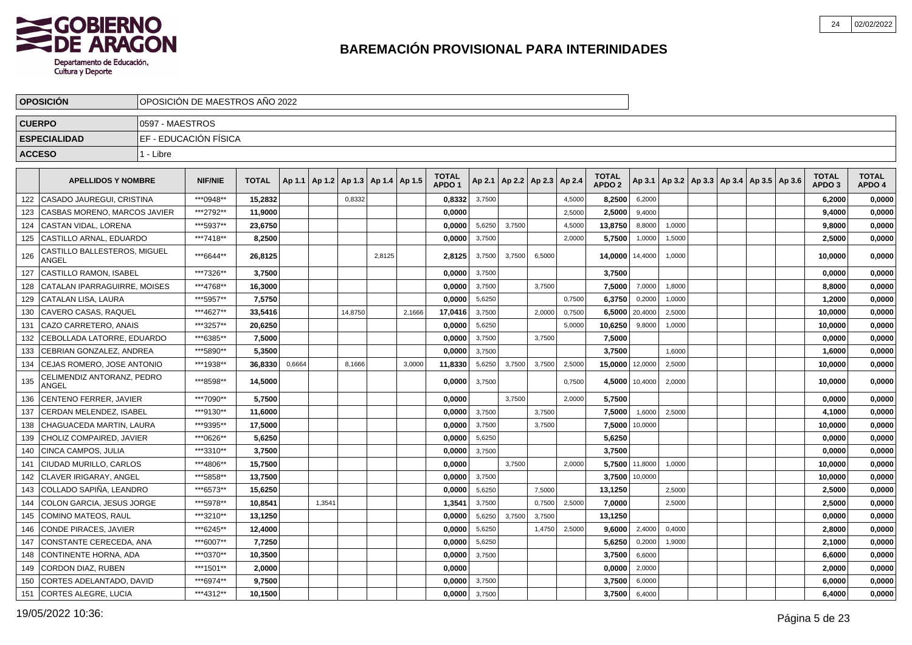

|               | <b>OPOSICION</b>                      |                 | OPOSICIÓN DE MAESTROS AÑO 2022 |              |        |                                   |         |        |        |                                   |        |        |                          |        |                                   |                |                                                     |  |  |                                   |                        |
|---------------|---------------------------------------|-----------------|--------------------------------|--------------|--------|-----------------------------------|---------|--------|--------|-----------------------------------|--------|--------|--------------------------|--------|-----------------------------------|----------------|-----------------------------------------------------|--|--|-----------------------------------|------------------------|
| <b>CUERPO</b> |                                       | 0597 - MAESTROS |                                |              |        |                                   |         |        |        |                                   |        |        |                          |        |                                   |                |                                                     |  |  |                                   |                        |
|               | <b>ESPECIALIDAD</b>                   |                 | EF - EDUCACIÓN FÍSICA          |              |        |                                   |         |        |        |                                   |        |        |                          |        |                                   |                |                                                     |  |  |                                   |                        |
| <b>ACCESO</b> |                                       | 1 - Libre       |                                |              |        |                                   |         |        |        |                                   |        |        |                          |        |                                   |                |                                                     |  |  |                                   |                        |
|               |                                       |                 |                                |              |        |                                   |         |        |        |                                   |        |        |                          |        |                                   |                |                                                     |  |  |                                   |                        |
|               | <b>APELLIDOS Y NOMBRE</b>             |                 | <b>NIF/NIE</b>                 | <b>TOTAL</b> | Ap 1.1 | Ap 1.2   Ap 1.3   Ap 1.4   Ap 1.5 |         |        |        | <b>TOTAL</b><br>APDO <sub>1</sub> | Ap 2.1 |        | Ap 2.2   Ap 2.3   Ap 2.4 |        | <b>TOTAL</b><br>APDO <sub>2</sub> |                | Ap 3.1   Ap 3.2   Ap 3.3   Ap 3.4   Ap 3.5   Ap 3.6 |  |  | <b>TOTAL</b><br>APDO <sub>3</sub> | <b>TOTAL</b><br>APDO 4 |
| 122           | CASADO JAUREGUI, CRISTINA             |                 | ***0948**                      | 15,2832      |        |                                   | 0,8332  |        |        | 0,8332                            | 3,7500 |        |                          | 4,5000 | 8,2500                            | 6,2000         |                                                     |  |  | 6,2000                            | 0,0000                 |
| 123           | CASBAS MORENO, MARCOS JAVIER          |                 | ***2792**                      | 11,9000      |        |                                   |         |        |        | 0,0000                            |        |        |                          | 2,5000 | 2,5000                            | 9,4000         |                                                     |  |  | 9,4000                            | 0,0000                 |
| 124           | CASTAN VIDAL, LORENA                  |                 | ***5937**                      | 23,6750      |        |                                   |         |        |        | 0,0000                            | 5,6250 | 3,7500 |                          | 4,5000 | 13,8750                           | 8,8000         | 1,0000                                              |  |  | 9,8000                            | 0,0000                 |
| 125           | CASTILLO ARNAL, EDUARDO               |                 | ***7418**                      | 8.2500       |        |                                   |         |        |        | 0.0000                            | 3,7500 |        |                          | 2,0000 | 5,7500                            | 1,0000         | 1,5000                                              |  |  | 2.5000                            | 0,0000                 |
| 126           | CASTILLO BALLESTEROS, MIGUEL<br>ANGEL |                 | ***6644**                      | 26,8125      |        |                                   |         | 2,8125 |        | 2,8125                            | 3,7500 | 3,7500 | 6,5000                   |        | 14,0000                           | 14,4000        | 1,0000                                              |  |  | 10,0000                           | 0,0000                 |
| 127           | <b>CASTILLO RAMON, ISABEL</b>         |                 | ***7326**                      | 3,7500       |        |                                   |         |        |        | 0,0000                            | 3,7500 |        |                          |        | 3,7500                            |                |                                                     |  |  | 0,0000                            | 0,0000                 |
| 128           | CATALAN IPARRAGUIRRE, MOISES          |                 | ***4768**                      | 16,3000      |        |                                   |         |        |        | 0,0000                            | 3,7500 |        | 3,7500                   |        | 7,5000                            | 7,0000         | 1,8000                                              |  |  | 8,8000                            | 0,0000                 |
| 129           | <b>CATALAN LISA, LAURA</b>            |                 | ***5957**                      | 7,5750       |        |                                   |         |        |        | 0,0000                            | 5,6250 |        |                          | 0,7500 | 6,3750                            | 0,2000         | 1,0000                                              |  |  | 1,2000                            | 0,0000                 |
| 130           | CAVERO CASAS, RAQUEL                  |                 | ***4627**                      | 33,5416      |        |                                   | 14,8750 |        | 2,1666 | 17,0416                           | 3,7500 |        | 2,0000                   | 0,7500 | 6,5000                            | 20,4000        | 2,5000                                              |  |  | 10,0000                           | 0,0000                 |
| 131           | CAZO CARRETERO, ANAIS                 |                 | ***3257**                      | 20,6250      |        |                                   |         |        |        | 0,0000                            | 5,6250 |        |                          | 5,0000 | 10,6250                           | 9,8000         | 1,0000                                              |  |  | 10,0000                           | 0,0000                 |
| 132           | CEBOLLADA LATORRE, EDUARDO            |                 | ***6385**                      | 7,5000       |        |                                   |         |        |        | 0,0000                            | 3,7500 |        | 3,7500                   |        | 7,5000                            |                |                                                     |  |  | 0.0000                            | 0,0000                 |
| 133           | CEBRIAN GONZALEZ. ANDREA              |                 | ***5890**                      | 5,3500       |        |                                   |         |        |        | 0.0000                            | 3,7500 |        |                          |        | 3,7500                            |                | 1,6000                                              |  |  | 1,6000                            | 0,0000                 |
| 134           | CEJAS ROMERO, JOSE ANTONIO            |                 | ***1938**                      | 36,8330      | 0,6664 |                                   | 8,1666  |        | 3,0000 | 11,8330                           | 5,6250 | 3,7500 | 3,7500                   | 2,5000 | 15,0000                           | 12,0000        | 2,5000                                              |  |  | 10,0000                           | 0,0000                 |
| 135           | CELIMENDIZ ANTORANZ, PEDRO<br>ANGEL   |                 | ***8598**                      | 14,5000      |        |                                   |         |        |        | 0,0000                            | 3,7500 |        |                          | 0,7500 |                                   | 4.5000 10,4000 | 2,0000                                              |  |  | 10,0000                           | 0,0000                 |
| 136           | CENTENO FERRER, JAVIER                |                 | ***7090**                      | 5,7500       |        |                                   |         |        |        | 0,0000                            |        | 3,7500 |                          | 2,0000 | 5,7500                            |                |                                                     |  |  | 0,0000                            | 0,0000                 |
| 137           | CERDAN MELENDEZ, ISABEL               |                 | ***9130**                      | 11,6000      |        |                                   |         |        |        | 0,0000                            | 3,7500 |        | 3,7500                   |        | 7,5000                            | 1,6000         | 2,5000                                              |  |  | 4,1000                            | 0,0000                 |
| 138           | CHAGUACEDA MARTIN, LAURA              |                 | ***9395**                      | 17,5000      |        |                                   |         |        |        | 0,0000                            | 3,7500 |        | 3,7500                   |        | 7,5000                            | 10,0000        |                                                     |  |  | 10,0000                           | 0,0000                 |
| 139           | CHOLIZ COMPAIRED, JAVIER              |                 | ***0626**                      | 5,6250       |        |                                   |         |        |        | 0,0000                            | 5,6250 |        |                          |        | 5,6250                            |                |                                                     |  |  | 0,0000                            | 0,0000                 |
| 140           | <b>CINCA CAMPOS, JULIA</b>            |                 | ***3310**                      | 3,7500       |        |                                   |         |        |        | 0,0000                            | 3,7500 |        |                          |        | 3,7500                            |                |                                                     |  |  | 0,0000                            | 0,0000                 |
| 141           | CIUDAD MURILLO, CARLOS                |                 | ***4806**                      | 15,7500      |        |                                   |         |        |        | 0,0000                            |        | 3.7500 |                          | 2.0000 | 5,7500                            | 11.8000        | 1.0000                                              |  |  | 10,0000                           | 0,0000                 |
| 142           | CLAVER IRIGARAY, ANGEL                |                 | ***5858**                      | 13,7500      |        |                                   |         |        |        | 0,0000                            | 3,7500 |        |                          |        | 3,7500                            | 10,0000        |                                                     |  |  | 10,0000                           | 0,0000                 |
| 143           | COLLADO SAPIÑA, LEANDRO               |                 | ***6573**                      | 15,6250      |        |                                   |         |        |        | 0,0000                            | 5,6250 |        | 7,5000                   |        | 13,1250                           |                | 2,5000                                              |  |  | 2,5000                            | 0,0000                 |
| 144           | COLON GARCIA, JESUS JORGE             |                 | ***5978**                      | 10,8541      |        | 1,3541                            |         |        |        | 1,3541                            | 3,7500 |        | 0,7500                   | 2,5000 | 7,0000                            |                | 2,5000                                              |  |  | 2,5000                            | 0,0000                 |
| 145           | <b>COMINO MATEOS, RAUL</b>            |                 | ***3210**                      | 13,1250      |        |                                   |         |        |        | 0,0000                            | 5,6250 | 3,7500 | 3,7500                   |        | 13,1250                           |                |                                                     |  |  | 0,0000                            | 0,0000                 |
| 146           | <b>CONDE PIRACES, JAVIER</b>          |                 | ***6245**                      | 12,4000      |        |                                   |         |        |        | 0,0000                            | 5,6250 |        | 1,4750                   | 2,5000 | 9,6000                            | 2,4000         | 0,4000                                              |  |  | 2,8000                            | 0,0000                 |
| 147           | CONSTANTE CERECEDA, ANA               |                 | ***6007**                      | 7.7250       |        |                                   |         |        |        | 0.0000                            | 5,6250 |        |                          |        | 5,6250                            | 0,2000         | 1,9000                                              |  |  | 2.1000                            | 0,0000                 |
| 148           | CONTINENTE HORNA, ADA                 |                 | ***0370**                      | 10,3500      |        |                                   |         |        |        | 0,0000                            | 3,7500 |        |                          |        | 3,7500                            | 6,6000         |                                                     |  |  | 6,6000                            | 0,0000                 |
| 149           | CORDON DIAZ, RUBEN                    |                 | ***1501**                      | 2,0000       |        |                                   |         |        |        | 0,0000                            |        |        |                          |        | 0,0000                            | 2,0000         |                                                     |  |  | 2,0000                            | 0,0000                 |
| 150           | CORTES ADELANTADO, DAVID              |                 | ***6974**                      | 9,7500       |        |                                   |         |        |        | 0,0000                            | 3,7500 |        |                          |        | 3,7500                            | 6,0000         |                                                     |  |  | 6,0000                            | 0,0000                 |
| 151           | CORTES ALEGRE, LUCIA                  |                 | ***4312**                      | 10,1500      |        |                                   |         |        |        | 0,0000                            | 3,7500 |        |                          |        | 3,7500                            | 6,4000         |                                                     |  |  | 6,4000                            | 0,0000                 |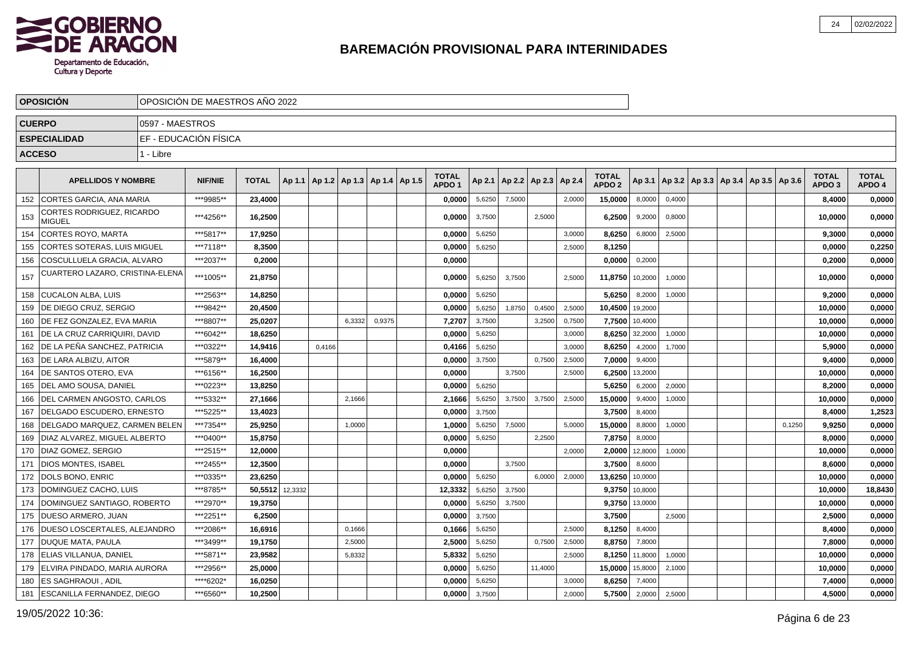

|     | <b>OPOSICION</b>                           |                 | OPOSICIÓN DE MAESTROS AÑO 2022 |              |         |        |                                            |        |                                   |        |        |                          |        |                                   |         |        |  |                                            |        |                                   |                        |
|-----|--------------------------------------------|-----------------|--------------------------------|--------------|---------|--------|--------------------------------------------|--------|-----------------------------------|--------|--------|--------------------------|--------|-----------------------------------|---------|--------|--|--------------------------------------------|--------|-----------------------------------|------------------------|
|     | <b>CUERPO</b>                              | 0597 - MAESTROS |                                |              |         |        |                                            |        |                                   |        |        |                          |        |                                   |         |        |  |                                            |        |                                   |                        |
|     | <b>ESPECIALIDAD</b>                        |                 | EF - EDUCACIÓN FÍSICA          |              |         |        |                                            |        |                                   |        |        |                          |        |                                   |         |        |  |                                            |        |                                   |                        |
|     | <b>ACCESO</b>                              | 1 - Libre       |                                |              |         |        |                                            |        |                                   |        |        |                          |        |                                   |         |        |  |                                            |        |                                   |                        |
|     |                                            |                 |                                |              |         |        |                                            |        |                                   |        |        |                          |        |                                   |         |        |  |                                            |        |                                   |                        |
|     | <b>APELLIDOS Y NOMBRE</b>                  |                 | <b>NIF/NIE</b>                 | <b>TOTAL</b> |         |        | Ap 1.1   Ap 1.2   Ap 1.3   Ap 1.4   Ap 1.5 |        | <b>TOTAL</b><br>APDO <sub>1</sub> | Ap 2.1 |        | Ap 2.2   Ap 2.3   Ap 2.4 |        | <b>TOTAL</b><br>APDO <sub>2</sub> | Ap 3.1  |        |  | Ap 3.2   Ap 3.3   Ap 3.4   Ap 3.5   Ap 3.6 |        | <b>TOTAL</b><br>APDO <sub>3</sub> | <b>TOTAL</b><br>APDO 4 |
| 152 | <b>I CORTES GARCIA. ANA MARIA</b>          |                 | ***9985**                      | 23,4000      |         |        |                                            |        | 0,0000                            | 5,6250 | 7,5000 |                          | 2,0000 | 15,0000                           | 8,0000  | 0,4000 |  |                                            |        | 8,4000                            | 0,0000                 |
| 153 | CORTES RODRIGUEZ, RICARDO<br><b>MIGUEL</b> |                 | ***4256**                      | 16,2500      |         |        |                                            |        | 0,0000                            | 3,7500 |        | 2,5000                   |        | 6,2500                            | 9,2000  | 0,8000 |  |                                            |        | 10,0000                           | 0,0000                 |
| 154 | <b>CORTES ROYO, MARTA</b>                  |                 | ***5817**                      | 17,9250      |         |        |                                            |        | 0,0000                            | 5,6250 |        |                          | 3,0000 | 8,6250                            | 6,8000  | 2,5000 |  |                                            |        | 9,3000                            | 0,0000                 |
| 155 | CORTES SOTERAS, LUIS MIGUEL                |                 | ***7118**                      | 8,3500       |         |        |                                            |        | 0,0000                            | 5,6250 |        |                          | 2,5000 | 8,1250                            |         |        |  |                                            |        | 0,0000                            | 0,2250                 |
| 156 | COSCULLUELA GRACIA, ALVARO                 |                 | ***2037**                      | 0,2000       |         |        |                                            |        | 0,0000                            |        |        |                          |        | 0,0000                            | 0,2000  |        |  |                                            |        | 0,2000                            | 0,0000                 |
| 157 | CUARTERO LAZARO, CRISTINA-ELENA            |                 | ***1005**                      | 21,8750      |         |        |                                            |        | 0,0000                            | 5,6250 | 3,7500 |                          | 2,5000 | 11,8750                           | 10,2000 | 1,0000 |  |                                            |        | 10,0000                           | 0,0000                 |
| 158 | <b>CUCALON ALBA, LUIS</b>                  |                 | ***2563**                      | 14,8250      |         |        |                                            |        | 0,0000                            | 5,6250 |        |                          |        | 5,6250                            | 8,2000  | 1,0000 |  |                                            |        | 9,2000                            | 0,0000                 |
| 159 | <b>DE DIEGO CRUZ, SERGIO</b>               |                 | ***9842**                      | 20,4500      |         |        |                                            |        | 0,0000                            | 5,6250 | 1,8750 | 0,4500                   | 2,5000 | 10,4500                           | 19,2000 |        |  |                                            |        | 10,0000                           | 0,0000                 |
| 160 | <b>IDE FEZ GONZALEZ. EVA MARIA</b>         |                 | ***8807**                      | 25,0207      |         |        | 6,3332                                     | 0,9375 | 7,2707                            | 3,7500 |        | 3,2500                   | 0,7500 | 7,7500                            | 10,4000 |        |  |                                            |        | 10,0000                           | 0,0000                 |
| 161 | DE LA CRUZ CARRIQUIRI, DAVID               |                 | ***6042**                      | 18,6250      |         |        |                                            |        | 0,0000                            | 5,6250 |        |                          | 3,0000 | 8,6250                            | 32,2000 | 1,0000 |  |                                            |        | 10,0000                           | 0,0000                 |
| 162 | <b>IDE LA PEÑA SANCHEZ, PATRICIA</b>       |                 | ***0322**                      | 14,9416      |         | 0,4166 |                                            |        | 0,4166                            | 5,6250 |        |                          | 3,0000 | 8,6250                            | 4,2000  | 1,7000 |  |                                            |        | 5,9000                            | 0,0000                 |
| 163 | <b>DE LARA ALBIZU, AITOR</b>               |                 | ***5879**                      | 16,4000      |         |        |                                            |        | 0,0000                            | 3,7500 |        | 0,7500                   | 2,5000 | 7,0000                            | 9,4000  |        |  |                                            |        | 9,4000                            | 0,0000                 |
| 164 | <b>IDE SANTOS OTERO, EVA</b>               |                 | ***6156**                      | 16,2500      |         |        |                                            |        | 0,0000                            |        | 3,7500 |                          | 2,5000 | 6,2500                            | 13,2000 |        |  |                                            |        | 10,0000                           | 0,0000                 |
|     | 165   DEL AMO SOUSA, DANIEL                |                 | ***0223**                      | 13,8250      |         |        |                                            |        | 0,0000                            | 5,6250 |        |                          |        | 5,6250                            | 6,2000  | 2,0000 |  |                                            |        | 8,2000                            | 0,0000                 |
| 166 | <b>DEL CARMEN ANGOSTO, CARLOS</b>          |                 | ***5332**                      | 27,1666      |         |        | 2,1666                                     |        | 2,1666                            | 5,6250 | 3,7500 | 3,7500                   | 2,5000 | 15,0000                           | 9,4000  | 1,0000 |  |                                            |        | 10,0000                           | 0,0000                 |
| 167 | DELGADO ESCUDERO, ERNESTO                  |                 | *** 5225**                     | 13,4023      |         |        |                                            |        | 0,0000                            | 3,7500 |        |                          |        | 3,7500                            | 8,4000  |        |  |                                            |        | 8,4000                            | 1,2523                 |
| 168 | <b>IDELGADO MARQUEZ. CARMEN BELEN</b>      |                 | ***7354**                      | 25,9250      |         |        | 1,0000                                     |        | 1,0000                            | 5,6250 | 7.5000 |                          | 5,0000 | 15,0000                           | 8,8000  | 1,0000 |  |                                            | 0,1250 | 9,9250                            | 0,0000                 |
| 169 | DIAZ ALVAREZ, MIGUEL ALBERTO               |                 | ***0400**                      | 15,8750      |         |        |                                            |        | 0,0000                            | 5,6250 |        | 2,2500                   |        | 7,8750                            | 8,0000  |        |  |                                            |        | 8,0000                            | 0,0000                 |
| 170 | <b>DIAZ GOMEZ, SERGIO</b>                  |                 | ***2515**                      | 12,0000      |         |        |                                            |        | 0,0000                            |        |        |                          | 2,0000 | 2,0000                            | 12,8000 | 1,0000 |  |                                            |        | 10,0000                           | 0,0000                 |
| 171 | <b>IDIOS MONTES. ISABEL</b>                |                 | ***2455**                      | 12,3500      |         |        |                                            |        | 0,0000                            |        | 3,7500 |                          |        | 3,7500                            | 8,6000  |        |  |                                            |        | 8,6000                            | 0,0000                 |
| 172 | <b>DOLS BONO, ENRIC</b>                    |                 | ***0335**                      | 23.6250      |         |        |                                            |        | 0.0000                            | 5,6250 |        | 6.0000                   | 2,0000 | 13,6250                           | 10,0000 |        |  |                                            |        | 10,0000                           | 0,0000                 |
| 173 | DOMINGUEZ CACHO, LUIS                      |                 | ***8785**                      | 50,5512      | 12,3332 |        |                                            |        | 12,3332                           | 5,6250 | 3,7500 |                          |        | 9,3750                            | 10,8000 |        |  |                                            |        | 10,0000                           | 18,8430                |
| 174 | DOMINGUEZ SANTIAGO, ROBERTO                |                 | ***2970**                      | 19,3750      |         |        |                                            |        | 0,0000                            | 5,6250 | 3,7500 |                          |        | 9,3750                            | 13,0000 |        |  |                                            |        | 10,0000                           | 0,0000                 |
| 175 | <b>DUESO ARMERO, JUAN</b>                  |                 | ***2251**                      | 6,2500       |         |        |                                            |        | 0,0000                            | 3,7500 |        |                          |        | 3,7500                            |         | 2,5000 |  |                                            |        | 2,5000                            | 0,0000                 |
| 176 | DUESO LOSCERTALES, ALEJANDRO               |                 | ***2086**                      | 16,6916      |         |        | 0,1666                                     |        | 0,1666                            | 5,6250 |        |                          | 2,5000 | 8,1250                            | 8,4000  |        |  |                                            |        | 8,4000                            | 0,0000                 |
| 177 | <b>DUQUE MATA, PAULA</b>                   |                 | ***3499**                      | 19,1750      |         |        | 2,5000                                     |        | 2,5000                            | 5,6250 |        | 0,7500                   | 2,5000 | 8,8750                            | 7,8000  |        |  |                                            |        | 7,8000                            | 0,0000                 |
| 178 | <b>ELIAS VILLANUA, DANIEL</b>              |                 | ***5871**                      | 23,9582      |         |        | 5,8332                                     |        | 5,8332                            | 5,6250 |        |                          | 2,5000 | 8,1250                            | 11,8000 | 1,0000 |  |                                            |        | 10,0000                           | 0,0000                 |
| 179 | <b>IELVIRA PINDADO. MARIA AURORA</b>       |                 | ***2956**                      | 25,0000      |         |        |                                            |        | 0,0000                            | 5,6250 |        | 11,4000                  |        | 15,0000                           | 15,8000 | 2,1000 |  |                                            |        | 10,0000                           | 0,0000                 |
| 180 | <b>ES SAGHRAOUI, ADIL</b>                  |                 | *****6202*                     | 16,0250      |         |        |                                            |        | 0,0000                            | 5,6250 |        |                          | 3,0000 | 8,6250                            | 7,4000  |        |  |                                            |        | 7,4000                            | 0,0000                 |
| 181 | <b>ESCANILLA FERNANDEZ, DIEGO</b>          |                 | ***6560**                      | 10,2500      |         |        |                                            |        | 0,0000                            | 3,7500 |        |                          | 2,0000 | 5,7500                            | 2,0000  | 2,5000 |  |                                            |        | 4,5000                            | 0,0000                 |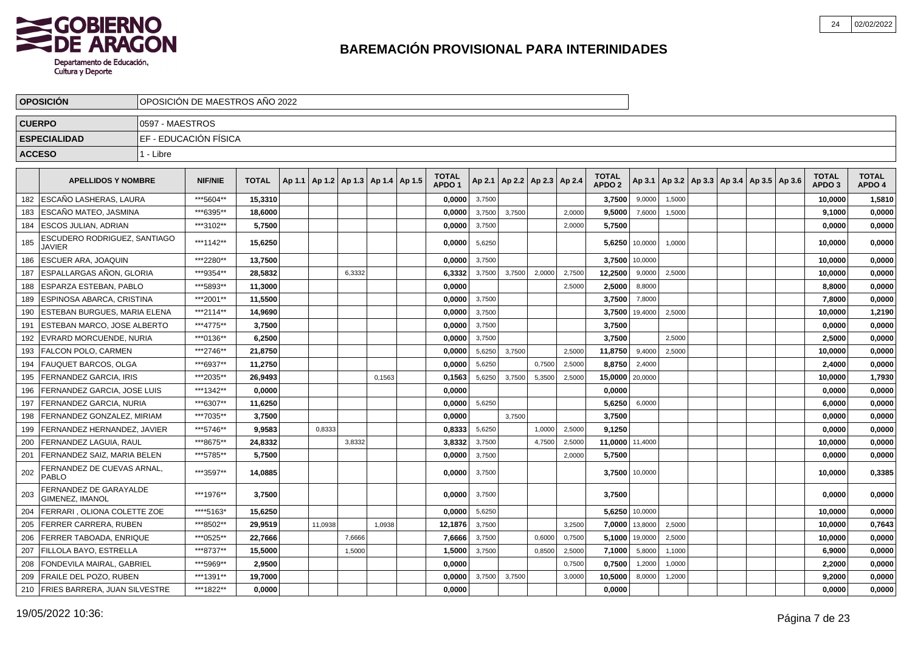

|               | <b>OPOSICION</b>                                 |                 | OPOSICIÓN DE MAESTROS AÑO 2022 |              |         |                                            |        |                                   |        |        |                          |        |                                   |                |        |                                            |  |                                   |                        |
|---------------|--------------------------------------------------|-----------------|--------------------------------|--------------|---------|--------------------------------------------|--------|-----------------------------------|--------|--------|--------------------------|--------|-----------------------------------|----------------|--------|--------------------------------------------|--|-----------------------------------|------------------------|
| <b>CUERPO</b> |                                                  | 0597 - MAESTROS |                                |              |         |                                            |        |                                   |        |        |                          |        |                                   |                |        |                                            |  |                                   |                        |
|               | <b>ESPECIALIDAD</b>                              |                 | EF - EDUCACIÓN FÍSICA          |              |         |                                            |        |                                   |        |        |                          |        |                                   |                |        |                                            |  |                                   |                        |
| <b>ACCESO</b> |                                                  | 1 - Libre       |                                |              |         |                                            |        |                                   |        |        |                          |        |                                   |                |        |                                            |  |                                   |                        |
|               |                                                  |                 |                                |              |         |                                            |        |                                   |        |        |                          |        |                                   |                |        |                                            |  |                                   |                        |
|               | <b>APELLIDOS Y NOMBRE</b>                        |                 | <b>NIF/NIE</b>                 | <b>TOTAL</b> |         | Ap 1.1   Ap 1.2   Ap 1.3   Ap 1.4   Ap 1.5 |        | <b>TOTAL</b><br>APDO <sub>1</sub> | Ap 2.1 |        | Ap 2.2   Ap 2.3   Ap 2.4 |        | <b>TOTAL</b><br>APDO <sub>2</sub> | Ap 3.1         |        | Ap 3.2   Ap 3.3   Ap 3.4   Ap 3.5   Ap 3.6 |  | <b>TOTAL</b><br>APDO <sub>3</sub> | <b>TOTAL</b><br>APDO 4 |
| 182           | <b>ESCAÑO LASHERAS. LAURA</b>                    |                 | ***5604**                      | 15,3310      |         |                                            |        | 0,0000                            | 3,7500 |        |                          |        | 3,7500                            | 9,0000         | 1,5000 |                                            |  | 10,0000                           | 1,5810                 |
| 183           | ESCAÑO MATEO, JASMINA                            |                 | ***6395**                      | 18,6000      |         |                                            |        | 0,0000                            | 3,7500 | 3,7500 |                          | 2,0000 | 9,5000                            | 7,6000         | 1,5000 |                                            |  | 9,1000                            | 0,0000                 |
| 184           | ESCOS JULIAN, ADRIAN                             |                 | ***3102**                      | 5,7500       |         |                                            |        | 0,0000                            | 3,7500 |        |                          | 2,0000 | 5,7500                            |                |        |                                            |  | 0,0000                            | 0,0000                 |
| 185           | ESCUDERO RODRIGUEZ, SANTIAGO<br><b>JAVIER</b>    |                 | ***1142**                      | 15,6250      |         |                                            |        | 0,0000                            | 5,6250 |        |                          |        | 5,6250                            | 10,0000        | 1,0000 |                                            |  | 10,0000                           | 0,0000                 |
| 186           | <b>ESCUER ARA, JOAQUIN</b>                       |                 | ***2280**                      | 13,7500      |         |                                            |        | 0,0000                            | 3,7500 |        |                          |        | 3,7500                            | 10,0000        |        |                                            |  | 10,0000                           | 0,0000                 |
| 187           | ESPALLARGAS AÑON, GLORIA                         |                 | ***9354**                      | 28,5832      |         | 6,3332                                     |        | 6,3332                            | 3,7500 | 3,7500 | 2,0000                   | 2,7500 | 12,2500                           | 9,0000         | 2,5000 |                                            |  | 10,0000                           | 0,0000                 |
| 188           | ESPARZA ESTEBAN. PABLO                           |                 | ***5893**                      | 11,3000      |         |                                            |        | 0,0000                            |        |        |                          | 2,5000 | 2,5000                            | 8,8000         |        |                                            |  | 8,8000                            | 0,0000                 |
| 189           | ESPINOSA ABARCA, CRISTINA                        |                 | ***2001**                      | 11,5500      |         |                                            |        | 0,0000                            | 3,7500 |        |                          |        | 3,7500                            | 7,8000         |        |                                            |  | 7,8000                            | 0,0000                 |
| 190           | ESTEBAN BURGUES, MARIA ELENA                     |                 | ***2114**                      | 14,9690      |         |                                            |        | 0,0000                            | 3,7500 |        |                          |        | 3,7500                            | 19,4000        | 2,5000 |                                            |  | 10,0000                           | 1,2190                 |
| 191           | ESTEBAN MARCO, JOSE ALBERTO                      |                 | ***4775**                      | 3,7500       |         |                                            |        | 0,0000                            | 3,7500 |        |                          |        | 3,7500                            |                |        |                                            |  | 0,0000                            | 0,0000                 |
| 192           | EVRARD MORCUENDE, NURIA                          |                 | ***0136**                      | 6,2500       |         |                                            |        | 0,0000                            | 3,7500 |        |                          |        | 3,7500                            |                | 2,5000 |                                            |  | 2,5000                            | 0,0000                 |
| 193           | <b>FALCON POLO, CARMEN</b>                       |                 | ***2746**                      | 21,8750      |         |                                            |        | 0,0000                            | 5,6250 | 3,7500 |                          | 2,5000 | 11,8750                           | 9,4000         | 2,5000 |                                            |  | 10,0000                           | 0,0000                 |
| 194           | <b>FAUQUET BARCOS, OLGA</b>                      |                 | ***6937**                      | 11.2750      |         |                                            |        | 0.0000                            | 5,6250 |        | 0,7500                   | 2,5000 | 8,8750                            | 2,4000         |        |                                            |  | 2,4000                            | 0,0000                 |
| 195           | FERNANDEZ GARCIA. IRIS                           |                 | ***2035**                      | 26,9493      |         |                                            | 0,1563 | 0,1563                            | 5,6250 | 3,7500 | 5,3500                   | 2,5000 | 15,0000                           | 20,0000        |        |                                            |  | 10,0000                           | 1,7930                 |
| 196           | FERNANDEZ GARCIA, JOSE LUIS                      |                 | ***1342**                      | 0.0000       |         |                                            |        | 0,0000                            |        |        |                          |        | 0,0000                            |                |        |                                            |  | 0,0000                            | 0,0000                 |
| 197           | FERNANDEZ GARCIA, NURIA                          |                 | ***6307**                      | 11,6250      |         |                                            |        | 0,0000                            | 5,6250 |        |                          |        | 5,6250                            | 6,0000         |        |                                            |  | 6,0000                            | 0,0000                 |
| 198           | FERNANDEZ GONZALEZ, MIRIAM                       |                 | ***7035**                      | 3,7500       |         |                                            |        | 0,0000                            |        | 3,7500 |                          |        | 3,7500                            |                |        |                                            |  | 0,0000                            | 0,0000                 |
| 199           | FERNANDEZ HERNANDEZ, JAVIER                      |                 | ***5746**                      | 9,9583       | 0.8333  |                                            |        | 0,8333                            | 5,6250 |        | 1,0000                   | 2,5000 | 9,1250                            |                |        |                                            |  | 0,0000                            | 0,0000                 |
| 200           | FERNANDEZ LAGUIA, RAUL                           |                 | ***8675**                      | 24,8332      |         | 3,8332                                     |        | 3,8332                            | 3,7500 |        | 4,7500                   | 2,5000 | 11,0000 11,4000                   |                |        |                                            |  | 10,0000                           | 0,0000                 |
| 201           | FERNANDEZ SAIZ, MARIA BELEN                      |                 | ***5785**                      | 5,7500       |         |                                            |        | 0,0000                            | 3,7500 |        |                          | 2,0000 | 5,7500                            |                |        |                                            |  | 0,0000                            | 0,0000                 |
| 202           | FERNANDEZ DE CUEVAS ARNAL<br>PABLO               |                 | ***3597**                      | 14,0885      |         |                                            |        | 0,0000                            | 3,7500 |        |                          |        |                                   | 3,7500 10,0000 |        |                                            |  | 10,0000                           | 0,3385                 |
| 203           | FERNANDEZ DE GARAYALDE<br><b>GIMENEZ, IMANOL</b> |                 | ***1976**                      | 3,7500       |         |                                            |        | 0.0000                            | 3,7500 |        |                          |        | 3,7500                            |                |        |                                            |  | 0,0000                            | 0,0000                 |
| 204           | FERRARI, OLIONA COLETTE ZOE                      |                 | ****5163*                      | 15,6250      |         |                                            |        | 0,0000                            | 5,6250 |        |                          |        |                                   | 5,6250 10,0000 |        |                                            |  | 10,0000                           | 0,0000                 |
| 205           | <b>FERRER CARRERA, RUBEN</b>                     |                 | ***8502**                      | 29,9519      | 11,0938 |                                            | 1,0938 | 12,1876                           | 3,7500 |        |                          | 3,2500 | 7,0000                            | 13,8000        | 2,5000 |                                            |  | 10,0000                           | 0,7643                 |
| 206           | <b>FERRER TABOADA, ENRIQUE</b>                   |                 | ***0525**                      | 22,7666      |         | 7,6666                                     |        | 7,6666                            | 3,7500 |        | 0,6000                   | 0,7500 | 5,1000                            | 19,0000        | 2,5000 |                                            |  | 10,0000                           | 0,0000                 |
| 207           | FILLOLA BAYO. ESTRELLA                           |                 | ***8737**                      | 15,5000      |         | 1,5000                                     |        | 1,5000                            | 3,7500 |        | 0,8500                   | 2,5000 | 7,1000                            | 5,8000         | 1,1000 |                                            |  | 6,9000                            | 0,0000                 |
| 208           | <b>FONDEVILA MAIRAL, GABRIEL</b>                 |                 | ***5969**                      | 2,9500       |         |                                            |        | 0,0000                            |        |        |                          | 0,7500 | 0,7500                            | 1,2000         | 1,0000 |                                            |  | 2,2000                            | 0,0000                 |
| 209           | FRAILE DEL POZO, RUBEN                           |                 | ***1391**                      | 19,7000      |         |                                            |        | 0,0000                            | 3,7500 | 3,7500 |                          | 3,0000 | 10,5000                           | 8,0000         | 1,2000 |                                            |  | 9,2000                            | 0,0000                 |
| 210           | <b>FRIES BARRERA, JUAN SILVESTRE</b>             |                 | ***1822**                      | 0,0000       |         |                                            |        | 0,0000                            |        |        |                          |        | 0,0000                            |                |        |                                            |  | 0.0000                            | 0,0000                 |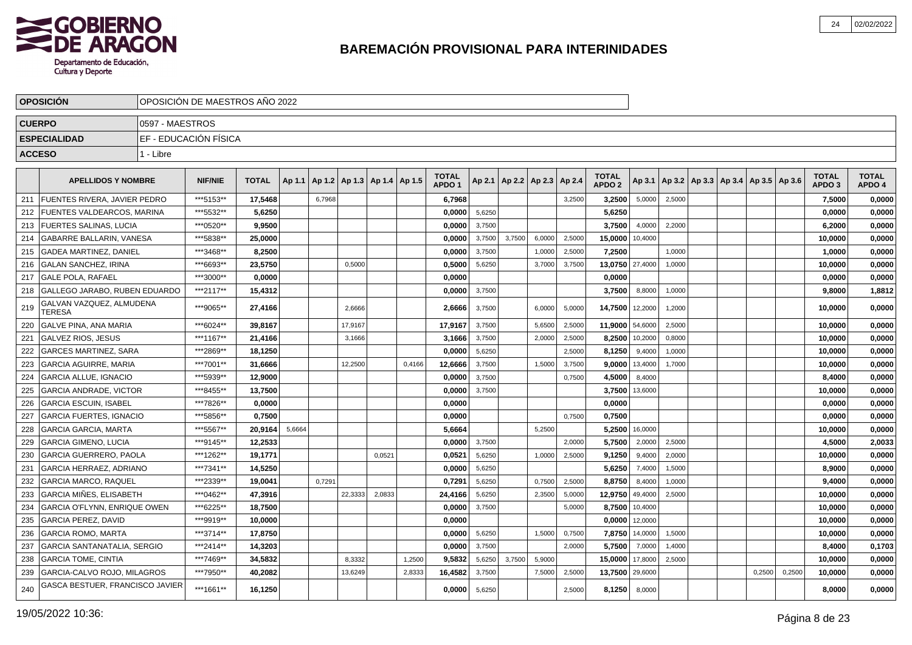

|               | <b>OPOSICIÓN</b>                    |                 | OPOSICIÓN DE MAESTROS AÑO 2022 |              |        |        |                                   |        |        |                                   |        |        |                                   |        |                                   |         |        |  |                                            |        |                                   |                        |
|---------------|-------------------------------------|-----------------|--------------------------------|--------------|--------|--------|-----------------------------------|--------|--------|-----------------------------------|--------|--------|-----------------------------------|--------|-----------------------------------|---------|--------|--|--------------------------------------------|--------|-----------------------------------|------------------------|
|               | <b>CUERPO</b>                       | 0597 - MAESTROS |                                |              |        |        |                                   |        |        |                                   |        |        |                                   |        |                                   |         |        |  |                                            |        |                                   |                        |
|               | <b>ESPECIALIDAD</b>                 |                 | EF - EDUCACIÓN FÍSICA          |              |        |        |                                   |        |        |                                   |        |        |                                   |        |                                   |         |        |  |                                            |        |                                   |                        |
| <b>ACCESO</b> |                                     | 1 - Libre       |                                |              |        |        |                                   |        |        |                                   |        |        |                                   |        |                                   |         |        |  |                                            |        |                                   |                        |
|               |                                     |                 |                                |              |        |        |                                   |        |        |                                   |        |        |                                   |        |                                   |         |        |  |                                            |        |                                   |                        |
|               | <b>APELLIDOS Y NOMBRE</b>           |                 | <b>NIF/NIE</b>                 | <b>TOTAL</b> | Ap 1.1 |        | Ap 1.2   Ap 1.3   Ap 1.4   Ap 1.5 |        |        | <b>TOTAL</b><br>APDO <sub>1</sub> |        |        | Ap 2.1   Ap 2.2   Ap 2.3   Ap 2.4 |        | <b>TOTAL</b><br>APDO <sub>2</sub> | Ap 3.1  |        |  | Ap 3.2   Ap 3.3   Ap 3.4   Ap 3.5   Ap 3.6 |        | <b>TOTAL</b><br>APDO <sub>3</sub> | <b>TOTAL</b><br>APDO 4 |
| 211           | <b>FUENTES RIVERA, JAVIER PEDRO</b> |                 | ***5153**                      | 17,5468      |        | 6,7968 |                                   |        |        | 6,7968                            |        |        |                                   | 3,2500 | 3,2500                            | 5,0000  | 2,5000 |  |                                            |        | 7,5000                            | 0,0000                 |
| 212           | <b>FUENTES VALDEARCOS, MARINA</b>   |                 | ***5532**                      | 5,6250       |        |        |                                   |        |        | 0.0000                            | 5,6250 |        |                                   |        | 5,6250                            |         |        |  |                                            |        | 0,0000                            | 0,0000                 |
| 213           | <b>FUERTES SALINAS, LUCIA</b>       |                 | ***0520**                      | 9.9500       |        |        |                                   |        |        | 0.0000                            | 3,7500 |        |                                   |        | 3,7500                            | 4,0000  | 2,2000 |  |                                            |        | 6.2000                            | 0,0000                 |
| 214           | GABARRE BALLARIN, VANESA            |                 | ***5838**                      | 25,0000      |        |        |                                   |        |        | 0,0000                            | 3,7500 | 3,7500 | 6,0000                            | 2,5000 | 15,0000                           | 10,4000 |        |  |                                            |        | 10,0000                           | 0,0000                 |
| 215           | <b>GADEA MARTINEZ, DANIEL</b>       |                 | ***3468**                      | 8,2500       |        |        |                                   |        |        | 0,0000                            | 3,7500 |        | 1,0000                            | 2,5000 | 7,2500                            |         | 1,0000 |  |                                            |        | 1,0000                            | 0,0000                 |
| 216           | <b>GALAN SANCHEZ, IRINA</b>         |                 | ***6693**                      | 23,5750      |        |        | 0,5000                            |        |        | 0,5000                            | 5,6250 |        | 3,7000                            | 3,7500 | 13,0750                           | 27,4000 | 1,0000 |  |                                            |        | 10,0000                           | 0,0000                 |
| 217           | <b>GALE POLA. RAFAEL</b>            |                 | ***3000**                      | 0.0000       |        |        |                                   |        |        | 0.0000                            |        |        |                                   |        | 0,0000                            |         |        |  |                                            |        | 0,0000                            | 0,0000                 |
| 218           | GALLEGO JARABO, RUBEN EDUARDO       |                 | ***2117**                      | 15,4312      |        |        |                                   |        |        | 0,0000                            | 3,7500 |        |                                   |        | 3,7500                            | 8,8000  | 1,0000 |  |                                            |        | 9,8000                            | 1,8812                 |
| 219           | GALVAN VAZQUEZ, ALMUDENA<br>TERESA  |                 | ***9065**                      | 27,4166      |        |        | 2,6666                            |        |        | 2.6666                            | 3,7500 |        | 6,0000                            | 5,0000 | 14,7500                           | 12,2000 | 1,2000 |  |                                            |        | 10,0000                           | 0,0000                 |
| 220           | <b>GALVE PINA, ANA MARIA</b>        |                 | ***6024**                      | 39,8167      |        |        | 17,9167                           |        |        | 17,9167                           | 3,7500 |        | 5,6500                            | 2,5000 | 11,9000 54,6000                   |         | 2,5000 |  |                                            |        | 10,0000                           | 0,0000                 |
| 221           | <b>GALVEZ RIOS, JESUS</b>           |                 | ***1167**                      | 21,4166      |        |        | 3,1666                            |        |        | 3,1666                            | 3,7500 |        | 2,0000                            | 2,5000 | 8,2500                            | 10,2000 | 0,8000 |  |                                            |        | 10,0000                           | 0,0000                 |
| 222           | <b>GARCES MARTINEZ, SARA</b>        |                 | ***2869**                      | 18,1250      |        |        |                                   |        |        | 0,0000                            | 5,6250 |        |                                   | 2,5000 | 8,1250                            | 9,4000  | 1,0000 |  |                                            |        | 10,0000                           | 0,0000                 |
| 223           | <b>GARCIA AGUIRRE, MARIA</b>        |                 | ***7001**                      | 31,6666      |        |        | 12,2500                           |        | 0,4166 | 12,6666                           | 3,7500 |        | 1,5000                            | 3,7500 | 9,0000                            | 13,4000 | 1,7000 |  |                                            |        | 10,0000                           | 0,0000                 |
| 224           | <b>GARCIA ALLUE, IGNACIO</b>        |                 | ***5939**                      | 12,9000      |        |        |                                   |        |        | 0,0000                            | 3,7500 |        |                                   | 0,7500 | 4,5000                            | 8,4000  |        |  |                                            |        | 8,4000                            | 0,0000                 |
| 225           | <b>GARCIA ANDRADE, VICTOR</b>       |                 | ***8455**                      | 13,7500      |        |        |                                   |        |        | 0,0000                            | 3,7500 |        |                                   |        | 3,7500                            | 13,6000 |        |  |                                            |        | 10,0000                           | 0,0000                 |
| 226           | <b>GARCIA ESCUIN, ISABEL</b>        |                 | ***7826**                      | 0,0000       |        |        |                                   |        |        | 0,0000                            |        |        |                                   |        | 0,0000                            |         |        |  |                                            |        | 0,0000                            | 0,0000                 |
| 227           | <b>GARCIA FUERTES, IGNACIO</b>      |                 | ***5856**                      | 0,7500       |        |        |                                   |        |        | 0,0000                            |        |        |                                   | 0,7500 | 0,7500                            |         |        |  |                                            |        | 0,0000                            | 0,0000                 |
| 228           | <b>GARCIA GARCIA, MARTA</b>         |                 | ***5567**                      | 20.9164      | 5,6664 |        |                                   |        |        | 5,6664                            |        |        | 5,2500                            |        | 5,2500                            | 16,0000 |        |  |                                            |        | 10,0000                           | 0,0000                 |
| 229           | <b>GARCIA GIMENO, LUCIA</b>         |                 | ***9145**                      | 12,2533      |        |        |                                   |        |        | 0,0000                            | 3,7500 |        |                                   | 2.0000 | 5,7500                            | 2,0000  | 2,5000 |  |                                            |        | 4,5000                            | 2,0033                 |
| 230           | <b>GARCIA GUERRERO, PAOLA</b>       |                 | ***1262**                      | 19,1771      |        |        |                                   | 0,0521 |        | 0,0521                            | 5,6250 |        | 1,0000                            | 2,5000 | 9,1250                            | 9,4000  | 2,0000 |  |                                            |        | 10,0000                           | 0,0000                 |
| 231           | GARCIA HERRAEZ, ADRIANO             |                 | ***7341**                      | 14,5250      |        |        |                                   |        |        | 0,0000                            | 5,6250 |        |                                   |        | 5,6250                            | 7,4000  | 1,5000 |  |                                            |        | 8,9000                            | 0,0000                 |
| 232           | <b>GARCIA MARCO, RAQUEL</b>         |                 | ***2339**                      | 19,0041      |        | 0.7291 |                                   |        |        | 0,7291                            | 5,6250 |        | 0,7500                            | 2,5000 | 8,8750                            | 8,4000  | 1,0000 |  |                                            |        | 9,4000                            | 0,0000                 |
| 233           | GARCIA MIÑES. ELISABETH             |                 | ***0462**                      | 47,3916      |        |        | 22,3333                           | 2,0833 |        | 24,4166                           | 5,6250 |        | 2,3500                            | 5,0000 | 12,9750                           | 49,4000 | 2,5000 |  |                                            |        | 10,0000                           | 0,0000                 |
| 234           | <b>GARCIA O'FLYNN, ENRIQUE OWEN</b> |                 | ***6225**                      | 18,7500      |        |        |                                   |        |        | 0,0000                            | 3,7500 |        |                                   | 5,0000 | 8,7500                            | 10,4000 |        |  |                                            |        | 10,0000                           | 0,0000                 |
| 235           | <b>GARCIA PEREZ, DAVID</b>          |                 | ***9919**                      | 10,0000      |        |        |                                   |        |        | 0,0000                            |        |        |                                   |        | 0,0000                            | 12,0000 |        |  |                                            |        | 10,0000                           | 0,0000                 |
| 236           | l GARCIA ROMO. MARTA                |                 | ***3714**                      | 17,8750      |        |        |                                   |        |        | 0,0000                            | 5,6250 |        | 1,5000                            | 0,7500 | 7,8750                            | 14,0000 | 1,5000 |  |                                            |        | 10,0000                           | 0,0000                 |
| 237           | <b>GARCIA SANTANATALIA, SERGIO</b>  |                 | ***2414**                      | 14,3203      |        |        |                                   |        |        | 0.0000                            | 3,7500 |        |                                   | 2,0000 | 5,7500                            | 7,0000  | 1,4000 |  |                                            |        | 8,4000                            | 0,1703                 |
| 238           | <b>GARCIA TOME, CINTIA</b>          |                 | ***7469**                      | 34,5832      |        |        | 8,3332                            |        | 1,2500 | 9,5832                            | 5,6250 | 3,7500 | 5,9000                            |        | 15,0000                           | 17,8000 | 2,5000 |  |                                            |        | 10,0000                           | 0,0000                 |
| 239           | GARCIA-CALVO ROJO, MILAGROS         |                 | ***7950**                      | 40,2082      |        |        | 13,6249                           |        | 2,8333 | 16,4582                           | 3,7500 |        | 7,5000                            | 2,5000 | 13,7500                           | 29,6000 |        |  | 0,2500                                     | 0,2500 | 10,0000                           | 0,0000                 |
| 240           | GASCA BESTUER, FRANCISCO JAVIER     |                 | ***1661**                      | 16,1250      |        |        |                                   |        |        | 0,0000                            | 5,6250 |        |                                   | 2,5000 | 8,1250                            | 8,0000  |        |  |                                            |        | 8,0000                            | 0,0000                 |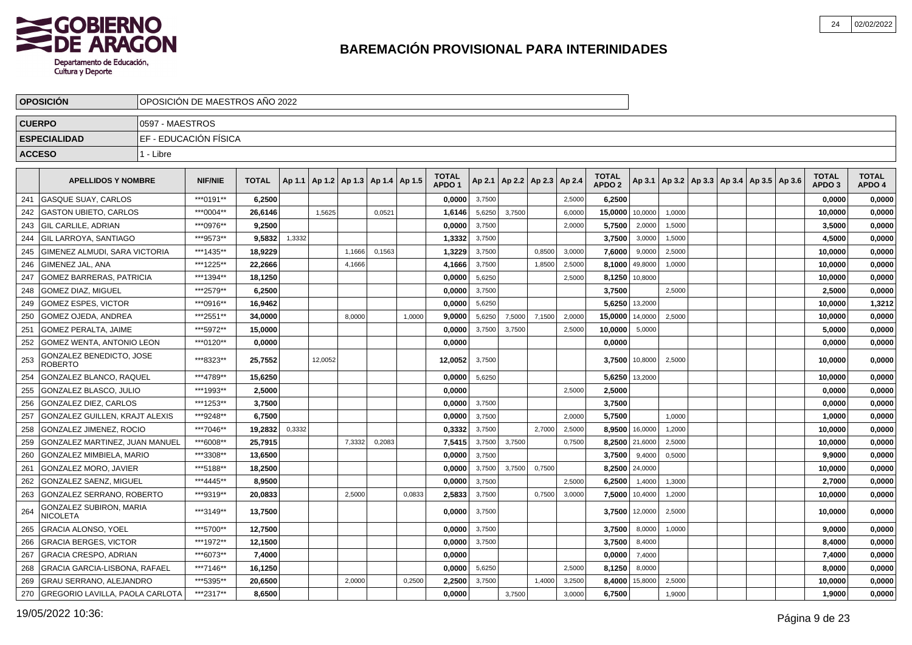

|               | <b>OPOSICION</b>                           |                 | OPOSICION DE MAESTROS ANO 2022 |              |        |         |                                   |        |        |                                   |        |        |                                   |        |                                   |         |        |                                                     |  |                                   |                        |
|---------------|--------------------------------------------|-----------------|--------------------------------|--------------|--------|---------|-----------------------------------|--------|--------|-----------------------------------|--------|--------|-----------------------------------|--------|-----------------------------------|---------|--------|-----------------------------------------------------|--|-----------------------------------|------------------------|
| <b>CUERPO</b> |                                            | 0597 - MAESTROS |                                |              |        |         |                                   |        |        |                                   |        |        |                                   |        |                                   |         |        |                                                     |  |                                   |                        |
|               | <b>ESPECIALIDAD</b>                        |                 | EF - EDUCACIÓN FÍSICA          |              |        |         |                                   |        |        |                                   |        |        |                                   |        |                                   |         |        |                                                     |  |                                   |                        |
| <b>ACCESO</b> |                                            | 1 - Libre       |                                |              |        |         |                                   |        |        |                                   |        |        |                                   |        |                                   |         |        |                                                     |  |                                   |                        |
|               |                                            |                 |                                |              |        |         |                                   |        |        |                                   |        |        |                                   |        |                                   |         |        |                                                     |  |                                   |                        |
|               | <b>APELLIDOS Y NOMBRE</b>                  |                 | <b>NIF/NIE</b>                 | <b>TOTAL</b> | Ap 1.1 |         | Ap 1.2   Ap 1.3   Ap 1.4   Ap 1.5 |        |        | <b>TOTAL</b><br>APDO <sub>1</sub> |        |        | Ap 2.1   Ap 2.2   Ap 2.3   Ap 2.4 |        | <b>TOTAL</b><br>APDO <sub>2</sub> |         |        | Ap 3.1   Ap 3.2   Ap 3.3   Ap 3.4   Ap 3.5   Ap 3.6 |  | <b>TOTAL</b><br>APDO <sub>3</sub> | <b>TOTAL</b><br>APDO 4 |
| 241           | <b>GASQUE SUAY, CARLOS</b>                 |                 | ***0191**                      | 6,2500       |        |         |                                   |        |        | 0.0000                            | 3,7500 |        |                                   | 2,5000 | 6,2500                            |         |        |                                                     |  | 0,0000                            | 0,0000                 |
| 242           | <b>GASTON UBIETO, CARLOS</b>               |                 | ***0004**                      | 26.6146      |        | 1,5625  |                                   | 0,0521 |        | 1,6146                            | 5,6250 | 3,7500 |                                   | 6,0000 | 15,0000                           | 10,0000 | 1,0000 |                                                     |  | 10.0000                           | 0,0000                 |
| 243           | <b>GIL CARLILE, ADRIAN</b>                 |                 | ***0976**                      | 9.2500       |        |         |                                   |        |        | 0.0000                            | 3,7500 |        |                                   | 2.0000 | 5,7500                            | 2,0000  | 1,5000 |                                                     |  | 3.5000                            | 0,0000                 |
| 244           | <b>GIL LARROYA, SANTIAGO</b>               |                 | ***9573**                      | 9,5832       | 1,3332 |         |                                   |        |        | 1,3332                            | 3,7500 |        |                                   |        | 3,7500                            | 3,0000  | 1,5000 |                                                     |  | 4,5000                            | 0,0000                 |
| 245           | GIMENEZ ALMUDI, SARA VICTORIA              |                 | ***1435**                      | 18,9229      |        |         | 1,1666                            | 0,1563 |        | 1,3229                            | 3,7500 |        | 0,8500                            | 3,0000 | 7,6000                            | 9,0000  | 2,5000 |                                                     |  | 10,0000                           | 0,0000                 |
| 246           | GIMENEZ JAL, ANA                           |                 | ***1225**                      | 22,2666      |        |         | 4,1666                            |        |        | 4,1666                            | 3,7500 |        | 1,8500                            | 2,5000 | 8,1000                            | 49,8000 | 1,0000 |                                                     |  | 10,0000                           | 0,0000                 |
| 247           | <b>GOMEZ BARRERAS, PATRICIA</b>            |                 | ***1394**                      | 18,1250      |        |         |                                   |        |        | 0,0000                            | 5,6250 |        |                                   | 2,5000 | 8,1250                            | 10,8000 |        |                                                     |  | 10,0000                           | 0,0000                 |
| 248           | <b>GOMEZ DIAZ, MIGUEL</b>                  |                 | ***2579**                      | 6,2500       |        |         |                                   |        |        | 0,0000                            | 3,7500 |        |                                   |        | 3,7500                            |         | 2,5000 |                                                     |  | 2,5000                            | 0,0000                 |
| 249           | <b>GOMEZ ESPES, VICTOR</b>                 |                 | ***0916**                      | 16,9462      |        |         |                                   |        |        | 0,0000                            | 5,6250 |        |                                   |        | 5,6250                            | 13,2000 |        |                                                     |  | 10,0000                           | 1,3212                 |
| 250           | <b>GOMEZ OJEDA, ANDREA</b>                 |                 | ***2551**                      | 34,0000      |        |         | 8,0000                            |        | 1,0000 | 9,0000                            | 5,6250 | 7,5000 | 7,1500                            | 2,0000 | 15,0000                           | 14,0000 | 2,5000 |                                                     |  | 10,0000                           | 0,0000                 |
| 251           | <b>GOMEZ PERALTA, JAIME</b>                |                 | ***5972**                      | 15,0000      |        |         |                                   |        |        | 0,0000                            | 3,7500 | 3,7500 |                                   | 2,5000 | 10,0000                           | 5,0000  |        |                                                     |  | 5,0000                            | 0,0000                 |
| 252           | <b>GOMEZ WENTA, ANTONIO LEON</b>           |                 | ***0120**                      | 0,0000       |        |         |                                   |        |        | 0,0000                            |        |        |                                   |        | 0,0000                            |         |        |                                                     |  | 0,0000                            | 0,0000                 |
| 253           | GONZALEZ BENEDICTO, JOSE<br><b>ROBERTO</b> |                 | ***8323**                      | 25,7552      |        | 12,0052 |                                   |        |        | 12,0052                           | 3,7500 |        |                                   |        | 3,7500                            | 10,8000 | 2,5000 |                                                     |  | 10,0000                           | 0,0000                 |
| 254           | GONZALEZ BLANCO, RAQUEL                    |                 | ***4789**                      | 15,6250      |        |         |                                   |        |        | 0,0000                            | 5,6250 |        |                                   |        | 5,6250                            | 13,2000 |        |                                                     |  | 10,0000                           | 0,0000                 |
| 255           | <b>GONZALEZ BLASCO, JULIO</b>              |                 | ***1993**                      | 2,5000       |        |         |                                   |        |        | 0.0000                            |        |        |                                   | 2.5000 | 2,5000                            |         |        |                                                     |  | 0,0000                            | 0,0000                 |
| 256           | <b>GONZALEZ DIEZ, CARLOS</b>               |                 | ***1253**                      | 3,7500       |        |         |                                   |        |        | 0.0000                            | 3,7500 |        |                                   |        | 3,7500                            |         |        |                                                     |  | 0,0000                            | 0,0000                 |
| 257           | GONZALEZ GUILLEN, KRAJT ALEXIS             |                 | ***9248**                      | 6.7500       |        |         |                                   |        |        | 0.0000                            | 3,7500 |        |                                   | 2.0000 | 5,7500                            |         | 1,0000 |                                                     |  | 1,0000                            | 0,0000                 |
| 258           | GONZALEZ JIMENEZ, ROCIO                    |                 | ***7046**                      | 19.2832      | 0,3332 |         |                                   |        |        | 0,3332                            | 3,7500 |        | 2.7000                            | 2,5000 | 8.9500                            | 16,0000 | 1,2000 |                                                     |  | 10,0000                           | 0,0000                 |
| 259           | <b>GONZALEZ MARTINEZ. JUAN MANUEL</b>      |                 | ***6008**                      | 25,7915      |        |         | 7,3332                            | 0,2083 |        | 7,5415                            | 3,7500 | 3,7500 |                                   | 0.7500 | 8,2500                            | 21,6000 | 2,5000 |                                                     |  | 10,0000                           | 0,0000                 |
| 260           | GONZALEZ MIMBIELA, MARIO                   |                 | ***3308**                      | 13,6500      |        |         |                                   |        |        | 0,0000                            | 3,7500 |        |                                   |        | 3,7500                            | 9,4000  | 0,5000 |                                                     |  | 9,9000                            | 0,0000                 |
| 261           | <b>GONZALEZ MORO, JAVIER</b>               |                 | ***5188**                      | 18,2500      |        |         |                                   |        |        | 0,0000                            | 3,7500 | 3,7500 | 0,7500                            |        | 8,2500                            | 24,0000 |        |                                                     |  | 10,0000                           | 0,0000                 |
| 262           | GONZALEZ SAENZ, MIGUEL                     |                 | ***4445**                      | 8,9500       |        |         |                                   |        |        | 0,0000                            | 3,7500 |        |                                   | 2,5000 | 6,2500                            | 1,4000  | 1,3000 |                                                     |  | 2,7000                            | 0,0000                 |
| 263           | GONZALEZ SERRANO, ROBERTO                  |                 | ***9319**                      | 20,0833      |        |         | 2,5000                            |        | 0,0833 | 2,5833                            | 3,7500 |        | 0,7500                            | 3,0000 | 7,5000                            | 10,4000 | 1,2000 |                                                     |  | 10,0000                           | 0,0000                 |
| 264           | GONZALEZ SUBIRON, MARIA<br><b>NICOLETA</b> |                 | ***3149**                      | 13,7500      |        |         |                                   |        |        | 0,0000                            | 3,7500 |        |                                   |        | 3,7500                            | 12,0000 | 2,5000 |                                                     |  | 10,0000                           | 0,0000                 |
| 265           | <b>GRACIA ALONSO, YOEL</b>                 |                 | ***5700**                      | 12,7500      |        |         |                                   |        |        | 0,0000                            | 3,7500 |        |                                   |        | 3,7500                            | 8,0000  | 1,0000 |                                                     |  | 9,0000                            | 0,0000                 |
| 266           | <b>GRACIA BERGES, VICTOR</b>               |                 | ***1972**                      | 12,1500      |        |         |                                   |        |        | 0,0000                            | 3,7500 |        |                                   |        | 3,7500                            | 8,4000  |        |                                                     |  | 8,4000                            | 0,0000                 |
| 267           | <b>GRACIA CRESPO, ADRIAN</b>               |                 | ***6073**                      | 7,4000       |        |         |                                   |        |        | 0.0000                            |        |        |                                   |        | 0,0000                            | 7,4000  |        |                                                     |  | 7,4000                            | 0,0000                 |
| 268           | <b>GRACIA GARCIA-LISBONA, RAFAEL</b>       |                 | ***7146**                      | 16,1250      |        |         |                                   |        |        | 0,0000                            | 5,6250 |        |                                   | 2,5000 | 8,1250                            | 8,0000  |        |                                                     |  | 8,0000                            | 0,0000                 |
| 269           | GRAU SERRANO, ALEJANDRO                    |                 | ***5395**                      | 20,6500      |        |         | 2,0000                            |        | 0,2500 | 2,2500                            | 3,7500 |        | 1,4000                            | 3,2500 | 8,4000                            | 15,8000 | 2,5000 |                                                     |  | 10,0000                           | 0,0000                 |
| 270           | GREGORIO LAVILLA, PAOLA CARLOTA            |                 | ***2317**                      | 8,6500       |        |         |                                   |        |        | 0.0000                            |        | 3,7500 |                                   | 3,0000 | 6,7500                            |         | 1,9000 |                                                     |  | 1,9000                            | 0,0000                 |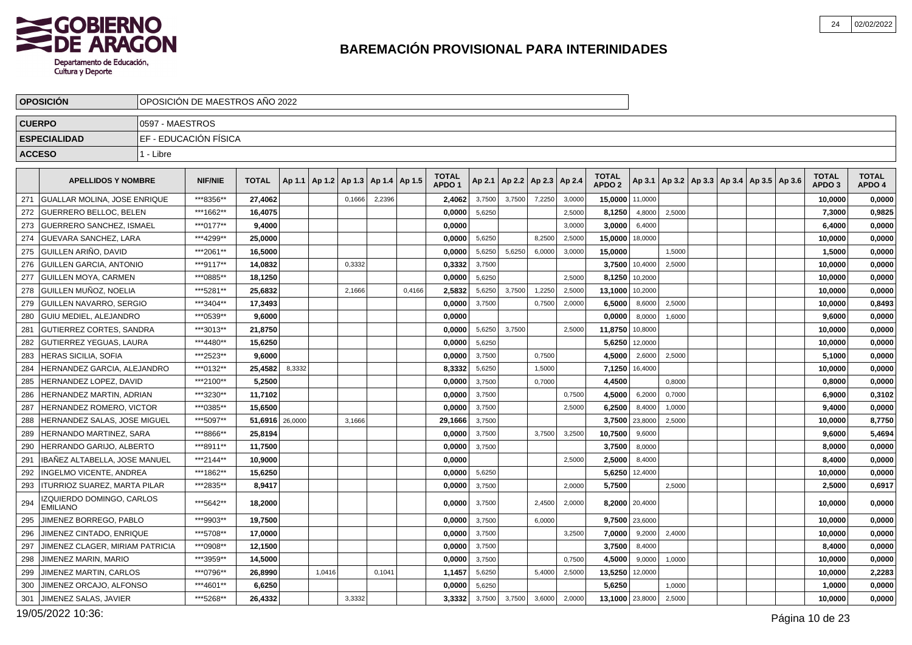

|               | <b>OPOSICIÓN</b>                             |                 | OPOSICIÓN DE MAESTROS AÑO 2022 |                 |        |        |        |                          |        |                                   |        |        |                          |        |                                   |                |                                                     |  |  |                                   |                        |
|---------------|----------------------------------------------|-----------------|--------------------------------|-----------------|--------|--------|--------|--------------------------|--------|-----------------------------------|--------|--------|--------------------------|--------|-----------------------------------|----------------|-----------------------------------------------------|--|--|-----------------------------------|------------------------|
| <b>CUERPO</b> |                                              | 0597 - MAESTROS |                                |                 |        |        |        |                          |        |                                   |        |        |                          |        |                                   |                |                                                     |  |  |                                   |                        |
|               | <b>ESPECIALIDAD</b>                          |                 | EF - EDUCACIÓN FÍSICA          |                 |        |        |        |                          |        |                                   |        |        |                          |        |                                   |                |                                                     |  |  |                                   |                        |
| <b>ACCESO</b> |                                              | 1 - Libre       |                                |                 |        |        |        |                          |        |                                   |        |        |                          |        |                                   |                |                                                     |  |  |                                   |                        |
|               |                                              |                 |                                |                 |        |        |        |                          |        |                                   |        |        |                          |        |                                   |                |                                                     |  |  |                                   |                        |
|               | <b>APELLIDOS Y NOMBRE</b>                    |                 | <b>NIF/NIE</b>                 | <b>TOTAL</b>    | Ap 1.1 | Ap 1.2 |        | Ap 1.3   Ap 1.4   Ap 1.5 |        | <b>TOTAL</b><br>APDO <sub>1</sub> | Ap 2.1 |        | Ap 2.2   Ap 2.3   Ap 2.4 |        | <b>TOTAL</b><br>APDO <sub>2</sub> |                | Ap 3.1   Ap 3.2   Ap 3.3   Ap 3.4   Ap 3.5   Ap 3.6 |  |  | <b>TOTAL</b><br>APDO <sub>3</sub> | <b>TOTAL</b><br>APDO 4 |
| 271           | GUALLAR MOLINA. JOSE ENRIQUE                 |                 | ***8356**                      | 27.4062         |        |        | 0.1666 | 2.2396                   |        | 2,4062                            | 3,7500 | 3,7500 | 7,2250                   | 3,0000 | 15,0000                           | 11.0000        |                                                     |  |  | 10,0000                           | 0,0000                 |
| 272           | <b>GUERRERO BELLOC, BELEN</b>                |                 | ***1662**                      | 16,4075         |        |        |        |                          |        | 0,0000                            | 5,6250 |        |                          | 2,5000 | 8,1250                            | 4,8000         | 2,5000                                              |  |  | 7,3000                            | 0,9825                 |
| 273           | GUERRERO SANCHEZ. ISMAEL                     |                 | ***0177**                      | 9.4000          |        |        |        |                          |        | 0.0000                            |        |        |                          | 3,0000 | 3,0000                            | 6,4000         |                                                     |  |  | 6,4000                            | 0,0000                 |
| 274           | <b>GUEVARA SANCHEZ, LARA</b>                 |                 | ***4299**                      | 25,0000         |        |        |        |                          |        | 0,0000                            | 5,6250 |        | 8,2500                   | 2,5000 | 15,0000                           | 18,0000        |                                                     |  |  | 10,0000                           | 0,0000                 |
| 275           | Í GUILLEN ARIÑO. DAVID                       |                 | ***2061**                      | 16,5000         |        |        |        |                          |        | 0,0000                            | 5,6250 | 5,6250 | 6,0000                   | 3,0000 | 15,0000                           |                | 1,5000                                              |  |  | 1,5000                            | 0,0000                 |
| 276           | <b>GUILLEN GARCIA, ANTONIO</b>               |                 | ***9117**                      | 14,0832         |        |        | 0,3332 |                          |        | 0,3332                            | 3,7500 |        |                          |        | 3,7500                            | 10,4000        | 2,5000                                              |  |  | 10,0000                           | 0,0000                 |
| 277           | <b>GUILLEN MOYA, CARMEN</b>                  |                 | ***0885**                      | 18,1250         |        |        |        |                          |        | 0,0000                            | 5,6250 |        |                          | 2,5000 | 8,1250                            | 10,2000        |                                                     |  |  | 10,0000                           | 0,0000                 |
| 278           | GUILLEN MUÑOZ, NOELIA                        |                 | ***5281**                      | 25,6832         |        |        | 2,1666 |                          | 0,4166 | 2,5832                            | 5,6250 | 3,7500 | 1,2250                   | 2,5000 | 13,1000                           | 10,2000        |                                                     |  |  | 10,0000                           | 0,0000                 |
| 279           | <b>GUILLEN NAVARRO, SERGIO</b>               |                 | ***3404**                      | 17,3493         |        |        |        |                          |        | 0,0000                            | 3,7500 |        | 0,7500                   | 2,0000 | 6,5000                            | 8,6000         | 2,5000                                              |  |  | 10,0000                           | 0,8493                 |
| 280           | <b>GUIU MEDIEL. ALEJANDRO</b>                |                 | ***0539**                      | 9.6000          |        |        |        |                          |        | 0.0000                            |        |        |                          |        | 0,0000                            | 8,0000         | 1,6000                                              |  |  | 9.6000                            | 0,0000                 |
| 281           | <b>GUTIERREZ CORTES, SANDRA</b>              |                 | ***3013**                      | 21,8750         |        |        |        |                          |        | 0,0000                            | 5,6250 | 3,7500 |                          | 2,5000 | 11,8750                           | 10,8000        |                                                     |  |  | 10,0000                           | 0,0000                 |
| 282           | <b>GUTIERREZ YEGUAS, LAURA</b>               |                 | ***4480**                      | 15,6250         |        |        |        |                          |        | 0,0000                            | 5,6250 |        |                          |        | 5,6250                            | 12.0000        |                                                     |  |  | 10,0000                           | 0,0000                 |
| 283           | <b>HERAS SICILIA, SOFIA</b>                  |                 | ***2523**                      | 9,6000          |        |        |        |                          |        | 0,0000                            | 3,7500 |        | 0,7500                   |        | 4,5000                            | 2,6000         | 2,5000                                              |  |  | 5,1000                            | 0,0000                 |
| 284           | <b>HERNANDEZ GARCIA, ALEJANDRO</b>           |                 | ***0132**                      | 25,4582         | 8,3332 |        |        |                          |        | 8.3332                            | 5,6250 |        | 1,5000                   |        | 7,1250                            | 16,4000        |                                                     |  |  | 10,0000                           | 0,0000                 |
| 285           | HERNANDEZ LOPEZ, DAVID                       |                 | ***2100**                      | 5,2500          |        |        |        |                          |        | 0,0000                            | 3,7500 |        | 0,7000                   |        | 4,4500                            |                | 0,8000                                              |  |  | 0,8000                            | 0,0000                 |
| 286           | HERNANDEZ MARTIN, ADRIAN                     |                 | ***3230**                      | 11,7102         |        |        |        |                          |        | 0,0000                            | 3,7500 |        |                          | 0,7500 | 4,5000                            | 6,2000         | 0,7000                                              |  |  | 6,9000                            | 0,3102                 |
| 287           | HERNANDEZ ROMERO, VICTOR                     |                 | ***0385**                      | 15,6500         |        |        |        |                          |        | 0,0000                            | 3,7500 |        |                          | 2,5000 | 6,2500                            | 8,4000         | 1,0000                                              |  |  | 9,4000                            | 0,0000                 |
| 288           | HERNANDEZ SALAS, JOSE MIGUEL                 |                 | ***5097**                      | 51,6916 26,0000 |        |        | 3,1666 |                          |        | 29,1666                           | 3,7500 |        |                          |        | 3,7500                            | 23,8000        | 2,5000                                              |  |  | 10,0000                           | 8,7750                 |
| 289           | HERNANDO MARTINEZ, SARA                      |                 | ***8866**                      | 25,8194         |        |        |        |                          |        | 0,0000                            | 3,7500 |        | 3,7500                   | 3,2500 | 10,7500                           | 9,6000         |                                                     |  |  | 9,6000                            | 5,4694                 |
| 290           | HERRANDO GARIJO. ALBERTO                     |                 | ***8911**                      | 11,7500         |        |        |        |                          |        | 0,0000                            | 3,7500 |        |                          |        | 3,7500                            | 8,0000         |                                                     |  |  | 8,0000                            | 0,0000                 |
| 291           | IBANEZ ALTABELLA, JOSE MANUEL                |                 | ***2144**                      | 10.9000         |        |        |        |                          |        | 0.0000                            |        |        |                          | 2.5000 | 2,5000                            | 8,4000         |                                                     |  |  | 8,4000                            | 0,0000                 |
| 292           | INGELMO VICENTE, ANDREA                      |                 | ***1862**                      | 15,6250         |        |        |        |                          |        | 0,0000                            | 5,6250 |        |                          |        | 5,6250                            | 12,4000        |                                                     |  |  | 10,0000                           | 0,0000                 |
| 293           | <b>ITURRIOZ SUAREZ, MARTA PILAR</b>          |                 | ***2835**                      | 8,9417          |        |        |        |                          |        | 0.0000                            | 3,7500 |        |                          | 2.0000 | 5,7500                            |                | 2,5000                                              |  |  | 2.5000                            | 0,6917                 |
| 294           | IZQUIERDO DOMINGO, CARLOS<br><b>EMILIANO</b> |                 | ***5642**                      | 18,2000         |        |        |        |                          |        | 0.0000                            | 3,7500 |        | 2,4500                   | 2.0000 |                                   | 8,2000 20,4000 |                                                     |  |  | 10,0000                           | 0,0000                 |
| 295           | JIMENEZ BORREGO, PABLO                       |                 | ***9903**                      | 19,7500         |        |        |        |                          |        | 0.0000                            | 3,7500 |        | 6,0000                   |        |                                   | 9,7500 23,6000 |                                                     |  |  | 10,0000                           | 0,0000                 |
| 296           | JIMENEZ CINTADO, ENRIQUE                     |                 | ***5708**                      | 17,0000         |        |        |        |                          |        | 0,0000                            | 3,7500 |        |                          | 3,2500 | 7,0000                            | 9,2000         | 2,4000                                              |  |  | 10,0000                           | 0,0000                 |
| 297           | JIMENEZ CLAGER, MIRIAM PATRICIA              |                 | ***0908**                      | 12,1500         |        |        |        |                          |        | 0,0000                            | 3,7500 |        |                          |        | 3,7500                            | 8,4000         |                                                     |  |  | 8,4000                            | 0,0000                 |
| 298           | JIMENEZ MARIN, MARIO                         |                 | ***3959**                      | 14,5000         |        |        |        |                          |        | 0,0000                            | 3,7500 |        |                          | 0,7500 | 4,5000                            | 9,0000         | 1,0000                                              |  |  | 10,0000                           | 0,0000                 |
| 299           | JIMENEZ MARTIN, CARLOS                       |                 | ***0796**                      | 26,8990         |        | 1,0416 |        | 0,1041                   |        | 1,1457                            | 5,6250 |        | 5,4000                   | 2,5000 | 13,5250                           | 12,0000        |                                                     |  |  | 10,0000                           | 2,2283                 |
| 300           | JIMENEZ ORCAJO, ALFONSO                      |                 | ***4601**                      | 6,6250          |        |        |        |                          |        | 0.0000                            | 5,6250 |        |                          |        | 5,6250                            |                | 1,0000                                              |  |  | 1.0000                            | 0,0000                 |
| 301           | JIMENEZ SALAS, JAVIER                        |                 | ***5268**                      | 26,4332         |        |        | 3,3332 |                          |        | 3,3332                            | 3,7500 | 3,7500 | 3,6000                   | 2,0000 | 13,1000 23,8000                   |                | 2,5000                                              |  |  | 10,0000                           | 0,0000                 |

19/05/2022 10:36: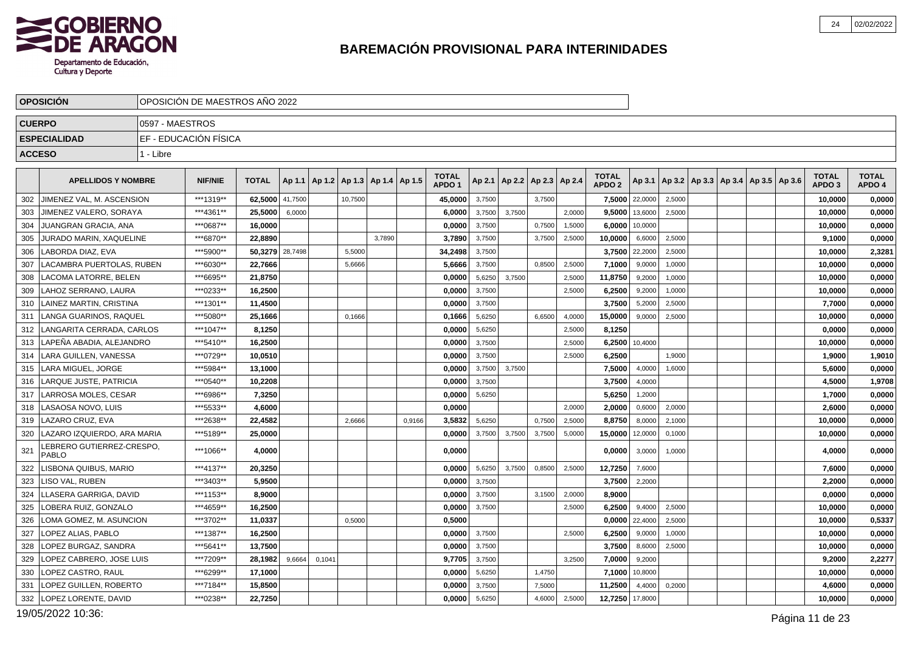

|                 | <b>OPOSICION</b>                         |                 | OPOSICIÓN DE MAESTROS AÑO 2022 |                 |         |        |                                            |        |        |                                   |        |        |                                   |        |                                   |                |                                                     |  |  |                                   |                        |
|-----------------|------------------------------------------|-----------------|--------------------------------|-----------------|---------|--------|--------------------------------------------|--------|--------|-----------------------------------|--------|--------|-----------------------------------|--------|-----------------------------------|----------------|-----------------------------------------------------|--|--|-----------------------------------|------------------------|
|                 | <b>CUERPO</b>                            | 0597 - MAESTROS |                                |                 |         |        |                                            |        |        |                                   |        |        |                                   |        |                                   |                |                                                     |  |  |                                   |                        |
|                 | <b>ESPECIALIDAD</b>                      |                 | EF - EDUCACIÓN FÍSICA          |                 |         |        |                                            |        |        |                                   |        |        |                                   |        |                                   |                |                                                     |  |  |                                   |                        |
| <b>ACCESO</b>   |                                          | 1 - Libre       |                                |                 |         |        |                                            |        |        |                                   |        |        |                                   |        |                                   |                |                                                     |  |  |                                   |                        |
|                 | <b>APELLIDOS Y NOMBRE</b>                |                 | <b>NIF/NIE</b>                 | <b>TOTAL</b>    |         |        | Ap 1.1   Ap 1.2   Ap 1.3   Ap 1.4   Ap 1.5 |        |        | <b>TOTAL</b><br>APDO <sub>1</sub> |        |        | Ap 2.1   Ap 2.2   Ap 2.3   Ap 2.4 |        | <b>TOTAL</b><br>APDO <sub>2</sub> |                | Ap 3.1   Ap 3.2   Ap 3.3   Ap 3.4   Ap 3.5   Ap 3.6 |  |  | <b>TOTAL</b><br>APDO <sub>3</sub> | <b>TOTAL</b><br>APDO 4 |
| 302             | JIMENEZ VAL. M. ASCENSION                |                 | ***1319**                      | 62,5000         | 41,7500 |        | 10,7500                                    |        |        | 45,0000                           | 3,7500 |        | 3,7500                            |        |                                   | 7,5000 22,0000 | 2,5000                                              |  |  | 10,0000                           | 0,0000                 |
| 303             | JIMENEZ VALERO, SORAYA                   |                 | ***4361**                      | 25,5000         | 6,0000  |        |                                            |        |        | 6,0000                            | 3,7500 | 3.7500 |                                   | 2,0000 | 9,5000                            | 13,6000        | 2,5000                                              |  |  | 10,0000                           | 0,0000                 |
| 304             | JUANGRAN GRACIA, ANA                     |                 | ***0687**                      | 16,0000         |         |        |                                            |        |        | 0,0000                            | 3,7500 |        | 0,7500                            | 1,5000 | 6,0000                            | 10,0000        |                                                     |  |  | 10,0000                           | 0,0000                 |
| 305             | JURADO MARIN, XAQUELINE                  |                 | ***6870**                      | 22,8890         |         |        |                                            | 3.7890 |        | 3,7890                            | 3,7500 |        | 3,7500                            | 2,5000 | 10,0000                           | 6,6000         | 2,5000                                              |  |  | 9,1000                            | 0,0000                 |
| 306             | LABORDA DIAZ, EVA                        |                 | ***5900**                      | 50,3279 28,7498 |         |        | 5.5000                                     |        |        | 34,2498                           | 3,7500 |        |                                   |        | 3,7500                            | 22,2000        | 2,5000                                              |  |  | 10,0000                           | 2,3281                 |
| 307             | LACAMBRA PUERTOLAS. RUBEN                |                 | ***6030**                      | 22,7666         |         |        | 5,6666                                     |        |        | 5,6666                            | 3,7500 |        | 0,8500                            | 2,5000 | 7,1000                            | 9,0000         | 1,0000                                              |  |  | 10,0000                           | 0,0000                 |
| 308             | <b>LACOMA LATORRE. BELEN</b>             |                 | ***6695**                      | 21,8750         |         |        |                                            |        |        | 0,0000                            | 5,6250 | 3.7500 |                                   | 2,5000 | 11,8750                           | 9,2000         | 1,0000                                              |  |  | 10,0000                           | 0,0000                 |
| 309             | LAHOZ SERRANO. LAURA                     |                 | ***0233**                      | 16,2500         |         |        |                                            |        |        | 0,0000                            | 3,7500 |        |                                   | 2,5000 | 6,2500                            | 9,2000         | 1,0000                                              |  |  | 10,0000                           | 0,0000                 |
| 310             | <b>LAINEZ MARTIN, CRISTINA</b>           |                 | ***1301**                      | 11,4500         |         |        |                                            |        |        | 0,0000                            | 3,7500 |        |                                   |        | 3,7500                            | 5,2000         | 2,5000                                              |  |  | 7,7000                            | 0,0000                 |
| 311             | LANGA GUARINOS, RAQUEL                   |                 | ***5080**                      | 25,1666         |         |        | 0.1666                                     |        |        | 0,1666                            | 5,6250 |        | 6,6500                            | 4,0000 | 15,0000                           | 9.0000         | 2,5000                                              |  |  | 10,0000                           | 0,0000                 |
| 312             | LANGARITA CERRADA, CARLOS                |                 | ***1047**                      | 8,1250          |         |        |                                            |        |        | 0,0000                            | 5,6250 |        |                                   | 2,5000 | 8,1250                            |                |                                                     |  |  | 0,0000                            | 0,0000                 |
| 313             | LAPEÑA ABADIA. ALEJANDRO                 |                 | ***5410**                      | 16.2500         |         |        |                                            |        |        | 0.0000                            | 3,7500 |        |                                   | 2,5000 | 6.2500                            | 10,4000        |                                                     |  |  | 10,0000                           | 0,0000                 |
| 314             | LARA GUILLEN, VANESSA                    |                 | ***0729**                      | 10,0510         |         |        |                                            |        |        | 0,0000                            | 3,7500 |        |                                   | 2,5000 | 6,2500                            |                | 1,9000                                              |  |  | 1,9000                            | 1,9010                 |
| 315             | <b>LARA MIGUEL, JORGE</b>                |                 | ***5984**                      | 13,1000         |         |        |                                            |        |        | 0,0000                            | 3,7500 | 3,7500 |                                   |        | 7,5000                            | 4,0000         | 1,6000                                              |  |  | 5,6000                            | 0,0000                 |
| 316             | LARQUE JUSTE, PATRICIA                   |                 | ***0540**                      | 10,2208         |         |        |                                            |        |        | 0,0000                            | 3,7500 |        |                                   |        | 3,7500                            | 4,0000         |                                                     |  |  | 4,5000                            | 1,9708                 |
| 317             | LARROSA MOLES, CESAR                     |                 | ***6986**                      | 7,3250          |         |        |                                            |        |        | 0,0000                            | 5,6250 |        |                                   |        | 5,6250                            | 1,2000         |                                                     |  |  | 1,7000                            | 0,0000                 |
| 318             | LASAOSA NOVO, LUIS                       |                 | ***5533**                      | 4,6000          |         |        |                                            |        |        | 0.0000                            |        |        |                                   | 2,0000 | 2,0000                            | 0,6000         | 2,0000                                              |  |  | 2,6000                            | 0,0000                 |
| 319             | LAZARO CRUZ, EVA                         |                 | ***2638**                      | 22,4582         |         |        | 2,6666                                     |        | 0,9166 | 3,5832                            | 5,6250 |        | 0,7500                            | 2,5000 | 8,8750                            | 8,0000         | 2,1000                                              |  |  | 10,0000                           | 0,0000                 |
| 320             | LAZARO IZQUIERDO, ARA MARIA              |                 | ***5189**                      | 25,0000         |         |        |                                            |        |        | 0,0000                            | 3,7500 | 3,7500 | 3,7500                            | 5,0000 | 15,0000                           | 12,0000        | 0,1000                                              |  |  | 10,0000                           | 0,0000                 |
| 32 <sup>1</sup> | EBRERO GUTIERREZ-CRESPO.<br><b>PABLO</b> |                 | ***1066**                      | 4,0000          |         |        |                                            |        |        | 0,0000                            |        |        |                                   |        | 0,0000                            | 3,0000         | 1,0000                                              |  |  | 4,0000                            | 0,0000                 |
| 322             | LISBONA QUIBUS, MARIO                    |                 | ***4137**                      | 20,3250         |         |        |                                            |        |        | 0,0000                            | 5,6250 | 3,7500 | 0,8500                            | 2,5000 | 12,7250                           | 7,6000         |                                                     |  |  | 7,6000                            | 0,0000                 |
| 323             | <b>LISO VAL. RUBEN</b>                   |                 | ***3403**                      | 5,9500          |         |        |                                            |        |        | 0.0000                            | 3,7500 |        |                                   |        | 3,7500                            | 2,2000         |                                                     |  |  | 2,2000                            | 0,0000                 |
| 324             | LLASERA GARRIGA, DAVID                   |                 | ***1153**                      | 8,9000          |         |        |                                            |        |        | 0,0000                            | 3,7500 |        | 3,1500                            | 2,0000 | 8,9000                            |                |                                                     |  |  | 0,0000                            | 0,0000                 |
| 325             | LOBERA RUIZ, GONZALO                     |                 | ***4659**                      | 16,2500         |         |        |                                            |        |        | 0,0000                            | 3,7500 |        |                                   | 2,5000 | 6,2500                            | 9,4000         | 2,5000                                              |  |  | 10,0000                           | 0,0000                 |
| 326             | LOMA GOMEZ. M. ASUNCION                  |                 | ***3702**                      | 11.0337         |         |        | 0.5000                                     |        |        | 0.5000                            |        |        |                                   |        | 0.0000                            | 22,4000        | 2,5000                                              |  |  | 10.0000                           | 0,5337                 |
| 327             | LOPEZ ALIAS, PABLO                       |                 | ***1387**                      | 16,2500         |         |        |                                            |        |        | 0,0000                            | 3,7500 |        |                                   | 2,5000 | 6,2500                            | 9,0000         | 1,0000                                              |  |  | 10,0000                           | 0,0000                 |
| 328             | <b>LOPEZ BURGAZ, SANDRA</b>              |                 | ***5641**                      | 13.7500         |         |        |                                            |        |        | 0,0000                            | 3,7500 |        |                                   |        | 3,7500                            | 8,6000         | 2,5000                                              |  |  | 10,0000                           | 0,0000                 |
| 329             | LOPEZ CABRERO, JOSE LUIS                 |                 | ***7209**                      | 28,1982         | 9,6664  | 0,1041 |                                            |        |        | 9,7705                            | 3,7500 |        |                                   | 3,2500 | 7,0000                            | 9,2000         |                                                     |  |  | 9,2000                            | 2,2277                 |
| 330             | LOPEZ CASTRO, RAUL                       |                 | ***6299**                      | 17,1000         |         |        |                                            |        |        | 0,0000                            | 5,6250 |        | 1,4750                            |        | 7,1000                            | 10,8000        |                                                     |  |  | 10,0000                           | 0,0000                 |
| 331             | LOPEZ GUILLEN, ROBERTO                   |                 | ***7184**                      | 15,8500         |         |        |                                            |        |        | 0.0000                            | 3,7500 |        | 7,5000                            |        | 11,2500                           | 4,4000         | 0,2000                                              |  |  | 4,6000                            | 0,0000                 |
| 332             | <b>LOPEZ LORENTE, DAVID</b>              |                 | ***0238**                      | 22,7250         |         |        |                                            |        |        | 0,0000                            | 5,6250 |        | 4,6000                            | 2,5000 | 12,7250                           | 17,8000        |                                                     |  |  | 10,0000                           | 0,0000                 |

19/05/2022 10:36: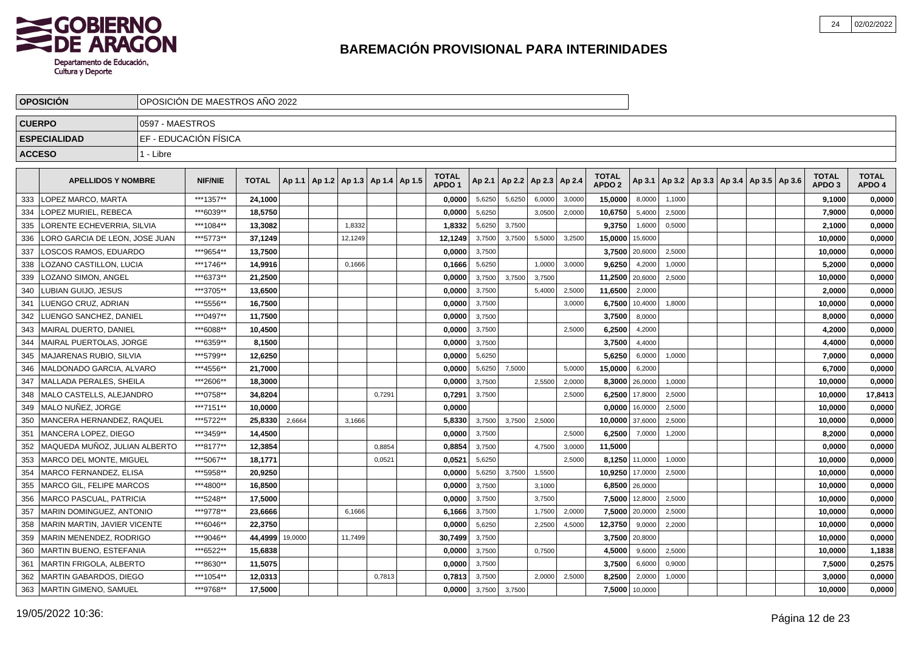

|               | <b>OPOSICIÓN</b>               |                 | OPOSICIÓN DE MAESTROS AÑO 2022 |              |         |                                            |        |                                   |        |        |                                   |        |                                   |         |        |  |                                            |                                   |                        |
|---------------|--------------------------------|-----------------|--------------------------------|--------------|---------|--------------------------------------------|--------|-----------------------------------|--------|--------|-----------------------------------|--------|-----------------------------------|---------|--------|--|--------------------------------------------|-----------------------------------|------------------------|
|               | <b>CUERPO</b>                  | 0597 - MAESTROS |                                |              |         |                                            |        |                                   |        |        |                                   |        |                                   |         |        |  |                                            |                                   |                        |
|               | <b>ESPECIALIDAD</b>            |                 | EF - EDUCACIÓN FÍSICA          |              |         |                                            |        |                                   |        |        |                                   |        |                                   |         |        |  |                                            |                                   |                        |
| <b>ACCESO</b> |                                | 1 - Libre       |                                |              |         |                                            |        |                                   |        |        |                                   |        |                                   |         |        |  |                                            |                                   |                        |
|               |                                |                 |                                |              |         |                                            |        |                                   |        |        |                                   |        |                                   |         |        |  |                                            |                                   |                        |
|               | <b>APELLIDOS Y NOMBRE</b>      |                 | <b>NIF/NIE</b>                 | <b>TOTAL</b> |         | Ap 1.1   Ap 1.2   Ap 1.3   Ap 1.4   Ap 1.5 |        | <b>TOTAL</b><br>APDO <sub>1</sub> |        |        | Ap 2.1   Ap 2.2   Ap 2.3   Ap 2.4 |        | <b>TOTAL</b><br>APDO <sub>2</sub> | Ap 3.1  |        |  | Ap 3.2   Ap 3.3   Ap 3.4   Ap 3.5   Ap 3.6 | <b>TOTAL</b><br>APDO <sub>3</sub> | <b>TOTAL</b><br>APDO 4 |
| 333           | LOPEZ MARCO. MARTA             |                 | ***1357**                      | 24.1000      |         |                                            |        | 0,0000                            | 5,6250 | 5,6250 | 6,0000                            | 3,0000 | 15,0000                           | 8,0000  | 1,1000 |  |                                            | 9,1000                            | 0,0000                 |
| 334           | OPEZ MURIEL, REBECA            |                 | ***6039**                      | 18,5750      |         |                                            |        | 0,0000                            | 5,6250 |        | 3,0500                            | 2,0000 | 10,6750                           | 5,4000  | 2,5000 |  |                                            | 7,9000                            | 0,0000                 |
| 335           | ORENTE ECHEVERRIA, SILVIA      |                 | ***1084**                      | 13,3082      |         | 1,8332                                     |        | 1,8332                            | 5,6250 | 3,7500 |                                   |        | 9,3750                            | 1,6000  | 0,5000 |  |                                            | 2,1000                            | 0,0000                 |
| 336           | LORO GARCIA DE LEON, JOSE JUAN |                 | ***5773**                      | 37,1249      |         | 12,1249                                    |        | 12,1249                           | 3,7500 | 3,7500 | 5,5000                            | 3,2500 | 15,0000                           | 15,6000 |        |  |                                            | 10,0000                           | 0,0000                 |
| 337           | LOSCOS RAMOS, EDUARDO          |                 | ***9654**                      | 13,7500      |         |                                            |        | 0,0000                            | 3,7500 |        |                                   |        | 3,7500                            | 20,6000 | 2,5000 |  |                                            | 10,0000                           | 0,0000                 |
| 338           | OZANO CASTILLON, LUCIA         |                 | ***1746**                      | 14,9916      |         | 0.1666                                     |        | 0,1666                            | 5,6250 |        | 1,0000                            | 3.0000 | 9,6250                            | 4,2000  | 1.0000 |  |                                            | 5,2000                            | 0,0000                 |
| 339           | LOZANO SIMON. ANGEL            |                 | ***6373**                      | 21.2500      |         |                                            |        | 0.0000                            | 3,7500 | 3.7500 | 3,7500                            |        | 11,2500                           | 20,6000 | 2,5000 |  |                                            | 10.0000                           | 0,0000                 |
| 340           | LUBIAN GUIJO, JESUS            |                 | ***3705**                      | 13,6500      |         |                                            |        | 0.0000                            | 3,7500 |        | 5,4000                            | 2,5000 | 11,6500                           | 2,0000  |        |  |                                            | 2.0000                            | 0,0000                 |
| 341           | LUENGO CRUZ. ADRIAN            |                 | ***5556**                      | 16,7500      |         |                                            |        | 0,0000                            | 3,7500 |        |                                   | 3,0000 | 6,7500                            | 10,4000 | 1,8000 |  |                                            | 10,0000                           | 0,0000                 |
| 342           | LUENGO SANCHEZ, DANIEL         |                 | ***0497**                      | 11,7500      |         |                                            |        | 0,0000                            | 3,7500 |        |                                   |        | 3,7500                            | 8,0000  |        |  |                                            | 8,0000                            | 0,0000                 |
| 343           | MAIRAL DUERTO, DANIEL          |                 | ***6088**                      | 10,4500      |         |                                            |        | 0,0000                            | 3,7500 |        |                                   | 2,5000 | 6,2500                            | 4,2000  |        |  |                                            | 4,2000                            | 0,0000                 |
| 344           | MAIRAL PUERTOLAS, JORGE        |                 | ***6359**                      | 8,1500       |         |                                            |        | 0,0000                            | 3,7500 |        |                                   |        | 3,7500                            | 4,4000  |        |  |                                            | 4,4000                            | 0,0000                 |
| 345           | MAJARENAS RUBIO, SILVIA        |                 | ***5799**                      | 12,6250      |         |                                            |        | 0,0000                            | 5,6250 |        |                                   |        | 5,6250                            | 6,0000  | 1,0000 |  |                                            | 7,0000                            | 0,0000                 |
| 346           | MALDONADO GARCIA, ALVARO       |                 | ***4556**                      | 21,7000      |         |                                            |        | 0,0000                            | 5,6250 | 7.5000 |                                   | 5,0000 | 15,0000                           | 6,2000  |        |  |                                            | 6,7000                            | 0,0000                 |
| 347           | MALLADA PERALES, SHEILA        |                 | ***2606**                      | 18,3000      |         |                                            |        | 0,0000                            | 3,7500 |        | 2,5500                            | 2,0000 | 8,3000                            | 26,0000 | 1,0000 |  |                                            | 10,0000                           | 0,0000                 |
| 348           | MALO CASTELLS, ALEJANDRO       |                 | ***0758**                      | 34,8204      |         |                                            | 0,7291 | 0,7291                            | 3,7500 |        |                                   | 2,5000 | 6,2500                            | 17,8000 | 2,5000 |  |                                            | 10,0000                           | 17,8413                |
| 349           | MALO NUÑEZ. JORGE              |                 | ***7151**                      | 10.0000      |         |                                            |        | 0.0000                            |        |        |                                   |        | 0,0000                            | 16,0000 | 2,5000 |  |                                            | 10.0000                           | 0,0000                 |
| 350           | MANCERA HERNANDEZ. RAQUEL      |                 | ***5722**                      | 25.8330      | 2,6664  | 3,1666                                     |        | 5.8330                            | 3,7500 | 3.7500 | 2,5000                            |        | 10.0000                           | 37,6000 | 2,5000 |  |                                            | 10.0000                           | 0,0000                 |
| 351           | MANCERA LOPEZ. DIEGO           |                 | ***3459**                      | 14,4500      |         |                                            |        | 0,0000                            | 3,7500 |        |                                   | 2.5000 | 6,2500                            | 7,0000  | 1,2000 |  |                                            | 8,2000                            | 0,0000                 |
| 352           | MAQUEDA MUÑOZ. JULIAN ALBERTO  |                 | ***8177**                      | 12,3854      |         |                                            | 0.8854 | 0,8854                            | 3,7500 |        | 4,7500                            | 3,0000 | 11,5000                           |         |        |  |                                            | 0,0000                            | 0,0000                 |
| 353           | MARCO DEL MONTE. MIGUEL        |                 | ***5067**                      | 18.1771      |         |                                            | 0,0521 | 0,0521                            | 5,6250 |        |                                   | 2,5000 | 8,1250                            | 11,0000 | 1,0000 |  |                                            | 10,0000                           | 0,0000                 |
| 354           | MARCO FERNANDEZ, ELISA         |                 | ***5958**                      | 20,9250      |         |                                            |        | 0,0000                            | 5,6250 | 3.7500 | 1,5500                            |        | 10,9250                           | 17,0000 | 2,5000 |  |                                            | 10,0000                           | 0,0000                 |
| 355           | MARCO GIL, FELIPE MARCOS       |                 | ***4800**                      | 16,8500      |         |                                            |        | 0,0000                            | 3,7500 |        | 3,1000                            |        | 6,8500                            | 26,0000 |        |  |                                            | 10,0000                           | 0,0000                 |
| 356           | MARCO PASCUAL, PATRICIA        |                 | ***5248**                      | 17,5000      |         |                                            |        | 0,0000                            | 3,7500 |        | 3,7500                            |        | 7,5000                            | 12,8000 | 2,5000 |  |                                            | 10,0000                           | 0,0000                 |
| 357           | MARIN DOMINGUEZ, ANTONIO       |                 | ***9778**                      | 23,6666      |         | 6,1666                                     |        | 6,1666                            | 3,7500 |        | 1,7500                            | 2,0000 | 7,5000                            | 20,0000 | 2,5000 |  |                                            | 10,0000                           | 0,0000                 |
| 358           | MARIN MARTIN, JAVIER VICENTE   |                 | ***6046**                      | 22,3750      |         |                                            |        | 0,0000                            | 5,6250 |        | 2,2500                            | 4,5000 | 12,3750                           | 9,0000  | 2,2000 |  |                                            | 10,0000                           | 0,0000                 |
| 359           | MARIN MENENDEZ, RODRIGO        |                 | ***9046**                      | 44,4999      | 19,0000 | 11,7499                                    |        | 30,7499                           | 3,7500 |        |                                   |        | 3,7500                            | 20,8000 |        |  |                                            | 10,0000                           | 0,0000                 |
| 360           | MARTIN BUENO, ESTEFANIA        |                 | ***6522**                      | 15.6838      |         |                                            |        | 0,0000                            | 3,7500 |        | 0,7500                            |        | 4,5000                            | 9,6000  | 2,5000 |  |                                            | 10,0000                           | 1,1838                 |
| 361           | MARTIN FRIGOLA. ALBERTO        |                 | ***8630**                      | 11,5075      |         |                                            |        | 0,0000                            | 3,7500 |        |                                   |        | 3,7500                            | 6,6000  | 0,9000 |  |                                            | 7,5000                            | 0,2575                 |
| 362           | MARTIN GABARDOS. DIEGO         |                 | ***1054**                      | 12,0313      |         |                                            | 0,7813 | 0,7813                            | 3,7500 |        | 2,0000                            | 2,5000 | 8,2500                            | 2,0000  | 1,0000 |  |                                            | 3.0000                            | 0,0000                 |
|               | 363   MARTIN GIMENO, SAMUEL    |                 | ***9768**                      | 17,5000      |         |                                            |        | 0,0000                            | 3,7500 | 3,7500 |                                   |        | 7,5000                            | 10,0000 |        |  |                                            | 10,0000                           | 0,0000                 |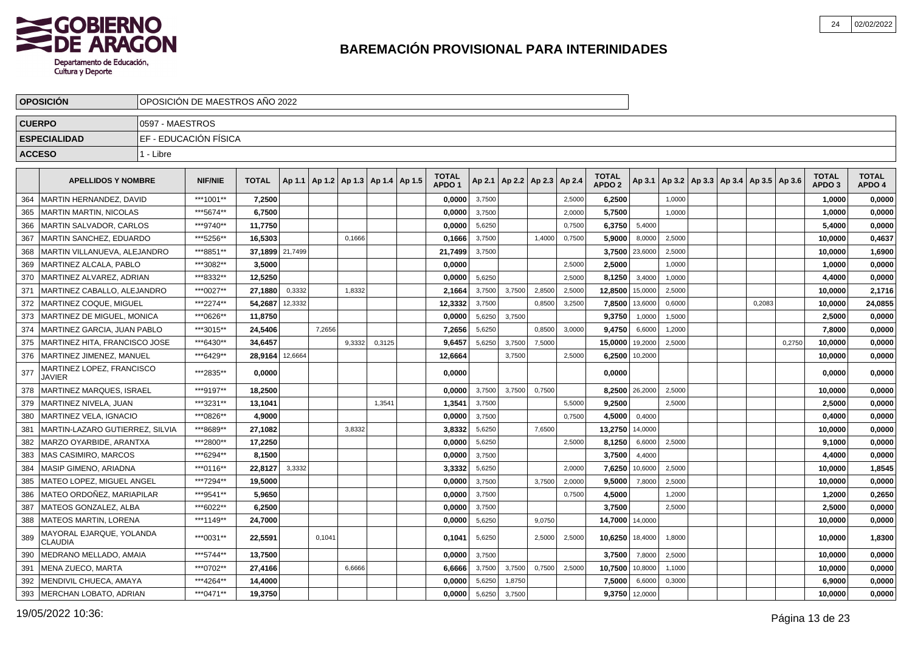

|     | <b>OPOSICION</b>                           |                 | OPOSICIÓN DE MAESTROS AÑO 2022 |                 |         |        |                                   |        |                                   |        |        |                          |        |                                   |         |        |                                            |        |        |                                   |                        |
|-----|--------------------------------------------|-----------------|--------------------------------|-----------------|---------|--------|-----------------------------------|--------|-----------------------------------|--------|--------|--------------------------|--------|-----------------------------------|---------|--------|--------------------------------------------|--------|--------|-----------------------------------|------------------------|
|     | <b>CUERPO</b>                              | 0597 - MAESTROS |                                |                 |         |        |                                   |        |                                   |        |        |                          |        |                                   |         |        |                                            |        |        |                                   |                        |
|     | <b>ESPECIALIDAD</b>                        |                 | EF - EDUCACIÓN FÍSICA          |                 |         |        |                                   |        |                                   |        |        |                          |        |                                   |         |        |                                            |        |        |                                   |                        |
|     | <b>ACCESO</b>                              | 1 - Libre       |                                |                 |         |        |                                   |        |                                   |        |        |                          |        |                                   |         |        |                                            |        |        |                                   |                        |
|     | <b>APELLIDOS Y NOMBRE</b>                  |                 | <b>NIF/NIE</b>                 | <b>TOTAL</b>    | Ap 1.1  |        | Ap 1.2   Ap 1.3   Ap 1.4   Ap 1.5 |        | <b>TOTAL</b><br>APDO <sub>1</sub> | Ap 2.1 |        | Ap 2.2   Ap 2.3   Ap 2.4 |        | <b>TOTAL</b><br>APDO <sub>2</sub> | Ap 3.1  |        | Ap 3.2   Ap 3.3   Ap 3.4   Ap 3.5   Ap 3.6 |        |        | <b>TOTAL</b><br>APDO <sub>3</sub> | <b>TOTAL</b><br>APDO 4 |
| 364 | MARTIN HERNANDEZ. DAVID                    |                 | ***1001**                      | 7,2500          |         |        |                                   |        | 0,0000                            | 3,7500 |        |                          | 2,5000 | 6,2500                            |         | 1,0000 |                                            |        |        | 1,0000                            | 0,0000                 |
| 365 | <b>MARTIN MARTIN, NICOLAS</b>              |                 | ***5674**                      | 6,7500          |         |        |                                   |        | 0,0000                            | 3,7500 |        |                          | 2,0000 | 5,7500                            |         | 1,0000 |                                            |        |        | 1,0000                            | 0,0000                 |
| 366 | MARTIN SALVADOR, CARLOS                    |                 | ***9740**                      | 11,7750         |         |        |                                   |        | 0,0000                            | 5,6250 |        |                          | 0,7500 | 6,3750                            | 5,4000  |        |                                            |        |        | 5.4000                            | 0,0000                 |
| 367 | MARTIN SANCHEZ. EDUARDO                    |                 | ***5256**                      | 16.5303         |         |        | 0,1666                            |        | 0.1666                            | 3,7500 |        | 1,4000                   | 0,7500 | 5.9000                            | 8.0000  | 2,5000 |                                            |        |        | 10.0000                           | 0,4637                 |
| 368 | MARTIN VILLANUEVA, ALEJANDRO               |                 | ***8851**                      | 37,1899 21,7499 |         |        |                                   |        | 21,7499                           | 3,7500 |        |                          |        | 3,7500                            | 23,6000 | 2,5000 |                                            |        |        | 10,0000                           | 1,6900                 |
| 369 | MARTINEZ ALCALA, PABLO                     |                 | ***3082**                      | 3,5000          |         |        |                                   |        | 0,0000                            |        |        |                          | 2,5000 | 2,5000                            |         | 1,0000 |                                            |        |        | 1,0000                            | 0,0000                 |
| 370 | MARTINEZ ALVAREZ, ADRIAN                   |                 | ***8332**                      | 12,5250         |         |        |                                   |        | 0,0000                            | 5,6250 |        |                          | 2,5000 | 8,1250                            | 3,4000  | 1,0000 |                                            |        |        | 4,4000                            | 0,0000                 |
| 371 | MARTINEZ CABALLO, ALEJANDRO                |                 | ***0027**                      | 27,1880         | 0,3332  |        | 1,8332                            |        | 2,1664                            | 3,7500 | 3.7500 | 2,8500                   | 2,5000 | 12,8500                           | 15,0000 | 2,5000 |                                            |        |        | 10,0000                           | 2,1716                 |
| 372 | MARTINEZ COQUE, MIGUEL                     |                 | ***2274**                      | 54,2687         | 12,3332 |        |                                   |        | 12,3332                           | 3,7500 |        | 0,8500                   | 3,2500 | 7,8500                            | 13,6000 | 0,6000 |                                            | 0.2083 |        | 10,0000                           | 24,0855                |
| 373 | MARTINEZ DE MIGUEL. MONICA                 |                 | ***0626**                      | 11,8750         |         |        |                                   |        | 0,0000                            | 5,6250 | 3,7500 |                          |        | 9,3750                            | 1,0000  | 1,5000 |                                            |        |        | 2,5000                            | 0,0000                 |
| 374 | MARTINEZ GARCIA, JUAN PABLO                |                 | ***3015**                      | 24,5406         |         | 7,2656 |                                   |        | 7,2656                            | 5,6250 |        | 0,8500                   | 3,0000 | 9,4750                            | 6,6000  | 1,2000 |                                            |        |        | 7,8000                            | 0,0000                 |
| 375 | MARTINEZ HITA, FRANCISCO JOSE              |                 | ***6430**                      | 34,6457         |         |        | 9,3332                            | 0,3125 | 9,6457                            | 5,6250 | 3,7500 | 7,5000                   |        | 15,0000                           | 19,2000 | 2,5000 |                                            |        | 0,2750 | 10,0000                           | 0,0000                 |
| 376 | MARTINEZ JIMENEZ, MANUEL                   |                 | ***6429**                      | 28,9164         | 12,6664 |        |                                   |        | 12,6664                           |        | 3,7500 |                          | 2,5000 | 6,2500                            | 10,2000 |        |                                            |        |        | 10,0000                           | 0,0000                 |
| 377 | MARTINEZ LOPEZ, FRANCISCO<br><b>JAVIER</b> |                 | ***2835**                      | 0,0000          |         |        |                                   |        | 0.0000                            |        |        |                          |        | 0,0000                            |         |        |                                            |        |        | 0,0000                            | 0,0000                 |
| 378 | <b>MARTINEZ MARQUES, ISRAEL</b>            |                 | ***9197**                      | 18,2500         |         |        |                                   |        | 0,0000                            | 3,7500 | 3,7500 | 0,7500                   |        | 8,2500                            | 26,2000 | 2,5000 |                                            |        |        | 10,0000                           | 0,0000                 |
| 379 | MARTINEZ NIVELA, JUAN                      |                 | ***3231**                      | 13,1041         |         |        |                                   | 1.3541 | 1,3541                            | 3,7500 |        |                          | 5,5000 | 9,2500                            |         | 2,5000 |                                            |        |        | 2,5000                            | 0,0000                 |
| 380 | <b>IMARTINEZ VELA. IGNACIO</b>             |                 | ***0826**                      | 4,9000          |         |        |                                   |        | 0.0000                            | 3,7500 |        |                          | 0,7500 | 4,5000                            | 0,4000  |        |                                            |        |        | 0,4000                            | 0,0000                 |
| 381 | MARTIN-LAZARO GUTIERREZ. SILVIA            |                 | ***8689**                      | 27.1082         |         |        | 3,8332                            |        | 3,8332                            | 5,6250 |        | 7,6500                   |        | 13,2750                           | 14,0000 |        |                                            |        |        | 10.0000                           | 0,0000                 |
| 382 | MARZO OYARBIDE, ARANTXA                    |                 | ***2800**                      | 17,2250         |         |        |                                   |        | 0,0000                            | 5,6250 |        |                          | 2,5000 | 8,1250                            | 6,6000  | 2,5000 |                                            |        |        | 9,1000                            | 0,0000                 |
| 383 | <b>MAS CASIMIRO, MARCOS</b>                |                 | ***6294**                      | 8,1500          |         |        |                                   |        | 0,0000                            | 3,7500 |        |                          |        | 3,7500                            | 4,4000  |        |                                            |        |        | 4,4000                            | 0,0000                 |
| 384 | MASIP GIMENO, ARIADNA                      |                 | ***0116**                      | 22,8127         | 3,3332  |        |                                   |        | 3,3332                            | 5,6250 |        |                          | 2,0000 | 7,6250                            | 10,6000 | 2,5000 |                                            |        |        | 10,0000                           | 1,8545                 |
| 385 | MATEO LOPEZ, MIGUEL ANGEL                  |                 | ***7294**                      | 19,5000         |         |        |                                   |        | 0,0000                            | 3,7500 |        | 3,7500                   | 2,0000 | 9,5000                            | 7,8000  | 2,5000 |                                            |        |        | 10,0000                           | 0,0000                 |
| 386 | Í MATEO ORDOÑEZ. MARIAPILAR                |                 | ***9541**                      | 5,9650          |         |        |                                   |        | 0,0000                            | 3,7500 |        |                          | 0,7500 | 4,5000                            |         | 1,2000 |                                            |        |        | 1,2000                            | 0,2650                 |
| 387 | IMATEOS GONZALEZ. ALBA                     |                 | ***6022**                      | 6,2500          |         |        |                                   |        | 0,0000                            | 3,7500 |        |                          |        | 3,7500                            |         | 2,5000 |                                            |        |        | 2.5000                            | 0,0000                 |
| 388 | <b>IMATEOS MARTIN. LORENA</b>              |                 | ***1149**                      | 24,7000         |         |        |                                   |        | 0,0000                            | 5,6250 |        | 9,0750                   |        | 14,7000                           | 14,0000 |        |                                            |        |        | 10.0000                           | 0,0000                 |
| 389 | MAYORAL EJARQUE, YOLANDA<br><b>CLAUDIA</b> |                 | ***0031**                      | 22,5591         |         | 0,1041 |                                   |        | 0,1041                            | 5,6250 |        | 2,5000                   | 2,5000 | 10,6250                           | 18,4000 | 1,8000 |                                            |        |        | 10,0000                           | 1,8300                 |
| 390 | MEDRANO MELLADO, AMAIA                     |                 | ***5744**                      | 13,7500         |         |        |                                   |        | 0,0000                            | 3,7500 |        |                          |        | 3,7500                            | 7,8000  | 2,5000 |                                            |        |        | 10,0000                           | 0,0000                 |
| 391 | MENA ZUECO, MARTA                          |                 | ***0702**                      | 27,4166         |         |        | 6,6666                            |        | 6,6666                            | 3,7500 | 3,7500 | 0,7500                   | 2,5000 | 10,7500                           | 10,8000 | 1,1000 |                                            |        |        | 10,0000                           | 0,0000                 |
| 392 | MENDIVIL CHUECA, AMAYA                     |                 | ***4264**                      | 14,4000         |         |        |                                   |        | 0,0000                            | 5,6250 | 1,8750 |                          |        | 7,5000                            | 6,6000  | 0,3000 |                                            |        |        | 6,9000                            | 0,0000                 |
|     | 393   MERCHAN LOBATO, ADRIAN               |                 | ***0471**                      | 19,3750         |         |        |                                   |        | 0,0000                            | 5,6250 | 3,7500 |                          |        | 9,3750                            | 12,0000 |        |                                            |        |        | 10,0000                           | 0,0000                 |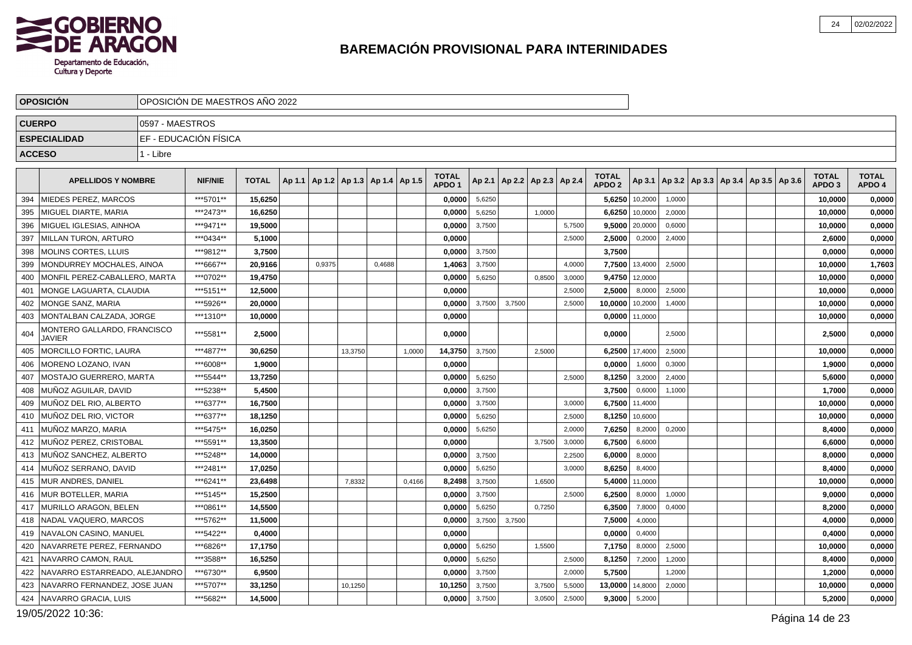

|     | <b>OPOSICIÓN</b>                                    |                 | OPOSICIÓN DE MAESTROS AÑO 2022 |              |        |        |                                   |        |        |                                   |        |        |                                   |        |                                   |         |                                            |  |  |                                   |                        |
|-----|-----------------------------------------------------|-----------------|--------------------------------|--------------|--------|--------|-----------------------------------|--------|--------|-----------------------------------|--------|--------|-----------------------------------|--------|-----------------------------------|---------|--------------------------------------------|--|--|-----------------------------------|------------------------|
|     | <b>CUERPO</b>                                       | 0597 - MAESTROS |                                |              |        |        |                                   |        |        |                                   |        |        |                                   |        |                                   |         |                                            |  |  |                                   |                        |
|     | <b>ESPECIALIDAD</b>                                 |                 | EF - EDUCACIÓN FÍSICA          |              |        |        |                                   |        |        |                                   |        |        |                                   |        |                                   |         |                                            |  |  |                                   |                        |
|     | <b>ACCESO</b>                                       | 1 - Libre       |                                |              |        |        |                                   |        |        |                                   |        |        |                                   |        |                                   |         |                                            |  |  |                                   |                        |
|     | <b>APELLIDOS Y NOMBRE</b>                           |                 | <b>NIF/NIE</b>                 | <b>TOTAL</b> | Ap 1.1 |        | Ap 1.2   Ap 1.3   Ap 1.4   Ap 1.5 |        |        | <b>TOTAL</b><br>APDO <sub>1</sub> |        |        | Ap 2.1   Ap 2.2   Ap 2.3   Ap 2.4 |        | <b>TOTAL</b><br>APDO <sub>2</sub> | Ap 3.1  | Ap 3.2   Ap 3.3   Ap 3.4   Ap 3.5   Ap 3.6 |  |  | <b>TOTAL</b><br>APDO <sub>3</sub> | <b>TOTAL</b><br>APDO 4 |
| 394 | <b>IMIEDES PEREZ. MARCOS</b>                        |                 | ***5701**                      | 15.6250      |        |        |                                   |        |        | 0.0000                            | 5,6250 |        |                                   |        | 5,6250                            | 10,2000 | 1.0000                                     |  |  | 10,0000                           | 0,0000                 |
| 395 | MIGUEL DIARTE, MARIA                                |                 | ***2473**                      | 16,6250      |        |        |                                   |        |        | 0,0000                            | 5,6250 |        | 1,0000                            |        | 6,6250                            | 10,0000 | 2,0000                                     |  |  | 10,0000                           | 0,0000                 |
| 396 | MIGUEL IGLESIAS, AINHOA                             |                 | ***9471**                      | 19,5000      |        |        |                                   |        |        | 0,0000                            | 3,7500 |        |                                   | 5,7500 | 9,5000                            | 20,0000 | 0,6000                                     |  |  | 10,0000                           | 0,0000                 |
| 397 | MILLAN TURON, ARTURO                                |                 | ***0434**                      | 5,1000       |        |        |                                   |        |        | 0,0000                            |        |        |                                   | 2,5000 | 2,5000                            | 0,2000  | 2,4000                                     |  |  | 2,6000                            | 0,0000                 |
| 398 | <b>MOLINS CORTES, LLUIS</b>                         |                 | ***9812**                      | 3,7500       |        |        |                                   |        |        | 0,0000                            | 3,7500 |        |                                   |        | 3,7500                            |         |                                            |  |  | 0.0000                            | 0,0000                 |
| 399 | MONDURREY MOCHALES, AINOA                           |                 | ***6667**                      | 20,9166      |        | 0,9375 |                                   | 0,4688 |        | 1,4063                            | 3,7500 |        |                                   | 4,0000 | 7,7500                            | 13,4000 | 2,5000                                     |  |  | 10,0000                           | 1,7603                 |
| 400 | MONFIL PEREZ-CABALLERO. MARTA                       |                 | ***0702**                      | 19,4750      |        |        |                                   |        |        | 0,0000                            | 5,6250 |        | 0,8500                            | 3,0000 | 9,4750                            | 12,0000 |                                            |  |  | 10,0000                           | 0,0000                 |
| 401 | MONGE LAGUARTA, CLAUDIA                             |                 | ***5151**                      | 12,5000      |        |        |                                   |        |        | 0,0000                            |        |        |                                   | 2,5000 | 2,5000                            | 8,0000  | 2,5000                                     |  |  | 10,0000                           | 0,0000                 |
| 402 | MONGE SANZ, MARIA                                   |                 | ***5926**                      | 20,0000      |        |        |                                   |        |        | 0,0000                            | 3,7500 | 3,7500 |                                   | 2,5000 | 10,0000                           | 10,2000 | 1,4000                                     |  |  | 10,0000                           | 0,0000                 |
| 403 | MONTALBAN CALZADA. JORGE                            |                 | ***1310**                      | 10.0000      |        |        |                                   |        |        | 0.0000                            |        |        |                                   |        | 0,0000                            | 11,0000 |                                            |  |  | 10.0000                           | 0,0000                 |
| 404 | <b>MONTERO GALLARDO, FRANCISCO</b><br><b>JAVIER</b> |                 | ***5581**                      | 2.5000       |        |        |                                   |        |        | 0.0000                            |        |        |                                   |        | 0.0000                            |         | 2.5000                                     |  |  | 2,5000                            | 0,0000                 |
| 405 | <b>MORCILLO FORTIC, LAURA</b>                       |                 | ***4877**                      | 30,6250      |        |        | 13,3750                           |        | 1,0000 | 14,3750                           | 3,7500 |        | 2,5000                            |        | 6,2500                            | 17,4000 | 2,5000                                     |  |  | 10,0000                           | 0,0000                 |
| 406 | MORENO LOZANO, IVAN                                 |                 | ***6008**                      | 1,9000       |        |        |                                   |        |        | 0,0000                            |        |        |                                   |        | 0,0000                            | 1,6000  | 0,3000                                     |  |  | 1,9000                            | 0,0000                 |
| 407 | MOSTAJO GUERRERO, MARTA                             |                 | ***5544**                      | 13,7250      |        |        |                                   |        |        | 0,0000                            | 5,6250 |        |                                   | 2.5000 | 8,1250                            | 3,2000  | 2,4000                                     |  |  | 5,6000                            | 0,0000                 |
| 408 | MUÑOZ AGUILAR, DAVID                                |                 | ***5238**                      | 5,4500       |        |        |                                   |        |        | 0,0000                            | 3,7500 |        |                                   |        | 3,7500                            | 0,6000  | 1,1000                                     |  |  | 1,7000                            | 0,0000                 |
| 409 | MUÑOZ DEL RIO, ALBERTO                              |                 | ***6377**                      | 16,7500      |        |        |                                   |        |        | 0,0000                            | 3,7500 |        |                                   | 3,0000 | 6,7500                            | 11,4000 |                                            |  |  | 10,0000                           | 0,0000                 |
| 410 | MUÑOZ DEL RIO, VICTOR                               |                 | ***6377**                      | 18,1250      |        |        |                                   |        |        | 0,0000                            | 5,6250 |        |                                   | 2,5000 | 8,1250                            | 10,6000 |                                            |  |  | 10,0000                           | 0,0000                 |
| 411 | <b>IMUÑOZ MARZO, MARIA</b>                          |                 | ***5475**                      | 16,0250      |        |        |                                   |        |        | 0,0000                            | 5,6250 |        |                                   | 2,0000 | 7,6250                            | 8,2000  | 0,2000                                     |  |  | 8,4000                            | 0,0000                 |
| 412 | <b>IMUÑOZ PEREZ. CRISTOBAL</b>                      |                 | ***5591**                      | 13,3500      |        |        |                                   |        |        | 0.0000                            |        |        | 3,7500                            | 3,0000 | 6,7500                            | 6,6000  |                                            |  |  | 6.6000                            | 0,0000                 |
| 413 | <b>IMUÑOZ SANCHEZ, ALBERTO</b>                      |                 | ***5248**                      | 14,0000      |        |        |                                   |        |        | 0,0000                            | 3,7500 |        |                                   | 2,2500 | 6,0000                            | 8,0000  |                                            |  |  | 8,0000                            | 0,0000                 |
| 414 | Í MUÑOZ SERRANO. DAVID                              |                 | ***2481**                      | 17.0250      |        |        |                                   |        |        | 0.0000                            | 5,6250 |        |                                   | 3,0000 | 8,6250                            | 8,4000  |                                            |  |  | 8,4000                            | 0,0000                 |
| 415 | MUR ANDRES, DANIEL                                  |                 | ***6241**                      | 23,6498      |        |        | 7,8332                            |        | 0,4166 | 8,2498                            | 3,7500 |        | 1,6500                            |        | 5,4000                            | 11,0000 |                                            |  |  | 10,0000                           | 0,0000                 |
| 416 | <b>IMUR BOTELLER. MARIA</b>                         |                 | ***5145**                      | 15,2500      |        |        |                                   |        |        | 0.0000                            | 3,7500 |        |                                   | 2.5000 | 6,2500                            | 8,0000  | 1,0000                                     |  |  | 9,0000                            | 0,0000                 |
| 417 | MURILLO ARAGON, BELEN                               |                 | ***0861**                      | 14,5500      |        |        |                                   |        |        | 0,0000                            | 5,6250 |        | 0,7250                            |        | 6,3500                            | 7,8000  | 0,4000                                     |  |  | 8,2000                            | 0,0000                 |
| 418 | NADAL VAQUERO, MARCOS                               |                 | ***5762**                      | 11,5000      |        |        |                                   |        |        | 0,0000                            | 3,7500 | 3,7500 |                                   |        | 7,5000                            | 4,0000  |                                            |  |  | 4,0000                            | 0,0000                 |
| 419 | NAVALON CASINO, MANUEL                              |                 | ***5422**                      | 0,4000       |        |        |                                   |        |        | 0,0000                            |        |        |                                   |        | 0,0000                            | 0,4000  |                                            |  |  | 0,4000                            | 0,0000                 |
| 420 | NAVARRETE PEREZ, FERNANDO                           |                 | ***6826**                      | 17,1750      |        |        |                                   |        |        | 0,0000                            | 5,6250 |        | 1,5500                            |        | 7,1750                            | 8,0000  | 2,5000                                     |  |  | 10,0000                           | 0,0000                 |
| 421 | NAVARRO CAMON, RAUL                                 |                 | ***3588**                      | 16,5250      |        |        |                                   |        |        | 0,0000                            | 5,6250 |        |                                   | 2,5000 | 8,1250                            | 7,2000  | 1,2000                                     |  |  | 8,4000                            | 0,0000                 |
| 422 | NAVARRO ESTARREADO, ALEJANDRO                       |                 | ***6730**                      | 6,9500       |        |        |                                   |        |        | 0,0000                            | 3,7500 |        |                                   | 2,0000 | 5,7500                            |         | 1,2000                                     |  |  | 1,2000                            | 0,0000                 |
| 423 | NAVARRO FERNANDEZ. JOSE JUAN                        |                 | ***5707**                      | 33,1250      |        |        | 10,1250                           |        |        | 10.1250                           | 3,7500 |        | 3,7500                            | 5,5000 | 13,0000                           | 14,8000 | 2,0000                                     |  |  | 10.0000                           | 0,0000                 |
|     | 424   NAVARRO GRACIA, LUIS                          |                 | ***5682**                      | 14,5000      |        |        |                                   |        |        | 0,0000                            | 3,7500 |        | 3,0500                            | 2,5000 | 9,3000                            | 5,2000  |                                            |  |  | 5,2000                            | 0,0000                 |

19/05/2022 10:36: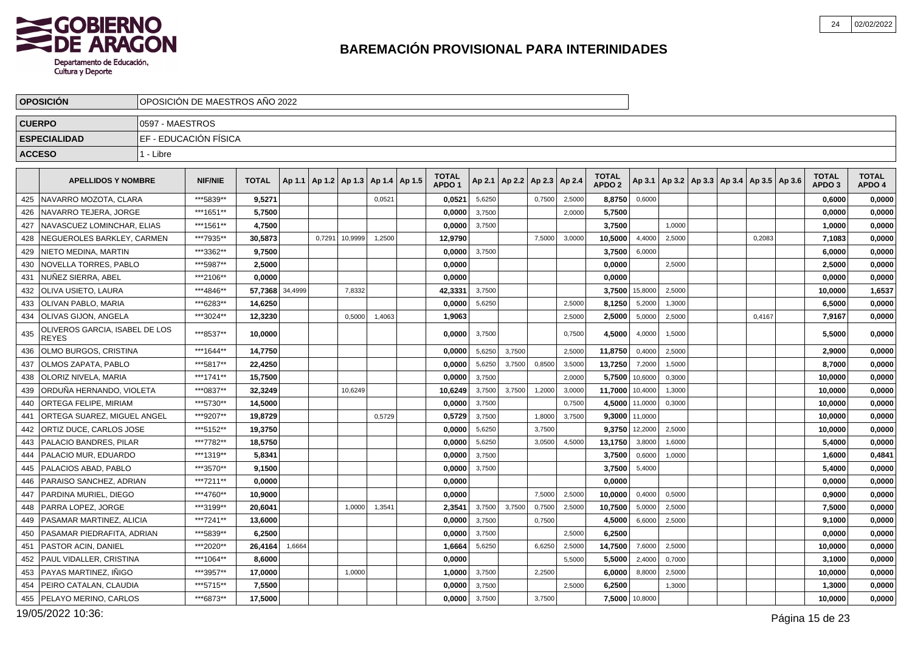

|               | <b>OPOSICION</b>                               |                 | OPOSICION DE MAESTROS ANO 2022 |              |         |        |                                            |        |                                   |        |                 |               |        |                                   |                |        |                                                     |        |                                   |                        |
|---------------|------------------------------------------------|-----------------|--------------------------------|--------------|---------|--------|--------------------------------------------|--------|-----------------------------------|--------|-----------------|---------------|--------|-----------------------------------|----------------|--------|-----------------------------------------------------|--------|-----------------------------------|------------------------|
| <b>CUERPO</b> |                                                | 0597 - MAESTROS |                                |              |         |        |                                            |        |                                   |        |                 |               |        |                                   |                |        |                                                     |        |                                   |                        |
|               | <b>ESPECIALIDAD</b>                            |                 | EF - EDUCACIÓN FÍSICA          |              |         |        |                                            |        |                                   |        |                 |               |        |                                   |                |        |                                                     |        |                                   |                        |
| <b>ACCESO</b> |                                                | 1 - Libre       |                                |              |         |        |                                            |        |                                   |        |                 |               |        |                                   |                |        |                                                     |        |                                   |                        |
|               |                                                |                 |                                |              |         |        |                                            |        |                                   |        |                 |               |        |                                   |                |        |                                                     |        |                                   |                        |
|               | <b>APELLIDOS Y NOMBRE</b>                      |                 | <b>NIF/NIE</b>                 | <b>TOTAL</b> |         |        | Ap 1.1   Ap 1.2   Ap 1.3   Ap 1.4   Ap 1.5 |        | <b>TOTAL</b><br>APDO <sub>1</sub> |        | Ap 2.1   Ap 2.2 | Ap 2.3 Ap 2.4 |        | <b>TOTAL</b><br>APDO <sub>2</sub> |                |        | Ap 3.1   Ap 3.2   Ap 3.3   Ap 3.4   Ap 3.5   Ap 3.6 |        | <b>TOTAL</b><br>APDO <sub>3</sub> | <b>TOTAL</b><br>APDO 4 |
| 425           | NAVARRO MOZOTA, CLARA                          |                 | ***5839**                      | 9,5271       |         |        |                                            | 0,0521 | 0,0521                            | 5,6250 |                 | 0,7500        | 2,5000 | 8,8750                            | 0,6000         |        |                                                     |        | 0,6000                            | 0,0000                 |
| 426           | NAVARRO TEJERA. JORGE                          |                 | ***1651**                      | 5.7500       |         |        |                                            |        | 0.0000                            | 3,7500 |                 |               | 2,0000 | 5,7500                            |                |        |                                                     |        | 0,0000                            | 0,0000                 |
| 427           | NAVASCUEZ LOMINCHAR, ELIAS                     |                 | ***1561**                      | 4,7500       |         |        |                                            |        | 0,0000                            | 3,7500 |                 |               |        | 3,7500                            |                | 1,0000 |                                                     |        | 1,0000                            | 0,0000                 |
| 428           | NEGUEROLES BARKLEY, CARMEN                     |                 | ***7935**                      | 30,5873      |         | 0,7291 | 10,9999                                    | 1,2500 | 12,9790                           |        |                 | 7,5000        | 3,0000 | 10,5000                           | 4,4000         | 2,5000 |                                                     | 0,2083 | 7,1083                            | 0,0000                 |
| 429           | NIETO MEDINA, MARTIN                           |                 | ***3362**                      | 9,7500       |         |        |                                            |        | 0,0000                            | 3,7500 |                 |               |        | 3,7500                            | 6,0000         |        |                                                     |        | 6,0000                            | 0,0000                 |
| 430           | NOVELLA TORRES, PABLO                          |                 | ***5987**                      | 2,5000       |         |        |                                            |        | 0,0000                            |        |                 |               |        | 0,0000                            |                | 2,5000 |                                                     |        | 2,5000                            | 0,0000                 |
| 431           | NUNEZ SIERRA, ABEL                             |                 | ***2106**                      | 0.0000       |         |        |                                            |        | 0.0000                            |        |                 |               |        | 0,0000                            |                |        |                                                     |        | 0.0000                            | 0,0000                 |
| 432           | OLIVA USIETO, LAURA                            |                 | ***4846**                      | 57,7368      | 34,4999 |        | 7,8332                                     |        | 42,3331                           | 3,7500 |                 |               |        | 3,7500                            | 15,8000        | 2,5000 |                                                     |        | 10,0000                           | 1,6537                 |
| 433           | OLIVAN PABLO, MARIA                            |                 | ***6283**                      | 14,6250      |         |        |                                            |        | 0.0000                            | 5,6250 |                 |               | 2,5000 | 8,1250                            | 5,2000         | 1,3000 |                                                     |        | 6,5000                            | 0,0000                 |
| 434           | OLIVAS GIJON, ANGELA                           |                 | ***3024**                      | 12,3230      |         |        | 0,5000                                     | 1,4063 | 1,9063                            |        |                 |               | 2,5000 | 2,5000                            | 5,0000         | 2,5000 |                                                     | 0,4167 | 7,9167                            | 0,0000                 |
| 435           | OLIVEROS GARCIA, ISABEL DE LOS<br><b>REYES</b> |                 | ***8537**                      | 10,0000      |         |        |                                            |        | 0.0000                            | 3,7500 |                 |               | 0,7500 | 4,5000                            | 4,0000         | 1,5000 |                                                     |        | 5.5000                            | 0,0000                 |
| 436           | <b>OLMO BURGOS, CRISTINA</b>                   |                 | ***1644**                      | 14,7750      |         |        |                                            |        | 0.0000                            | 5,6250 | 3,7500          |               | 2,5000 | 11,8750                           | 0,4000         | 2,5000 |                                                     |        | 2,9000                            | 0,0000                 |
| 437           | OLMOS ZAPATA, PABLO                            |                 | ***5817**                      | 22,4250      |         |        |                                            |        | 0,0000                            | 5,6250 | 3,7500          | 0,8500        | 3,5000 | 13,7250                           | 7,2000         | 1,5000 |                                                     |        | 8,7000                            | 0,0000                 |
| 438           | OLORIZ NIVELA, MARIA                           |                 | ***1741**                      | 15.7500      |         |        |                                            |        | 0,0000                            | 3,7500 |                 |               | 2,0000 | 5,7500                            | 10,6000        | 0,3000 |                                                     |        | 10,0000                           | 0,0000                 |
| 439           | ORDUÑA HERNANDO, VIOLETA                       |                 | ***0837**                      | 32.3249      |         |        | 10,6249                                    |        | 10,6249                           | 3,7500 | 3,7500          | 1,2000        | 3,0000 | 11,7000                           | 10,4000        | 1,3000 |                                                     |        | 10,0000                           | 0,0000                 |
| 440           | <b>ORTEGA FELIPE, MIRIAM</b>                   |                 | ***5730**                      | 14,5000      |         |        |                                            |        | 0,0000                            | 3,7500 |                 |               | 0,7500 | 4,5000                            | 11,0000        | 0,3000 |                                                     |        | 10,0000                           | 0,0000                 |
| 441           | ORTEGA SUAREZ. MIGUEL ANGEL                    |                 | ***9207**                      | 19,8729      |         |        |                                            | 0,5729 | 0,5729                            | 3,7500 |                 | 1,8000        | 3,7500 | 9,3000                            | 11,0000        |        |                                                     |        | 10,0000                           | 0,0000                 |
| 442           | ORTIZ DUCE, CARLOS JOSE                        |                 | ***5152**                      | 19,3750      |         |        |                                            |        | 0,0000                            | 5,6250 |                 | 3,7500        |        | 9,3750                            | 12,2000        | 2,5000 |                                                     |        | 10,0000                           | 0,0000                 |
| 443           | PALACIO BANDRES, PILAR                         |                 | ***7782**                      | 18,5750      |         |        |                                            |        | 0,0000                            | 5,6250 |                 | 3,0500        | 4,5000 | 13,1750                           | 3,8000         | 1,6000 |                                                     |        | 5,4000                            | 0,0000                 |
| 444           | PALACIO MUR, EDUARDO                           |                 | ***1319**                      | 5,8341       |         |        |                                            |        | 0,0000                            | 3,7500 |                 |               |        | 3,7500                            | 0,6000         | 1,0000 |                                                     |        | 1,6000                            | 0,4841                 |
| 445           | PALACIOS ABAD, PABLO                           |                 | ***3570**                      | 9,1500       |         |        |                                            |        | 0,0000                            | 3,7500 |                 |               |        | 3,7500                            | 5,4000         |        |                                                     |        | 5,4000                            | 0,0000                 |
| 446           | PARAISO SANCHEZ, ADRIAN                        |                 | ***7211**                      | 0.0000       |         |        |                                            |        | 0,0000                            |        |                 |               |        | 0,0000                            |                |        |                                                     |        | 0,0000                            | 0,0000                 |
| 447           | PARDINA MURIEL, DIEGO                          |                 | ***4760**                      | 10.9000      |         |        |                                            |        | 0,0000                            |        |                 | 7,5000        | 2,5000 | 10,0000                           | 0,4000         | 0,5000 |                                                     |        | 0,9000                            | 0,0000                 |
| 448           | PARRA LOPEZ, JORGE                             |                 | ***3199**                      | 20,6041      |         |        | 1,0000                                     | 1,3541 | 2,3541                            | 3,7500 | 3,7500          | 0,7500        | 2,5000 | 10,7500                           | 5,0000         | 2,5000 |                                                     |        | 7,5000                            | 0,0000                 |
| 449           | PASAMAR MARTINEZ, ALICIA                       |                 | ***7241**                      | 13,6000      |         |        |                                            |        | 0,0000                            | 3,7500 |                 | 0,7500        |        | 4,5000                            | 6,6000         | 2,5000 |                                                     |        | 9,1000                            | 0,0000                 |
| 450           | PASAMAR PIEDRAFITA, ADRIAN                     |                 | ***5839**                      | 6.2500       |         |        |                                            |        | 0,0000                            | 3,7500 |                 |               | 2,5000 | 6,2500                            |                |        |                                                     |        | 0,0000                            | 0,0000                 |
| 451           | <b>PASTOR ACIN, DANIEL</b>                     |                 | ***2020**                      | 26,4164      | 1,6664  |        |                                            |        | 1,6664                            | 5,6250 |                 | 6,6250        | 2,5000 | 14,7500                           | 7,6000         | 2,5000 |                                                     |        | 10,0000                           | 0,0000                 |
| 452           | <b>PAUL VIDALLER, CRISTINA</b>                 |                 | ***1064**                      | 8,6000       |         |        |                                            |        | 0,0000                            |        |                 |               | 5,5000 | 5,5000                            | 2,4000         | 0,7000 |                                                     |        | 3,1000                            | 0,0000                 |
| 453           | PAYAS MARTINEZ. IÑIGO                          |                 | ***3957**                      | 17,0000      |         |        | 1,0000                                     |        | 1.0000                            | 3,7500 |                 | 2,2500        |        | 6,0000                            | 8,8000         | 2,5000 |                                                     |        | 10,0000                           | 0,0000                 |
| 454           | PEIRO CATALAN, CLAUDIA                         |                 | ***5715**                      | 7,5500       |         |        |                                            |        | 0,0000                            | 3,7500 |                 |               | 2.5000 | 6,2500                            |                | 1,3000 |                                                     |        | 1,3000                            | 0,0000                 |
|               | 455   PELAYO MERINO, CARLOS                    |                 | ***6873**                      | 17,5000      |         |        |                                            |        | 0,0000                            | 3,7500 |                 | 3,7500        |        |                                   | 7,5000 10,8000 |        |                                                     |        | 10,0000                           | 0,0000                 |

19/05/2022 10:36:

Página 15 de 23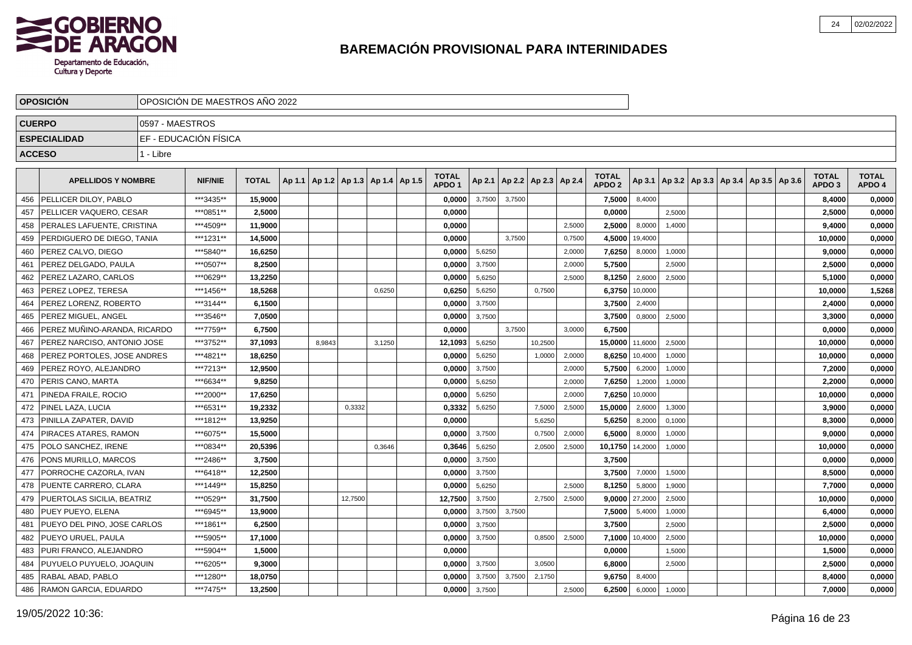

|               | <b>OPOSICION</b>                  |                 | OPOSICION DE MAESTROS ANO 2022 |              |                                            |         |        |                                   |        |        |                          |        |                                   |                |        |  |                                                     |                                   |                        |
|---------------|-----------------------------------|-----------------|--------------------------------|--------------|--------------------------------------------|---------|--------|-----------------------------------|--------|--------|--------------------------|--------|-----------------------------------|----------------|--------|--|-----------------------------------------------------|-----------------------------------|------------------------|
| <b>CUERPO</b> |                                   | 0597 - MAESTROS |                                |              |                                            |         |        |                                   |        |        |                          |        |                                   |                |        |  |                                                     |                                   |                        |
|               | <b>ESPECIALIDAD</b>               |                 | EF - EDUCACIÓN FÍSICA          |              |                                            |         |        |                                   |        |        |                          |        |                                   |                |        |  |                                                     |                                   |                        |
| <b>ACCESO</b> |                                   | 1 - Libre       |                                |              |                                            |         |        |                                   |        |        |                          |        |                                   |                |        |  |                                                     |                                   |                        |
|               | <b>APELLIDOS Y NOMBRE</b>         |                 | <b>NIF/NIE</b>                 | <b>TOTAL</b> | Ap 1.1   Ap 1.2   Ap 1.3   Ap 1.4   Ap 1.5 |         |        | <b>TOTAL</b><br>APDO <sub>1</sub> | Ap 2.1 |        | Ap 2.2   Ap 2.3   Ap 2.4 |        | <b>TOTAL</b><br>APDO <sub>2</sub> |                |        |  | Ap 3.1   Ap 3.2   Ap 3.3   Ap 3.4   Ap 3.5   Ap 3.6 | <b>TOTAL</b><br>APDO <sub>3</sub> | <b>TOTAL</b><br>APDO 4 |
| 456           | PELLICER DILOY, PABLO             |                 | ***3435**                      | 15,9000      |                                            |         |        | 0,0000                            | 3,7500 | 3,7500 |                          |        | 7,5000                            | 8,4000         |        |  |                                                     | 8,4000                            | 0,0000                 |
| 457           | PELLICER VAQUERO, CESAR           |                 | ***0851**                      | 2,5000       |                                            |         |        | 0,0000                            |        |        |                          |        | 0,0000                            |                | 2,5000 |  |                                                     | 2,5000                            | 0,0000                 |
| 458           | PERALES LAFUENTE, CRISTINA        |                 | ***4509**                      | 11,9000      |                                            |         |        | 0,0000                            |        |        |                          | 2,5000 | 2,5000                            | 8,0000         | 1,4000 |  |                                                     | 9,4000                            | 0,0000                 |
| 459           | PERDIGUERO DE DIEGO, TANIA        |                 | ***1231**                      | 14,5000      |                                            |         |        | 0,0000                            |        | 3,7500 |                          | 0,7500 | 4,5000                            | 19,4000        |        |  |                                                     | 10,0000                           | 0,0000                 |
| 460           | PEREZ CALVO, DIEGO                |                 | ***5840**                      | 16,6250      |                                            |         |        | 0,0000                            | 5,6250 |        |                          | 2,0000 | 7,6250                            | 8,0000         | 1,0000 |  |                                                     | 9,0000                            | 0,0000                 |
| 461           | PEREZ DELGADO, PAULA              |                 | ***0507**                      | 8,2500       |                                            |         |        | 0,0000                            | 3,7500 |        |                          | 2,0000 | 5,7500                            |                | 2,5000 |  |                                                     | 2,5000                            | 0,0000                 |
| 462           | PEREZ LAZARO, CARLOS              |                 | ***0629**                      | 13,2250      |                                            |         |        | 0,0000                            | 5,6250 |        |                          | 2,5000 | 8,1250                            | 2,6000         | 2,5000 |  |                                                     | 5,1000                            | 0,0000                 |
| 463           | PEREZ LOPEZ, TERESA               |                 | ***1456**                      | 18,5268      |                                            |         | 0,6250 | 0,6250                            | 5,6250 |        | 0,7500                   |        | 6,3750                            | 10,0000        |        |  |                                                     | 10,0000                           | 1,5268                 |
| 464           | PEREZ LORENZ, ROBERTO             |                 | ***3144**                      | 6,1500       |                                            |         |        | 0,0000                            | 3,7500 |        |                          |        | 3,7500                            | 2,4000         |        |  |                                                     | 2,4000                            | 0,0000                 |
| 465           | <b>PEREZ MIGUEL, ANGEL</b>        |                 | ***3546**                      | 7,0500       |                                            |         |        | 0,0000                            | 3,7500 |        |                          |        | 3,7500                            | 0,8000         | 2,5000 |  |                                                     | 3,3000                            | 0,0000                 |
| 466           | PEREZ MUÑINO-ARANDA, RICARDO      |                 | ***7759**                      | 6,7500       |                                            |         |        | 0.0000                            |        | 3.7500 |                          | 3.0000 | 6,7500                            |                |        |  |                                                     | 0.0000                            | 0,0000                 |
| 467           | PEREZ NARCISO, ANTONIO JOSE       |                 | ***3752**                      | 37,1093      | 8.9843                                     |         | 3.1250 | 12,1093                           | 5,6250 |        | 10,2500                  |        | 15,0000 11,6000                   |                | 2,5000 |  |                                                     | 10,0000                           | 0,0000                 |
| 468           | PEREZ PORTOLES. JOSE ANDRES       |                 | ***4821**                      | 18,6250      |                                            |         |        | 0,0000                            | 5,6250 |        | 1,0000                   | 2,0000 | 8,6250                            | 10,4000        | 1,0000 |  |                                                     | 10,0000                           | 0,0000                 |
| 469           | PEREZ ROYO, ALEJANDRO             |                 | ***7213**                      | 12,9500      |                                            |         |        | 0,0000                            | 3,7500 |        |                          | 2,0000 | 5,7500                            | 6,2000         | 1,0000 |  |                                                     | 7,2000                            | 0,0000                 |
| 470           | PERIS CANO. MARTA                 |                 | ***6634**                      | 9,8250       |                                            |         |        | 0,0000                            | 5,6250 |        |                          | 2,0000 | 7,6250                            | 1,2000         | 1,0000 |  |                                                     | 2,2000                            | 0,0000                 |
| 471           | PINEDA FRAILE, ROCIO              |                 | ***2000**                      | 17,6250      |                                            |         |        | 0,0000                            | 5,6250 |        |                          | 2,0000 | 7,6250                            | 10,0000        |        |  |                                                     | 10,0000                           | 0,0000                 |
| 472           | <b>PINEL LAZA, LUCIA</b>          |                 | ***6531**                      | 19,2332      |                                            | 0,3332  |        | 0,3332                            | 5,6250 |        | 7,5000                   | 2,5000 | 15,0000                           | 2,6000         | 1,3000 |  |                                                     | 3,9000                            | 0,0000                 |
| 473           | PINILLA ZAPATER, DAVID            |                 | ***1812**                      | 13,9250      |                                            |         |        | 0,0000                            |        |        | 5,6250                   |        | 5,6250                            | 8,2000         | 0,1000 |  |                                                     | 8,3000                            | 0,0000                 |
| 474           | PIRACES ATARES, RAMON             |                 | ***6075**                      | 15,5000      |                                            |         |        | 0,0000                            | 3,7500 |        | 0,7500                   | 2,0000 | 6,5000                            | 8,0000         | 1,0000 |  |                                                     | 9,0000                            | 0,0000                 |
| 475           | POLO SANCHEZ, IRENE               |                 | ***0834**                      | 20,5396      |                                            |         | 0,3646 | 0,3646                            | 5,6250 |        | 2,0500                   | 2,5000 | 10,1750                           | 14,2000        | 1,0000 |  |                                                     | 10,0000                           | 0,0000                 |
| 476           | PONS MURILLO, MARCOS              |                 | ***2486**                      | 3,7500       |                                            |         |        | 0,0000                            | 3,7500 |        |                          |        | 3,7500                            |                |        |  |                                                     | 0,0000                            | 0,0000                 |
| 477           | PORROCHE CAZORLA, IVAN            |                 | ***6418**                      | 12,2500      |                                            |         |        | 0,0000                            | 3,7500 |        |                          |        | 3,7500                            | 7,0000         | 1,5000 |  |                                                     | 8,5000                            | 0,0000                 |
| 478           | <b>PUENTE CARRERO, CLARA</b>      |                 | ***1449**                      | 15,8250      |                                            |         |        | 0,0000                            | 5,6250 |        |                          | 2,5000 | 8,1250                            | 5,8000         | 1,9000 |  |                                                     | 7,7000                            | 0,0000                 |
| 479           | <b>PUERTOLAS SICILIA, BEATRIZ</b> |                 | ***0529**                      | 31,7500      |                                            | 12,7500 |        | 12,7500                           | 3,7500 |        | 2,7500                   | 2,5000 |                                   | 9,0000 27,2000 | 2,5000 |  |                                                     | 10,0000                           | 0,0000                 |
| 480           | <b>PUEY PUEYO, ELENA</b>          |                 | ***6945**                      | 13,9000      |                                            |         |        | 0,0000                            | 3,7500 | 3,7500 |                          |        | 7,5000                            | 5,4000         | 1,0000 |  |                                                     | 6,4000                            | 0,0000                 |
| 481           | PUEYO DEL PINO, JOSE CARLOS       |                 | ***1861**                      | 6,2500       |                                            |         |        | 0,0000                            | 3,7500 |        |                          |        | 3,7500                            |                | 2.5000 |  |                                                     | 2,5000                            | 0,0000                 |
| 482           | PUEYO URUEL. PAULA                |                 | ***5905**                      | 17,1000      |                                            |         |        | 0,0000                            | 3,7500 |        | 0,8500                   | 2,5000 |                                   | 7,1000 10,4000 | 2,5000 |  |                                                     | 10,0000                           | 0,0000                 |
| 483           | PURI FRANCO. ALEJANDRO            |                 | ***5904**                      | 1,5000       |                                            |         |        | 0.0000                            |        |        |                          |        | 0,0000                            |                | 1,5000 |  |                                                     | 1,5000                            | 0,0000                 |
| 484           | PUYUELO PUYUELO, JOAQUIN          |                 | ***6205**                      | 9,3000       |                                            |         |        | 0,0000                            | 3,7500 |        | 3,0500                   |        | 6,8000                            |                | 2,5000 |  |                                                     | 2,5000                            | 0,0000                 |
| 485           | RABAL ABAD, PABLO                 |                 | ***1280**                      | 18,0750      |                                            |         |        | 0.0000                            | 3,7500 | 3,7500 | 2,1750                   |        | 9,6750                            | 8,4000         |        |  |                                                     | 8,4000                            | 0,0000                 |
| 486           | <b>RAMON GARCIA, EDUARDO</b>      |                 | ***7475**                      | 13,2500      |                                            |         |        | 0,0000                            | 3,7500 |        |                          | 2,5000 | 6,2500                            | 6,0000         | 1,0000 |  |                                                     | 7.0000                            | 0,0000                 |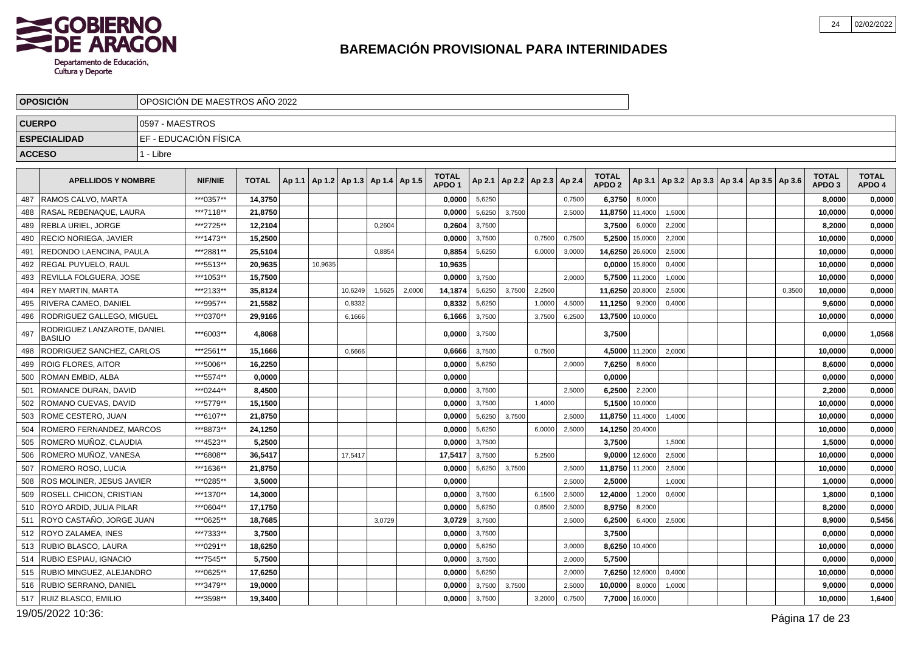

|               | <b>OPOSICION</b>                              |                 | OPOSICION DE MAESTROS ANO 2022 |              |         |                                            |        |        |                                   |        |        |                                   |        |                                   |         |                                                     |  |        |                                   |                        |
|---------------|-----------------------------------------------|-----------------|--------------------------------|--------------|---------|--------------------------------------------|--------|--------|-----------------------------------|--------|--------|-----------------------------------|--------|-----------------------------------|---------|-----------------------------------------------------|--|--------|-----------------------------------|------------------------|
| <b>CUERPO</b> |                                               | 0597 - MAESTROS |                                |              |         |                                            |        |        |                                   |        |        |                                   |        |                                   |         |                                                     |  |        |                                   |                        |
|               | <b>ESPECIALIDAD</b>                           |                 | EF - EDUCACIÓN FÍSICA          |              |         |                                            |        |        |                                   |        |        |                                   |        |                                   |         |                                                     |  |        |                                   |                        |
| <b>ACCESO</b> |                                               | 1 - Libre       |                                |              |         |                                            |        |        |                                   |        |        |                                   |        |                                   |         |                                                     |  |        |                                   |                        |
|               |                                               |                 |                                |              |         |                                            |        |        |                                   |        |        |                                   |        |                                   |         |                                                     |  |        |                                   |                        |
|               | <b>APELLIDOS Y NOMBRE</b>                     |                 | <b>NIF/NIE</b>                 | <b>TOTAL</b> |         | Ap 1.1   Ap 1.2   Ap 1.3   Ap 1.4   Ap 1.5 |        |        | <b>TOTAL</b><br>APDO <sub>1</sub> |        |        | Ap 2.1   Ap 2.2   Ap 2.3   Ap 2.4 |        | <b>TOTAL</b><br>APDO <sub>2</sub> |         | Ap 3.1   Ap 3.2   Ap 3.3   Ap 3.4   Ap 3.5   Ap 3.6 |  |        | <b>TOTAL</b><br>APDO <sub>3</sub> | <b>TOTAL</b><br>APDO 4 |
| 487           | RAMOS CALVO, MARTA                            |                 | ***0357**                      | 14,3750      |         |                                            |        |        | 0,0000                            | 5,6250 |        |                                   | 0,7500 | 6,3750                            | 8,0000  |                                                     |  |        | 8,0000                            | 0,0000                 |
| 488           | RASAL REBENAQUE, LAURA                        |                 | ***7118**                      | 21,8750      |         |                                            |        |        | 0,0000                            | 5,6250 | 3,7500 |                                   | 2,5000 | 11,8750                           | 11,4000 | 1,5000                                              |  |        | 10,0000                           | 0,0000                 |
| 489           | REBLA URIEL. JORGE                            |                 | ***2725**                      | 12,2104      |         |                                            | 0,2604 |        | 0,2604                            | 3,7500 |        |                                   |        | 3,7500                            | 6,0000  | 2,2000                                              |  |        | 8,2000                            | 0,0000                 |
| 490           | <b>RECIO NORIEGA, JAVIER</b>                  |                 | ***1473**                      | 15,2500      |         |                                            |        |        | 0,0000                            | 3,7500 |        | 0,7500                            | 0.7500 | 5,2500                            | 15,0000 | 2,2000                                              |  |        | 10.0000                           | 0,0000                 |
| 491           | REDONDO LAENCINA, PAULA                       |                 | ***2881**                      | 25,5104      |         |                                            | 0,8854 |        | 0,8854                            | 5,6250 |        | 6,0000                            | 3,0000 | 14,6250                           | 26,6000 | 2,5000                                              |  |        | 10,0000                           | 0,0000                 |
| 492           | <b>REGAL PUYUELO, RAUL</b>                    |                 | ***5513**                      | 20.9635      | 10,9635 |                                            |        |        | 10,9635                           |        |        |                                   |        | 0,0000                            | 15,8000 | 0,4000                                              |  |        | 10,0000                           | 0,0000                 |
| 493           | REVILLA FOLGUERA, JOSE                        |                 | ***1053**                      | 15,7500      |         |                                            |        |        | 0,0000                            | 3,7500 |        |                                   | 2.0000 | 5,7500                            | 11,2000 | 1,0000                                              |  |        | 10,0000                           | 0,0000                 |
| 494           | <b>REY MARTIN, MARTA</b>                      |                 | ***2133**                      | 35.8124      |         | 10,6249                                    | 1,5625 | 2,0000 | 14,1874                           | 5,6250 | 3,7500 | 2,2500                            |        | 11,6250                           | 20,8000 | 2,5000                                              |  | 0,3500 | 10,0000                           | 0,0000                 |
| 495           | RIVERA CAMEO, DANIEL                          |                 | ***9957**                      | 21,5582      |         | 0,8332                                     |        |        | 0,8332                            | 5,6250 |        | 1,0000                            | 4,5000 | 11,1250                           | 9,2000  | 0,4000                                              |  |        | 9,6000                            | 0,0000                 |
| 496           | RODRIGUEZ GALLEGO, MIGUEL                     |                 | ***0370**                      | 29,9166      |         | 6,1666                                     |        |        | 6,1666                            | 3,7500 |        | 3,7500                            | 6,2500 | 13,7500                           | 10,0000 |                                                     |  |        | 10,0000                           | 0,0000                 |
| 497           | RODRIGUEZ LANZAROTE, DANIEL<br><b>BASILIO</b> |                 | ***6003**                      | 4,8068       |         |                                            |        |        | 0,0000                            | 3,7500 |        |                                   |        | 3,7500                            |         |                                                     |  |        | 0,0000                            | 1,0568                 |
| 498           | RODRIGUEZ SANCHEZ, CARLOS                     |                 | ***2561**                      | 15,1666      |         | 0,6666                                     |        |        | 0,6666                            | 3,7500 |        | 0,7500                            |        | 4,5000                            | 11,2000 | 2,0000                                              |  |        | 10,0000                           | 0,0000                 |
| 499           | <b>ROIG FLORES, AITOR</b>                     |                 | ***5006**                      | 16,2250      |         |                                            |        |        | 0,0000                            | 5,6250 |        |                                   | 2,0000 | 7,6250                            | 8,6000  |                                                     |  |        | 8,6000                            | 0,0000                 |
| 500           | ROMAN EMBID, ALBA                             |                 | ***5574**                      | 0,0000       |         |                                            |        |        | 0,0000                            |        |        |                                   |        | 0,0000                            |         |                                                     |  |        | 0,0000                            | 0,0000                 |
| 501           | ROMANCE DURAN, DAVID                          |                 | ***0244**                      | 8,4500       |         |                                            |        |        | 0,0000                            | 3,7500 |        |                                   | 2,5000 | 6,2500                            | 2,2000  |                                                     |  |        | 2,2000                            | 0,0000                 |
| 502           | <b>IROMANO CUEVAS. DAVID</b>                  |                 | ***5779**                      | 15.1500      |         |                                            |        |        | 0.0000                            | 3,7500 |        | 1,4000                            |        | 5.1500                            | 10,0000 |                                                     |  |        | 10,0000                           | 0,0000                 |
| 503           | <b>ROME CESTERO, JUAN</b>                     |                 | ***6107**                      | 21,8750      |         |                                            |        |        | 0,0000                            | 5,6250 | 3,7500 |                                   | 2,5000 | 11,8750                           | 11,4000 | 1,4000                                              |  |        | 10,0000                           | 0,0000                 |
| 504           | ROMERO FERNANDEZ, MARCOS                      |                 | ***8873**                      | 24,1250      |         |                                            |        |        | 0,0000                            | 5,6250 |        | 6,0000                            | 2,5000 | 14,1250 20,4000                   |         |                                                     |  |        | 10,0000                           | 0,0000                 |
| 505           | ROMERO MUÑOZ, CLAUDIA                         |                 | ***4523**                      | 5,2500       |         |                                            |        |        | 0,0000                            | 3,7500 |        |                                   |        | 3,7500                            |         | 1,5000                                              |  |        | 1,5000                            | 0,0000                 |
| 506           | ROMERO MUÑOZ, VANESA                          |                 | ***6808**                      | 36,5417      |         | 17,5417                                    |        |        | 17,5417                           | 3,7500 |        | 5,2500                            |        | 9,0000                            | 12,6000 | 2,5000                                              |  |        | 10,0000                           | 0,0000                 |
| 507           | ROMERO ROSO, LUCIA                            |                 | ***1636**                      | 21,8750      |         |                                            |        |        | 0,0000                            | 5,6250 | 3,7500 |                                   | 2,5000 | 11,8750                           | 11,2000 | 2,5000                                              |  |        | 10,0000                           | 0,0000                 |
| 508           | ROS MOLINER, JESUS JAVIER                     |                 | ***0285**                      | 3,5000       |         |                                            |        |        | 0,0000                            |        |        |                                   | 2,5000 | 2,5000                            |         | 1,0000                                              |  |        | 1,0000                            | 0,0000                 |
| 509           | <b>ROSELL CHICON, CRISTIAN</b>                |                 | ***1370**                      | 14,3000      |         |                                            |        |        | 0.0000                            | 3,7500 |        | 6,1500                            | 2,5000 | 12,4000                           | 1,2000  | 0,6000                                              |  |        | 1,8000                            | 0,1000                 |
| 510           | ROYO ARDID, JULIA PILAR                       |                 | ***0604**                      | 17,1750      |         |                                            |        |        | 0,0000                            | 5,6250 |        | 0,8500                            | 2,5000 | 8,9750                            | 8,2000  |                                                     |  |        | 8,2000                            | 0,0000                 |
| 511           | ROYO CASTAÑO. JORGE JUAN                      |                 | ***0625**                      | 18,7685      |         |                                            | 3,0729 |        | 3.0729                            | 3,7500 |        |                                   | 2,5000 | 6,2500                            | 6,4000  | 2,5000                                              |  |        | 8.9000                            | 0,5456                 |
| 512           | ROYO ZALAMEA, INES                            |                 | ***7333**                      | 3,7500       |         |                                            |        |        | 0,0000                            | 3,7500 |        |                                   |        | 3,7500                            |         |                                                     |  |        | 0,0000                            | 0,0000                 |
| 513           | <b>RUBIO BLASCO, LAURA</b>                    |                 | ***0291**                      | 18,6250      |         |                                            |        |        | 0,0000                            | 5,6250 |        |                                   | 3,0000 | 8,6250                            | 10,4000 |                                                     |  |        | 10,0000                           | 0,0000                 |
| 514           | RUBIO ESPIAU, IGNACIO                         |                 | ***7545**                      | 5,7500       |         |                                            |        |        | 0,0000                            | 3,7500 |        |                                   | 2,0000 | 5,7500                            |         |                                                     |  |        | 0,0000                            | 0,0000                 |
| 515           | RUBIO MINGUEZ, ALEJANDRO                      |                 | ***0625**                      | 17,6250      |         |                                            |        |        | 0,0000                            | 5,6250 |        |                                   | 2,0000 | 7,6250                            | 12,6000 | 0,4000                                              |  |        | 10,0000                           | 0,0000                 |
| 516           | RUBIO SERRANO, DANIEL                         |                 | ***3479**                      | 19.0000      |         |                                            |        |        | 0.0000                            | 3,7500 | 3,7500 |                                   | 2,5000 | 10,0000                           | 8,0000  | 1,0000                                              |  |        | 9.0000                            | 0,0000                 |
| 517           | <b>RUIZ BLASCO, EMILIO</b>                    |                 | ***3598**                      | 19,3400      |         |                                            |        |        | 0,0000                            | 3,7500 |        | 3,2000                            | 0,7500 | 7,7000                            | 16,0000 |                                                     |  |        | 10,0000                           | 1,6400                 |

19/05/2022 10:36: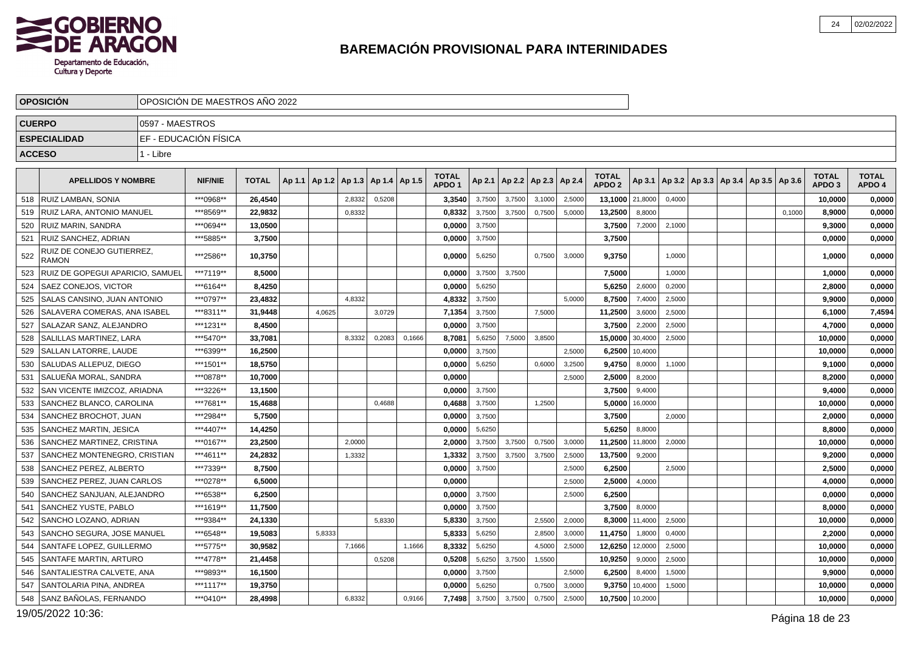

|     | <b>OPOSICION</b>                          |                 | OPOSICION DE MAESTROS ANO 2022 |              |        |                                            |        |        |                                   |        |        |                 |        |                                   |         |                                                     |  |        |                                   |                        |
|-----|-------------------------------------------|-----------------|--------------------------------|--------------|--------|--------------------------------------------|--------|--------|-----------------------------------|--------|--------|-----------------|--------|-----------------------------------|---------|-----------------------------------------------------|--|--------|-----------------------------------|------------------------|
|     | <b>CUERPO</b>                             | 0597 - MAESTROS |                                |              |        |                                            |        |        |                                   |        |        |                 |        |                                   |         |                                                     |  |        |                                   |                        |
|     | <b>ESPECIALIDAD</b>                       |                 | EF - EDUCACIÓN FÍSICA          |              |        |                                            |        |        |                                   |        |        |                 |        |                                   |         |                                                     |  |        |                                   |                        |
|     | <b>ACCESO</b>                             | 1 - Libre       |                                |              |        |                                            |        |        |                                   |        |        |                 |        |                                   |         |                                                     |  |        |                                   |                        |
|     |                                           |                 |                                |              |        |                                            |        |        |                                   |        |        |                 |        |                                   |         |                                                     |  |        |                                   |                        |
|     | <b>APELLIDOS Y NOMBRE</b>                 |                 | <b>NIF/NIE</b>                 | <b>TOTAL</b> |        | Ap 1.1   Ap 1.2   Ap 1.3   Ap 1.4   Ap 1.5 |        |        | <b>TOTAL</b><br>APDO <sub>1</sub> | Ap 2.1 | Ap 2.2 | Ap 2.3   Ap 2.4 |        | <b>TOTAL</b><br>APDO <sub>2</sub> |         | Ap 3.1   Ap 3.2   Ap 3.3   Ap 3.4   Ap 3.5   Ap 3.6 |  |        | <b>TOTAL</b><br>APDO <sub>3</sub> | <b>TOTAL</b><br>APDO 4 |
| 518 | I RUIZ LAMBAN. SONIA                      |                 | ***0968**                      | 26.4540      |        | 2,8332                                     | 0,5208 |        | 3,3540                            | 3,7500 | 3,7500 | 3,1000          | 2,5000 | 13,1000 21,8000                   |         | 0,4000                                              |  |        | 10,0000                           | 0,0000                 |
| 519 | RUIZ LARA, ANTONIO MANUEL                 |                 | ***8569**                      | 22,9832      |        | 0,8332                                     |        |        | 0,8332                            | 3,7500 | 3,7500 | 0,7500          | 5,0000 | 13,2500                           | 8,8000  |                                                     |  | 0,1000 | 8,9000                            | 0,0000                 |
| 520 | RUIZ MARIN, SANDRA                        |                 | ***0694**                      | 13,0500      |        |                                            |        |        | 0,0000                            | 3,7500 |        |                 |        | 3,7500                            | 7,2000  | 2,1000                                              |  |        | 9,3000                            | 0,0000                 |
| 521 | <b>RUIZ SANCHEZ, ADRIAN</b>               |                 | ***5885**                      | 3,7500       |        |                                            |        |        | 0,0000                            | 3,7500 |        |                 |        | 3,7500                            |         |                                                     |  |        | 0,0000                            | 0,0000                 |
| 522 | RUIZ DE CONEJO GUTIERREZ,<br><b>RAMON</b> |                 | ***2586**                      | 10,3750      |        |                                            |        |        | 0,0000                            | 5,6250 |        | 0,7500          | 3,0000 | 9,3750                            |         | 1,0000                                              |  |        | 1,0000                            | 0,0000                 |
| 523 | RUIZ DE GOPEGUI APARICIO, SAMUEL          |                 | ***7119**                      | 8,5000       |        |                                            |        |        | 0,0000                            | 3,7500 | 3,7500 |                 |        | 7,5000                            |         | 1,0000                                              |  |        | 1,0000                            | 0,0000                 |
| 524 | <b>SAEZ CONEJOS, VICTOR</b>               |                 | ***6164**                      | 8,4250       |        |                                            |        |        | 0,0000                            | 5,6250 |        |                 |        | 5,6250                            | 2,6000  | 0,2000                                              |  |        | 2,8000                            | 0,0000                 |
| 525 | SALAS CANSINO, JUAN ANTONIO               |                 | ***0797**                      | 23,4832      |        | 4.8332                                     |        |        | 4,8332                            | 3,7500 |        |                 | 5.0000 | 8,7500                            | 7.4000  | 2,5000                                              |  |        | 9,9000                            | 0,0000                 |
| 526 | SALAVERA COMERAS, ANA ISABEL              |                 | ***8311**                      | 31,9448      | 4,0625 |                                            | 3,0729 |        | 7,1354                            | 3,7500 |        | 7,5000          |        | 11,2500                           | 3,6000  | 2,5000                                              |  |        | 6,1000                            | 7,4594                 |
| 527 | SALAZAR SANZ, ALEJANDRO                   |                 | ***1231**                      | 8.4500       |        |                                            |        |        | 0.0000                            | 3,7500 |        |                 |        | 3,7500                            | 2,2000  | 2,5000                                              |  |        | 4,7000                            | 0,0000                 |
| 528 | SALILLAS MARTINEZ, LARA                   |                 | ***5470**                      | 33,7081      |        | 8,3332                                     | 0,2083 | 0,1666 | 8,708'                            | 5,6250 | 7,5000 | 3,8500          |        | 15,0000                           | 30,4000 | 2,5000                                              |  |        | 10,0000                           | 0,0000                 |
| 529 | <b>SALLAN LATORRE. LAUDE</b>              |                 | ***6399**                      | 16,2500      |        |                                            |        |        | 0.0000                            | 3,7500 |        |                 | 2,5000 | 6,2500                            | 10,4000 |                                                     |  |        | 10,0000                           | 0,0000                 |
| 530 | SALUDAS ALLEPUZ, DIEGO                    |                 | ***1501**                      | 18,5750      |        |                                            |        |        | 0,0000                            | 5,6250 |        | 0,6000          | 3,2500 | 9,4750                            | 8,0000  | 1,1000                                              |  |        | 9,1000                            | 0,0000                 |
| 531 | SALUEÑA MORAL, SANDRA                     |                 | ***0878**                      | 10,7000      |        |                                            |        |        | 0,0000                            |        |        |                 | 2,5000 | 2,5000                            | 8,2000  |                                                     |  |        | 8,2000                            | 0,0000                 |
| 532 | SAN VICENTE IMIZCOZ, ARIADNA              |                 | ***3226**                      | 13,1500      |        |                                            |        |        | 0,0000                            | 3,7500 |        |                 |        | 3,7500                            | 9,4000  |                                                     |  |        | 9,4000                            | 0,0000                 |
| 533 | SANCHEZ BLANCO, CAROLINA                  |                 | ***7681**                      | 15,4688      |        |                                            | 0,4688 |        | 0,4688                            | 3,7500 |        | 1,2500          |        | 5,0000                            | 16,0000 |                                                     |  |        | 10,0000                           | 0,0000                 |
| 534 | SANCHEZ BROCHOT, JUAN                     |                 | ***2984**                      | 5,7500       |        |                                            |        |        | 0,0000                            | 3,7500 |        |                 |        | 3,7500                            |         | 2,0000                                              |  |        | 2,0000                            | 0,0000                 |
| 535 | SANCHEZ MARTIN, JESICA                    |                 | ***4407**                      | 14,4250      |        |                                            |        |        | 0,0000                            | 5,6250 |        |                 |        | 5,6250                            | 8,8000  |                                                     |  |        | 8,8000                            | 0,0000                 |
| 536 | <b>SANCHEZ MARTINEZ, CRISTINA</b>         |                 | ***0167**                      | 23,2500      |        | 2,0000                                     |        |        | 2,0000                            | 3,7500 | 3.7500 | 0,7500          | 3,0000 | 11,2500                           | 11,8000 | 2,0000                                              |  |        | 10,0000                           | 0,0000                 |
| 537 | SANCHEZ MONTENEGRO, CRISTIAN              |                 | ***4611**                      | 24,2832      |        | 1,3332                                     |        |        | 1,3332                            | 3,7500 | 3,7500 | 3,7500          | 2,5000 | 13,7500                           | 9,2000  |                                                     |  |        | 9,2000                            | 0,0000                 |
| 538 | SANCHEZ PEREZ. ALBERTO                    |                 | ***7339**                      | 8,7500       |        |                                            |        |        | 0,0000                            | 3,7500 |        |                 | 2,5000 | 6,2500                            |         | 2,5000                                              |  |        | 2,5000                            | 0,0000                 |
| 539 | SANCHEZ PEREZ, JUAN CARLOS                |                 | ***0278**                      | 6,5000       |        |                                            |        |        | 0,0000                            |        |        |                 | 2,5000 | 2,5000                            | 4,0000  |                                                     |  |        | 4,0000                            | 0,0000                 |
| 540 | SANCHEZ SANJUAN, ALEJANDRO                |                 | ***6538**                      | 6,2500       |        |                                            |        |        | 0.0000                            | 3,7500 |        |                 | 2,5000 | 6,2500                            |         |                                                     |  |        | 0,0000                            | 0,0000                 |
| 541 | SANCHEZ YUSTE, PABLO                      |                 | ***1619**                      | 11,7500      |        |                                            |        |        | 0,0000                            | 3,7500 |        |                 |        | 3,7500                            | 8,0000  |                                                     |  |        | 8,0000                            | 0,0000                 |
| 542 | SANCHO LOZANO, ADRIAN                     |                 | ***9384**                      | 24,1330      |        |                                            | 5,8330 |        | 5,8330                            | 3,7500 |        | 2,5500          | 2,0000 | 8,3000                            | 11,4000 | 2,5000                                              |  |        | 10,0000                           | 0,0000                 |
| 543 | SANCHO SEGURA, JOSE MANUEL                |                 | ***6548**                      | 19,5083      | 5,8333 |                                            |        |        | 5,8333                            | 5,6250 |        | 2,8500          | 3,0000 | 11,4750                           | 1,8000  | 0,4000                                              |  |        | 2,2000                            | 0,0000                 |
| 544 | SANTAFE LOPEZ, GUILLERMO                  |                 | ***5775**                      | 30,9582      |        | 7,1666                                     |        | 1,1666 | 8,3332                            | 5,6250 |        | 4,5000          | 2,5000 | 12,6250                           | 12,0000 | 2,5000                                              |  |        | 10,0000                           | 0,0000                 |
| 545 | <b>SANTAFE MARTIN, ARTURO</b>             |                 | ***4778**                      | 21,4458      |        |                                            | 0,5208 |        | 0,5208                            | 5,6250 | 3,7500 | 1,5500          |        | 10,9250                           | 9,0000  | 2,5000                                              |  |        | 10,0000                           | 0,0000                 |
| 546 | SANTALIESTRA CALVETE, ANA                 |                 | ***9893**                      | 16,1500      |        |                                            |        |        | 0,0000                            | 3,7500 |        |                 | 2,5000 | 6,2500                            | 8,4000  | 1,5000                                              |  |        | 9,9000                            | 0,0000                 |
| 547 | SANTOLARIA PINA, ANDREA                   |                 | ***1117**                      | 19,3750      |        |                                            |        |        | 0,0000                            | 5,6250 |        | 0,7500          | 3.0000 | 9,3750                            | 10,4000 | 1,5000                                              |  |        | 10.0000                           | 0,0000                 |
| 548 | SANZ BAÑOLAS, FERNANDO                    |                 | ***0410**                      | 28,4998      |        | 6,8332                                     |        | 0,9166 | 7,7498                            | 3,7500 | 3,7500 | 0,7500          | 2,5000 | 10,7500 10,2000                   |         |                                                     |  |        | 10,0000                           | 0,0000                 |

19/05/2022 10:36:

Página 18 de 23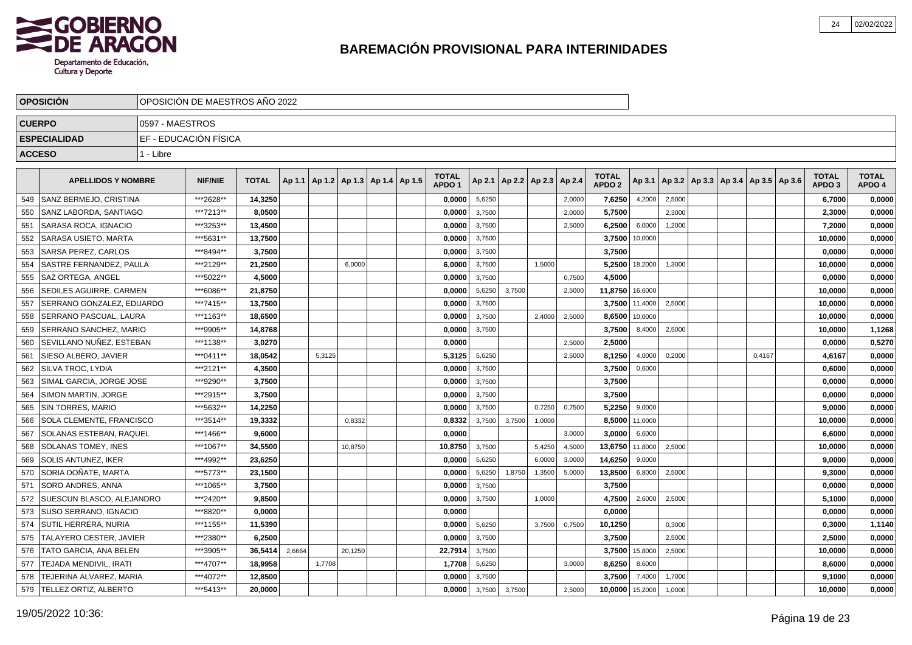

|     | <b>OPOSICIÓN</b>                |                 | OPOSICIÓN DE MAESTROS AÑO 2022 |              |        |        |                                            |  |                                   |        |        |                                   |        |                                   |         |        |  |                                            |                                   |                        |
|-----|---------------------------------|-----------------|--------------------------------|--------------|--------|--------|--------------------------------------------|--|-----------------------------------|--------|--------|-----------------------------------|--------|-----------------------------------|---------|--------|--|--------------------------------------------|-----------------------------------|------------------------|
|     | <b>CUERPO</b>                   | 0597 - MAESTROS |                                |              |        |        |                                            |  |                                   |        |        |                                   |        |                                   |         |        |  |                                            |                                   |                        |
|     | <b>ESPECIALIDAD</b>             |                 | EF - EDUCACIÓN FÍSICA          |              |        |        |                                            |  |                                   |        |        |                                   |        |                                   |         |        |  |                                            |                                   |                        |
|     | <b>ACCESO</b>                   | 1 - Libre       |                                |              |        |        |                                            |  |                                   |        |        |                                   |        |                                   |         |        |  |                                            |                                   |                        |
|     |                                 |                 |                                |              |        |        |                                            |  |                                   |        |        |                                   |        |                                   |         |        |  |                                            |                                   |                        |
|     | <b>APELLIDOS Y NOMBRE</b>       |                 | <b>NIF/NIE</b>                 | <b>TOTAL</b> |        |        | Ap 1.1   Ap 1.2   Ap 1.3   Ap 1.4   Ap 1.5 |  | <b>TOTAL</b><br>APDO <sub>1</sub> |        |        | Ap 2.1   Ap 2.2   Ap 2.3   Ap 2.4 |        | <b>TOTAL</b><br>APDO <sub>2</sub> | Ap 3.1  |        |  | Ap 3.2   Ap 3.3   Ap 3.4   Ap 3.5   Ap 3.6 | <b>TOTAL</b><br>APDO <sub>3</sub> | <b>TOTAL</b><br>APDO 4 |
| 549 | SANZ BERMEJO, CRISTINA          |                 | ***2628**                      | 14,3250      |        |        |                                            |  | 0,0000                            | 5,6250 |        |                                   | 2,0000 | 7,6250                            | 4,2000  | 2,5000 |  |                                            | 6,7000                            | 0,0000                 |
| 550 | <b>SANZ LABORDA, SANTIAGO</b>   |                 | ***7213**                      | 8,0500       |        |        |                                            |  | 0,0000                            | 3,7500 |        |                                   | 2,0000 | 5,7500                            |         | 2,3000 |  |                                            | 2,3000                            | 0,0000                 |
| 551 | SARASA ROCA. IGNACIO            |                 | ***3253**                      | 13,4500      |        |        |                                            |  | 0,0000                            | 3,7500 |        |                                   | 2,5000 | 6,2500                            | 6,0000  | 1,2000 |  |                                            | 7,2000                            | 0,0000                 |
| 552 | SARASA USIETO, MARTA            |                 | ***5631**                      | 13,7500      |        |        |                                            |  | 0,0000                            | 3,7500 |        |                                   |        | 3,7500                            | 10,0000 |        |  |                                            | 10,0000                           | 0,0000                 |
| 553 | SARSA PEREZ, CARLOS             |                 | ***8494**                      | 3,7500       |        |        |                                            |  | 0,0000                            | 3,7500 |        |                                   |        | 3,7500                            |         |        |  |                                            | 0,0000                            | 0,0000                 |
| 554 | SASTRE FERNANDEZ, PAULA         |                 | ***2129**                      | 21,2500      |        |        | 6,0000                                     |  | 6,0000                            | 3,7500 |        | 1,5000                            |        | 5,2500                            | 18,2000 | 1,3000 |  |                                            | 10,0000                           | 0,0000                 |
| 555 | SAZ ORTEGA, ANGEL               |                 | ***5022**                      | 4,5000       |        |        |                                            |  | 0,0000                            | 3,7500 |        |                                   | 0,7500 | 4,5000                            |         |        |  |                                            | 0,0000                            | 0,0000                 |
| 556 | <b>SEDILES AGUIRRE, CARMEN</b>  |                 | ***6086**                      | 21,8750      |        |        |                                            |  | 0,0000                            | 5,6250 | 3,7500 |                                   | 2,5000 | 11,8750                           | 16,6000 |        |  |                                            | 10,0000                           | 0,0000                 |
| 557 | SERRANO GONZALEZ, EDUARDO       |                 | ***7415**                      | 13,7500      |        |        |                                            |  | 0,0000                            | 3,7500 |        |                                   |        | 3,7500                            | 11,4000 | 2,5000 |  |                                            | 10,0000                           | 0,0000                 |
| 558 | SERRANO PASCUAL, LAURA          |                 | ***1163**                      | 18,6500      |        |        |                                            |  | 0,0000                            | 3,7500 |        | 2,4000                            | 2,5000 | 8,6500                            | 10,0000 |        |  |                                            | 10,0000                           | 0,0000                 |
| 559 | <b>SERRANO SANCHEZ. MARIO</b>   |                 | ***9905**                      | 14,8768      |        |        |                                            |  | 0,0000                            | 3,7500 |        |                                   |        | 3,7500                            | 8,4000  | 2,5000 |  |                                            | 10,0000                           | 1,1268                 |
| 560 | SEVILLANO NUÑEZ, ESTEBAN        |                 | ***1138**                      | 3,0270       |        |        |                                            |  | 0,0000                            |        |        |                                   | 2,5000 | 2,5000                            |         |        |  |                                            | 0,0000                            | 0,5270                 |
| 561 | SIESO ALBERO, JAVIER            |                 | ***0411**                      | 18,0542      |        | 5,3125 |                                            |  | 5,3125                            | 5,6250 |        |                                   | 2,5000 | 8,1250                            | 4,0000  | 0,2000 |  | 0,4167                                     | 4,6167                            | 0,0000                 |
| 562 | I SILVA TROC. LYDIA             |                 | ***2121**                      | 4,3500       |        |        |                                            |  | 0,0000                            | 3,7500 |        |                                   |        | 3,7500                            | 0,6000  |        |  |                                            | 0,6000                            | 0,0000                 |
| 563 | SIMAL GARCIA, JORGE JOSE        |                 | ***9290**                      | 3,7500       |        |        |                                            |  | 0,0000                            | 3,7500 |        |                                   |        | 3,7500                            |         |        |  |                                            | 0,0000                            | 0,0000                 |
| 564 | SIMON MARTIN, JORGE             |                 | ***2915**                      | 3,7500       |        |        |                                            |  | 0,0000                            | 3,7500 |        |                                   |        | 3,7500                            |         |        |  |                                            | 0,0000                            | 0,0000                 |
| 565 | <b>SIN TORRES, MARIO</b>        |                 | ***5632**                      | 14,2250      |        |        |                                            |  | 0,0000                            | 3,7500 |        | 0,7250                            | 0,7500 | 5,2250                            | 9,0000  |        |  |                                            | 9,0000                            | 0,0000                 |
| 566 | <b>SOLA CLEMENTE, FRANCISCO</b> |                 | ***3514**                      | 19,3332      |        |        | 0,8332                                     |  | 0,8332                            | 3,7500 | 3,7500 | 1,0000                            |        | 8,5000                            | 11,0000 |        |  |                                            | 10,0000                           | 0,0000                 |
| 567 | SOLANAS ESTEBAN, RAQUEL         |                 | ***1466**                      | 9,6000       |        |        |                                            |  | 0.0000                            |        |        |                                   | 3,0000 | 3,0000                            | 6,6000  |        |  |                                            | 6,6000                            | 0,0000                 |
| 568 | SOLANAS TOMEY, INES             |                 | ***1067**                      | 34,5500      |        |        | 10,8750                                    |  | 10,8750                           | 3,7500 |        | 5,4250                            | 4,5000 | 13,6750                           | 11,8000 | 2,5000 |  |                                            | 10,0000                           | 0,0000                 |
| 569 | <b>SOLIS ANTUNEZ, IKER</b>      |                 | ***4992**                      | 23,6250      |        |        |                                            |  | 0,0000                            | 5,6250 |        | 6,0000                            | 3,0000 | 14,6250                           | 9,0000  |        |  |                                            | 9,0000                            | 0,0000                 |
| 570 | SORIA DOÑATE, MARTA             |                 | ***5773**                      | 23,1500      |        |        |                                            |  | 0,0000                            | 5,6250 | 1,8750 | 1,3500                            | 5,0000 | 13,8500                           | 6,8000  | 2,5000 |  |                                            | 9,3000                            | 0,0000                 |
| 571 | SORO ANDRES, ANNA               |                 | ***1065**                      | 3,7500       |        |        |                                            |  | 0,0000                            | 3,7500 |        |                                   |        | 3,7500                            |         |        |  |                                            | 0,0000                            | 0,0000                 |
| 572 | SUESCUN BLASCO, ALEJANDRO       |                 | ***2420**                      | 9,8500       |        |        |                                            |  | 0,0000                            | 3,7500 |        | 1,0000                            |        | 4,7500                            | 2,6000  | 2,5000 |  |                                            | 5,1000                            | 0,0000                 |
| 573 | SUSO SERRANO, IGNACIO           |                 | ***8820**                      | 0,0000       |        |        |                                            |  | 0,0000                            |        |        |                                   |        | 0,0000                            |         |        |  |                                            | 0,0000                            | 0,0000                 |
| 574 | SUTIL HERRERA, NURIA            |                 | ***1155**                      | 11,5390      |        |        |                                            |  | 0,0000                            | 5,6250 |        | 3,7500                            | 0,7500 | 10,1250                           |         | 0,3000 |  |                                            | 0,3000                            | 1,1140                 |
| 575 | <b>TALAYERO CESTER, JAVIER</b>  |                 | ***2380**                      | 6,2500       |        |        |                                            |  | 0,0000                            | 3,7500 |        |                                   |        | 3,7500                            |         | 2,5000 |  |                                            | 2,5000                            | 0,0000                 |
| 576 | TATO GARCIA, ANA BELEN          |                 | ***3905**                      | 36,5414      | 2,6664 |        | 20,1250                                    |  | 22,7914                           | 3,7500 |        |                                   |        | 3,7500                            | 15,8000 | 2,5000 |  |                                            | 10,0000                           | 0,0000                 |
| 577 | TEJADA MENDIVIL, IRATI          |                 | ***4707**                      | 18,9958      |        | 1,7708 |                                            |  | 1,7708                            | 5,6250 |        |                                   | 3,0000 | 8,6250                            | 8,6000  |        |  |                                            | 8,6000                            | 0,0000                 |
| 578 | TEJERINA ALVAREZ, MARIA         |                 | ***4072**                      | 12,8500      |        |        |                                            |  | 0,0000                            | 3,7500 |        |                                   |        | 3,7500                            | 7,4000  | 1,7000 |  |                                            | 9,1000                            | 0,0000                 |
| 579 | <b>ITELLEZ ORTIZ. ALBERTO</b>   |                 | ***5413**                      | 20,0000      |        |        |                                            |  | 0,0000                            | 3,7500 | 3,7500 |                                   | 2,5000 | 10,0000                           | 15,2000 | 1,0000 |  |                                            | 10,0000                           | 0,0000                 |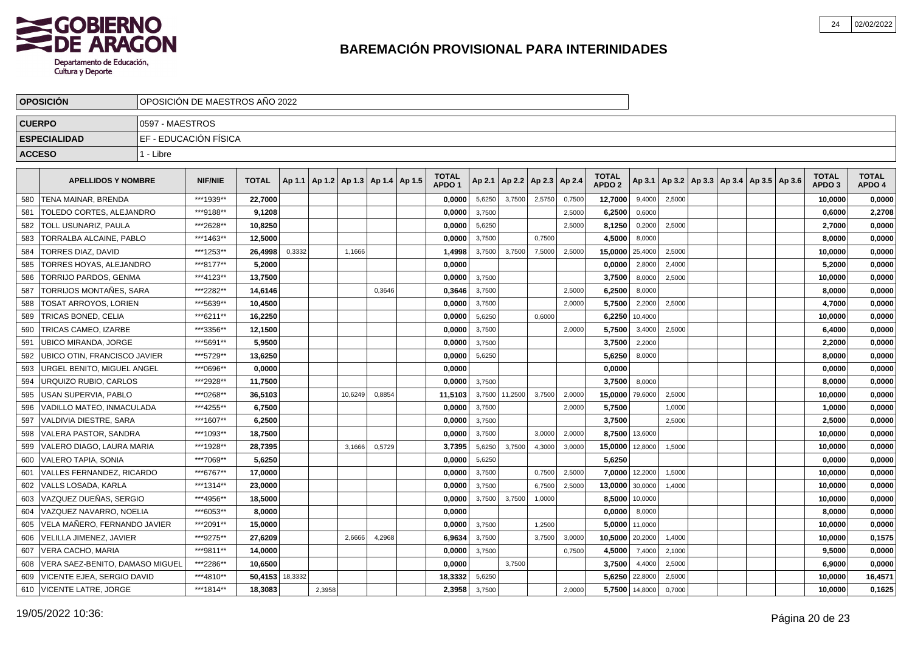

|               | <b>OPOSICIÓN</b>                | OPOSICIÓN DE MAESTROS AÑO 2022 |                |                 |        |        |                                            |        |                                   |        |         |                          |        |                                   |         |        |  |                                            |                                   |                        |
|---------------|---------------------------------|--------------------------------|----------------|-----------------|--------|--------|--------------------------------------------|--------|-----------------------------------|--------|---------|--------------------------|--------|-----------------------------------|---------|--------|--|--------------------------------------------|-----------------------------------|------------------------|
|               | <b>CUERPO</b>                   | 0597 - MAESTROS                |                |                 |        |        |                                            |        |                                   |        |         |                          |        |                                   |         |        |  |                                            |                                   |                        |
|               | <b>ESPECIALIDAD</b>             | EF - EDUCACIÓN FÍSICA          |                |                 |        |        |                                            |        |                                   |        |         |                          |        |                                   |         |        |  |                                            |                                   |                        |
| <b>ACCESO</b> |                                 | 1 - Libre                      |                |                 |        |        |                                            |        |                                   |        |         |                          |        |                                   |         |        |  |                                            |                                   |                        |
|               |                                 |                                |                |                 |        |        |                                            |        |                                   |        |         |                          |        |                                   |         |        |  |                                            |                                   |                        |
|               | <b>APELLIDOS Y NOMBRE</b>       |                                | <b>NIF/NIE</b> | <b>TOTAL</b>    |        |        | Ap 1.1   Ap 1.2   Ap 1.3   Ap 1.4   Ap 1.5 |        | <b>TOTAL</b><br>APDO <sub>1</sub> | Ap 2.1 |         | Ap 2.2   Ap 2.3   Ap 2.4 |        | <b>TOTAL</b><br>APDO <sub>2</sub> | Ap 3.1  |        |  | Ap 3.2   Ap 3.3   Ap 3.4   Ap 3.5   Ap 3.6 | <b>TOTAL</b><br>APDO <sub>3</sub> | <b>TOTAL</b><br>APDO 4 |
| 580           | <b>TENA MAINAR, BRENDA</b>      |                                | ***1939**      | 22.7000         |        |        |                                            |        | 0,0000                            | 5,6250 | 3,7500  | 2,5750                   | 0,7500 | 12,7000                           | 9,4000  | 2,5000 |  |                                            | 10,0000                           | 0,0000                 |
| 581           | TOLEDO CORTES, ALEJANDRO        |                                | ***9188**      | 9,1208          |        |        |                                            |        | 0.0000                            | 3,7500 |         |                          | 2,5000 | 6,2500                            | 0,6000  |        |  |                                            | 0,6000                            | 2,2708                 |
| 582           | TOLL USUNARIZ. PAULA            |                                | ***2628**      | 10,8250         |        |        |                                            |        | 0,0000                            | 5,6250 |         |                          | 2,5000 | 8,1250                            | 0,2000  | 2,5000 |  |                                            | 2,7000                            | 0,0000                 |
| 583           | TORRALBA ALCAINE, PABLO         |                                | ***1463**      | 12,5000         |        |        |                                            |        | 0,0000                            | 3,7500 |         | 0,7500                   |        | 4,5000                            | 8,0000  |        |  |                                            | 8,0000                            | 0,0000                 |
| 584           | TORRES DIAZ, DAVID              |                                | ***1253**      | 26,4998         | 0,3332 |        | 1,1666                                     |        | 1,4998                            | 3,7500 | 3,7500  | 7,5000                   | 2,5000 | 15,0000                           | 25,4000 | 2,5000 |  |                                            | 10,0000                           | 0,0000                 |
| 585           | TORRES HOYAS, ALEJANDRO         |                                | ***8177**      | 5,2000          |        |        |                                            |        | 0,0000                            |        |         |                          |        | 0,0000                            | 2,8000  | 2,4000 |  |                                            | 5,2000                            | 0,0000                 |
| 586           | TORRIJO PARDOS, GENMA           |                                | ***4123**      | 13,7500         |        |        |                                            |        | 0,0000                            | 3,7500 |         |                          |        | 3,7500                            | 8,0000  | 2,5000 |  |                                            | 10,0000                           | 0,0000                 |
| 587           | TORRIJOS MONTAÑES, SARA         |                                | ***2282**      | 14,6146         |        |        |                                            | 0,3646 | 0,3646                            | 3,7500 |         |                          | 2,5000 | 6,2500                            | 8,0000  |        |  |                                            | 8,0000                            | 0,0000                 |
| 588           | TOSAT ARROYOS, LORIEN           |                                | ***5639**      | 10,4500         |        |        |                                            |        | 0,0000                            | 3,7500 |         |                          | 2,0000 | 5,7500                            | 2,2000  | 2,5000 |  |                                            | 4,7000                            | 0,0000                 |
| 589           | TRICAS BONED, CELIA             |                                | ***6211**      | 16,2250         |        |        |                                            |        | 0,0000                            | 5,6250 |         | 0,6000                   |        | 6,2250                            | 10,4000 |        |  |                                            | 10,0000                           | 0,0000                 |
| 590           | TRICAS CAMEO, IZARBE            |                                | ***3356**      | 12,1500         |        |        |                                            |        | 0,0000                            | 3,7500 |         |                          | 2,0000 | 5,7500                            | 3,4000  | 2,5000 |  |                                            | 6,4000                            | 0,0000                 |
| 591           | <b>UBICO MIRANDA, JORGE</b>     |                                | ***5691**      | 5.9500          |        |        |                                            |        | 0,0000                            | 3,7500 |         |                          |        | 3,7500                            | 2,2000  |        |  |                                            | 2,2000                            | 0,0000                 |
| 592           | UBICO OTIN. FRANCISCO JAVIER    |                                | ***5729**      | 13,6250         |        |        |                                            |        | 0,0000                            | 5,6250 |         |                          |        | 5,6250                            | 8,0000  |        |  |                                            | 8.0000                            | 0,0000                 |
| 593           | URGEL BENITO, MIGUEL ANGEL      |                                | ***0696**      | 0,0000          |        |        |                                            |        | 0,0000                            |        |         |                          |        | 0,0000                            |         |        |  |                                            | 0,0000                            | 0,0000                 |
| 594           | URQUIZO RUBIO, CARLOS           |                                | ***2928**      | 11,7500         |        |        |                                            |        | 0,0000                            | 3,7500 |         |                          |        | 3,7500                            | 8.0000  |        |  |                                            | 8,0000                            | 0,0000                 |
| 595           | USAN SUPERVIA, PABLO            |                                | ***0268**      | 36,5103         |        |        | 10,6249                                    | 0,8854 | 11,5103                           | 3,7500 | 11,2500 | 3,7500                   | 2,0000 | 15,0000                           | 79,6000 | 2,5000 |  |                                            | 10,0000                           | 0,0000                 |
| 596           | VADILLO MATEO, INMACULADA       |                                | ***4255**      | 6,7500          |        |        |                                            |        | 0,0000                            | 3,7500 |         |                          | 2,0000 | 5,7500                            |         | 1,0000 |  |                                            | 1,0000                            | 0,0000                 |
| 597           | VALDIVIA DIESTRE, SARA          |                                | ***1607**      | 6,2500          |        |        |                                            |        | 0,0000                            | 3,7500 |         |                          |        | 3,7500                            |         | 2,5000 |  |                                            | 2,5000                            | 0,0000                 |
| 598           | <b>VALERA PASTOR, SANDRA</b>    |                                | ***1093**      | 18,7500         |        |        |                                            |        | 0,0000                            | 3,7500 |         | 3,0000                   | 2,0000 | 8,7500                            | 13,6000 |        |  |                                            | 10,0000                           | 0,0000                 |
| 599           | VALERO DIAGO, LAURA MARIA       |                                | ***1928**      | 28,7395         |        |        | 3,1666                                     | 0,5729 | 3,7395                            | 5,6250 | 3,7500  | 4,3000                   | 3,0000 | 15,0000                           | 12,8000 | 1,5000 |  |                                            | 10,0000                           | 0,0000                 |
| 600           | <b>VALERO TAPIA, SONIA</b>      |                                | ***7069**      | 5,6250          |        |        |                                            |        | 0,0000                            | 5,6250 |         |                          |        | 5,6250                            |         |        |  |                                            | 0,0000                            | 0,0000                 |
| 601           | VALLES FERNANDEZ, RICARDO       |                                | ***6767**      | 17,0000         |        |        |                                            |        | 0,0000                            | 3,7500 |         | 0,7500                   | 2,5000 | 7,0000                            | 12,2000 | 1,5000 |  |                                            | 10,0000                           | 0,0000                 |
| 602           | VALLS LOSADA, KARLA             |                                | ***1314**      | 23,0000         |        |        |                                            |        | 0,0000                            | 3,7500 |         | 6,7500                   | 2,5000 | 13,0000                           | 30,0000 | 1,4000 |  |                                            | 10,0000                           | 0,0000                 |
| 603           | VAZQUEZ DUEÑAS, SERGIO          |                                | ***4956**      | 18,5000         |        |        |                                            |        | 0,0000                            | 3,7500 | 3,7500  | 1,0000                   |        | 8,5000                            | 10,0000 |        |  |                                            | 10,0000                           | 0,0000                 |
| 604           | VAZQUEZ NAVARRO, NOELIA         |                                | ***6053**      | 8,0000          |        |        |                                            |        | 0,0000                            |        |         |                          |        | 0,0000                            | 8,0000  |        |  |                                            | 8,0000                            | 0,0000                 |
| 605           | VELA MAÑERO. FERNANDO JAVIER    |                                | ***2091**      | 15.0000         |        |        |                                            |        | 0.0000                            | 3,7500 |         | 1,2500                   |        | 5.0000                            | 11,0000 |        |  |                                            | 10.0000                           | 0,0000                 |
| 606           | VELILLA JIMENEZ, JAVIER         |                                | ***9275**      | 27.6209         |        |        | 2,6666                                     | 4,2968 | 6.9634                            | 3,7500 |         | 3,7500                   | 3,0000 | 10,5000                           | 20,2000 | 1,4000 |  |                                            | 10,0000                           | 0,1575                 |
| 607           | <b>VERA CACHO, MARIA</b>        |                                | ***9811**      | 14.0000         |        |        |                                            |        | 0.0000                            | 3,7500 |         |                          | 0,7500 | 4,5000                            | 7,4000  | 2,1000 |  |                                            | 9,5000                            | 0,0000                 |
| 608           | VERA SAEZ-BENITO, DAMASO MIGUEL |                                | ***2286**      | 10,6500         |        |        |                                            |        | 0,0000                            |        | 3,7500  |                          |        | 3,7500                            | 4,4000  | 2,5000 |  |                                            | 6,9000                            | 0,0000                 |
| 609           | VICENTE EJEA, SERGIO DAVID      |                                | ***4810**      | 50,4153 18,3332 |        |        |                                            |        | 18,3332                           | 5,6250 |         |                          |        | 5,6250                            | 22,8000 | 2,5000 |  |                                            | 10,0000                           | 16,4571                |
| 610           | <b>VICENTE LATRE, JORGE</b>     |                                | ***1814**      | 18,3083         |        | 2,3958 |                                            |        | 2,3958                            | 3,7500 |         |                          | 2,0000 | 5,7500                            | 14,8000 | 0,7000 |  |                                            | 10.0000                           | 0,1625                 |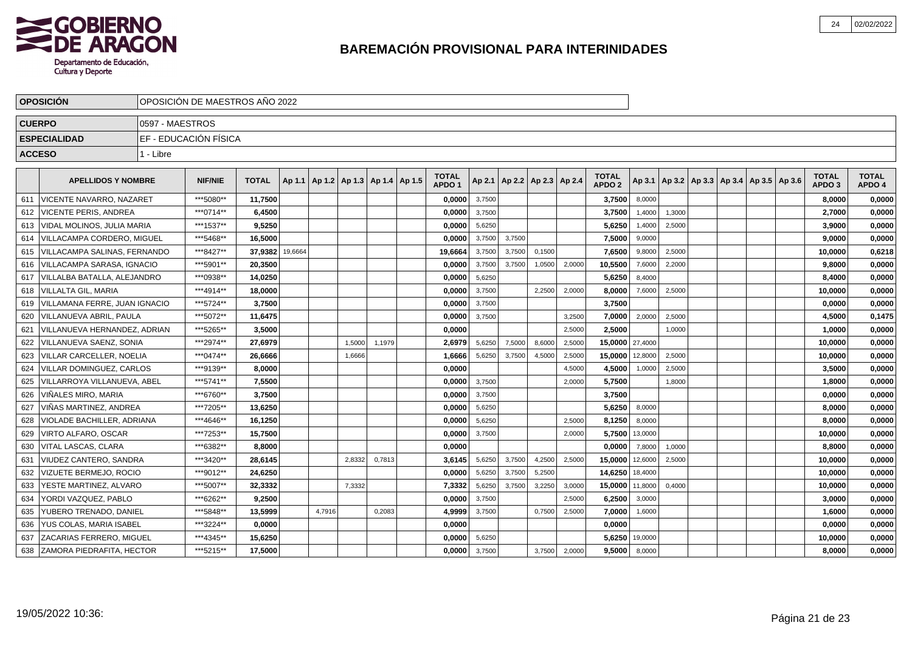

|     | <b>OPOSICION</b>              |                 | OPOSICIÓN DE MAESTROS AÑO 2022 |              |         |                                            |        |        |                                   |        |        |                                   |        |                                   |         |        |                                                     |  |                                   |                        |
|-----|-------------------------------|-----------------|--------------------------------|--------------|---------|--------------------------------------------|--------|--------|-----------------------------------|--------|--------|-----------------------------------|--------|-----------------------------------|---------|--------|-----------------------------------------------------|--|-----------------------------------|------------------------|
|     | <b>CUERPO</b>                 | 0597 - MAESTROS |                                |              |         |                                            |        |        |                                   |        |        |                                   |        |                                   |         |        |                                                     |  |                                   |                        |
|     | <b>ESPECIALIDAD</b>           |                 | EF - EDUCACIÓN FÍSICA          |              |         |                                            |        |        |                                   |        |        |                                   |        |                                   |         |        |                                                     |  |                                   |                        |
|     | <b>ACCESO</b>                 | 1 - Libre       |                                |              |         |                                            |        |        |                                   |        |        |                                   |        |                                   |         |        |                                                     |  |                                   |                        |
|     | <b>APELLIDOS Y NOMBRE</b>     |                 | <b>NIF/NIE</b>                 | <b>TOTAL</b> |         | Ap 1.1   Ap 1.2   Ap 1.3   Ap 1.4   Ap 1.5 |        |        | <b>TOTAL</b><br>APDO <sub>1</sub> |        |        | Ap 2.1   Ap 2.2   Ap 2.3   Ap 2.4 |        | <b>TOTAL</b><br>APDO <sub>2</sub> |         |        | Ap 3.1   Ap 3.2   Ap 3.3   Ap 3.4   Ap 3.5   Ap 3.6 |  | <b>TOTAL</b><br>APDO <sub>3</sub> | <b>TOTAL</b><br>APDO 4 |
| 611 | VICENTE NAVARRO, NAZARET      |                 | ***5080**                      | 11,7500      |         |                                            |        |        | 0,0000                            | 3,7500 |        |                                   |        | 3,7500                            | 8,0000  |        |                                                     |  | 8,0000                            | 0,0000                 |
| 612 | <b>VICENTE PERIS, ANDREA</b>  |                 | ***0714**                      | 6,4500       |         |                                            |        |        | 0,0000                            | 3,7500 |        |                                   |        | 3,7500                            | 1,4000  | 1,3000 |                                                     |  | 2,7000                            | 0,0000                 |
| 613 | VIDAL MOLINOS, JULIA MARIA    |                 | ***1537**                      | 9,5250       |         |                                            |        |        | 0,0000                            | 5,6250 |        |                                   |        | 5,6250                            | 1,4000  | 2,5000 |                                                     |  | 3,9000                            | 0,0000                 |
| 614 | VILLACAMPA CORDERO, MIGUEL    |                 | ***5468**                      | 16,5000      |         |                                            |        |        | 0,0000                            | 3,7500 | 3,7500 |                                   |        | 7,5000                            | 9,0000  |        |                                                     |  | 9,0000                            | 0,0000                 |
| 615 | VILLACAMPA SALINAS, FERNANDO  |                 | ***8427**                      | 37,9382      | 19,6664 |                                            |        |        | 19,6664                           | 3,7500 | 3,7500 | 0,1500                            |        | 7,6500                            | 9,8000  | 2,5000 |                                                     |  | 10,0000                           | 0,6218                 |
| 616 | VILLACAMPA SARASA, IGNACIO    |                 | ***5901**                      | 20,3500      |         |                                            |        |        | 0,0000                            | 3,7500 | 3,7500 | 1,0500                            | 2,0000 | 10,5500                           | 7,6000  | 2,2000 |                                                     |  | 9,8000                            | 0,0000                 |
| 617 | VILLALBA BATALLA, ALEJANDRO   |                 | ***0938**                      | 14,0250      |         |                                            |        |        | 0,0000                            | 5,6250 |        |                                   |        | 5,6250                            | 8,4000  |        |                                                     |  | 8,4000                            | 0,0000                 |
| 618 | <b>VILLALTA GIL. MARIA</b>    |                 | ***4914**                      | 18,0000      |         |                                            |        |        | 0,0000                            | 3,7500 |        | 2,2500                            | 2,0000 | 8,0000                            | 7,6000  | 2,5000 |                                                     |  | 10,0000                           | 0,0000                 |
| 619 | VILLAMANA FERRE, JUAN IGNACIO |                 | ***5724**                      | 3.7500       |         |                                            |        |        | 0,0000                            | 3,7500 |        |                                   |        | 3,7500                            |         |        |                                                     |  | 0.0000                            | 0,0000                 |
| 620 | VILLANUEVA ABRIL, PAULA       |                 | ***5072**                      | 11,6475      |         |                                            |        |        | 0,0000                            | 3,7500 |        |                                   | 3,2500 | 7,0000                            | 2,0000  | 2,5000 |                                                     |  | 4,5000                            | 0,1475                 |
| 621 | VILLANUEVA HERNANDEZ, ADRIAN  |                 | ***5265**                      | 3,5000       |         |                                            |        |        | 0,0000                            |        |        |                                   | 2,5000 | 2,5000                            |         | 1,0000 |                                                     |  | 1,0000                            | 0,0000                 |
| 622 | l VILLANUEVA SAENZ. SONIA     |                 | ***2974**                      | 27,6979      |         |                                            | 1,5000 | 1,1979 | 2,6979                            | 5,6250 | 7,5000 | 8,6000                            | 2,5000 | 15,0000 27,4000                   |         |        |                                                     |  | 10,0000                           | 0,0000                 |
| 623 | l VILLAR CARCELLER. NOELIA    |                 | ***0474**                      | 26.6666      |         |                                            | 1,6666 |        | 1,6666                            | 5,6250 | 3,7500 | 4,5000                            | 2,5000 | 15,0000                           | 12,8000 | 2,5000 |                                                     |  | 10.0000                           | 0,0000                 |
| 624 | VILLAR DOMINGUEZ, CARLOS      |                 | ***9139**                      | 8,0000       |         |                                            |        |        | 0,0000                            |        |        |                                   | 4,5000 | 4,5000                            | 1,0000  | 2,5000 |                                                     |  | 3,5000                            | 0,0000                 |
| 625 | VILLARROYA VILLANUEVA, ABEL   |                 | ***5741**                      | 7,5500       |         |                                            |        |        | 0,0000                            | 3,7500 |        |                                   | 2,0000 | 5,7500                            |         | 1,8000 |                                                     |  | 1,8000                            | 0,0000                 |
| 626 | VIÑALES MIRO. MARIA           |                 | ***6760**                      | 3.7500       |         |                                            |        |        | 0.0000                            | 3,7500 |        |                                   |        | 3.7500                            |         |        |                                                     |  | 0.0000                            | 0,0000                 |
| 627 | VIÑAS MARTINEZ, ANDREA        |                 | ***7205**                      | 13,6250      |         |                                            |        |        | 0,0000                            | 5,6250 |        |                                   |        | 5,6250                            | 8,0000  |        |                                                     |  | 8,0000                            | 0,0000                 |
| 628 | VIOLADE BACHILLER, ADRIANA    |                 | ***4646**                      | 16,1250      |         |                                            |        |        | 0,0000                            | 5,6250 |        |                                   | 2,5000 | 8,1250                            | 8,0000  |        |                                                     |  | 8,0000                            | 0,0000                 |
| 629 | VIRTO ALFARO, OSCAR           |                 | ***7253**                      | 15.7500      |         |                                            |        |        | 0,0000                            | 3,7500 |        |                                   | 2.0000 | 5,7500                            | 13,0000 |        |                                                     |  | 10,0000                           | 0,0000                 |
| 630 | VITAL LASCAS, CLARA           |                 | ***6382**                      | 8,8000       |         |                                            |        |        | 0,0000                            |        |        |                                   |        | 0,0000                            | 7,8000  | 1,0000 |                                                     |  | 8,8000                            | 0,0000                 |
| 631 | VIUDEZ CANTERO, SANDRA        |                 | ***3420**                      | 28.6145      |         |                                            | 2,8332 | 0,7813 | 3,6145                            | 5,6250 | 3,7500 | 4,2500                            | 2,5000 | 15,0000                           | 12,6000 | 2,5000 |                                                     |  | 10,0000                           | 0,0000                 |
| 632 | <b>VIZUETE BERMEJO, ROCIO</b> |                 | ***9012**                      | 24,6250      |         |                                            |        |        | 0,0000                            | 5,6250 | 3,7500 | 5,2500                            |        | 14,6250 18,4000                   |         |        |                                                     |  | 10,0000                           | 0,0000                 |
| 633 | YESTE MARTINEZ, ALVARO        |                 | ***5007**                      | 32,3332      |         |                                            | 7,3332 |        | 7,3332                            | 5,6250 | 3,7500 | 3,2250                            | 3,0000 | 15,0000 11,8000                   |         | 0,4000 |                                                     |  | 10,0000                           | 0,0000                 |
| 634 | YORDI VAZQUEZ, PABLO          |                 | ***6262**                      | 9,2500       |         |                                            |        |        | 0,0000                            | 3,7500 |        |                                   | 2,5000 | 6,2500                            | 3,0000  |        |                                                     |  | 3,0000                            | 0,0000                 |
| 635 | YUBERO TRENADO, DANIEL        |                 | ***5848**                      | 13,5999      |         | 4,7916                                     |        | 0,2083 | 4,9999                            | 3,7500 |        | 0,7500                            | 2,5000 | 7,0000                            | 1,6000  |        |                                                     |  | 1,6000                            | 0,0000                 |
| 636 | YUS COLAS, MARIA ISABEL       |                 | ***3224**                      | 0,0000       |         |                                            |        |        | 0,0000                            |        |        |                                   |        | 0,0000                            |         |        |                                                     |  | 0,0000                            | 0,0000                 |
| 637 | ZACARIAS FERRERO. MIGUEL      |                 | ***4345**                      | 15,6250      |         |                                            |        |        | 0,0000                            | 5,6250 |        |                                   |        | 5,6250                            | 19,0000 |        |                                                     |  | 10,0000                           | 0,0000                 |
| 638 | ZAMORA PIEDRAFITA, HECTOR     |                 | ***5215**                      | 17.5000      |         |                                            |        |        | 0,0000                            | 3,7500 |        | 3,7500                            | 2,0000 | 9,5000                            | 8,0000  |        |                                                     |  | 8,0000                            | 0,0000                 |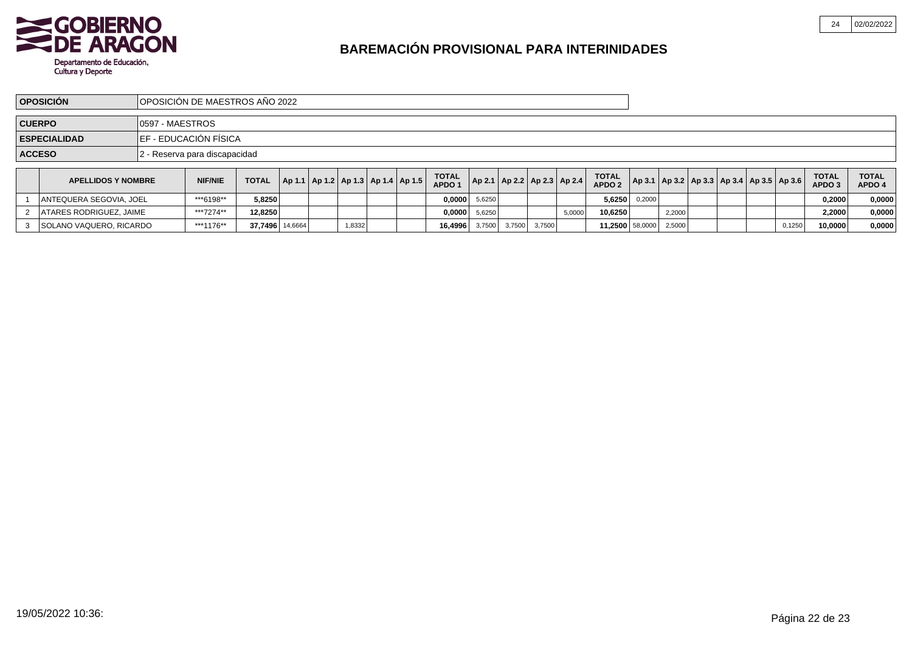

|               | <b>OPOSICIÓN</b>               |                  | IOPOSICIÓN DE MAESTROS AÑO 2022 |                 |                                            |        |  |                                   |                 |        |        |                                   |                                   |        |        |  |                                                     |        |                                   |                        |
|---------------|--------------------------------|------------------|---------------------------------|-----------------|--------------------------------------------|--------|--|-----------------------------------|-----------------|--------|--------|-----------------------------------|-----------------------------------|--------|--------|--|-----------------------------------------------------|--------|-----------------------------------|------------------------|
| <b>CUERPO</b> |                                | 10597 - MAESTROS |                                 |                 |                                            |        |  |                                   |                 |        |        |                                   |                                   |        |        |  |                                                     |        |                                   |                        |
|               | <b>ESPECIALIDAD</b>            |                  | IEF - EDUCACIÓN FÍSICA          |                 |                                            |        |  |                                   |                 |        |        |                                   |                                   |        |        |  |                                                     |        |                                   |                        |
|               | <b>ACCESO</b>                  |                  | 2 - Reserva para discapacidad   |                 |                                            |        |  |                                   |                 |        |        |                                   |                                   |        |        |  |                                                     |        |                                   |                        |
|               | <b>APELLIDOS Y NOMBRE</b>      |                  | <b>NIF/NIE</b>                  | <b>TOTAL</b>    | Ap 1.1   Ap 1.2   Ap 1.3   Ap 1.4   Ap 1.5 |        |  | <b>TOTAL</b><br>APDO <sub>1</sub> |                 |        |        | Ap 2.1   Ap 2.2   Ap 2.3   Ap 2.4 | <b>TOTAL</b><br>APDO <sub>2</sub> |        |        |  | Ap 3.1   Ap 3.2   Ap 3.3   Ap 3.4   Ap 3.5   Ap 3.6 |        | <b>TOTAL</b><br>APDO <sub>3</sub> | <b>TOTAL</b><br>APDO 4 |
|               | ANTEQUERA SEGOVIA, JOEL        |                  | ***6198**                       | 5.8250          |                                            |        |  |                                   | $0.0000$ 5,6250 |        |        |                                   | 5.6250                            | 0,2000 |        |  |                                                     |        | 0.2000                            | 0,0000                 |
|               | <b>ATARES RODRIGUEZ, JAIME</b> |                  | ***7274**                       | 12,8250         |                                            |        |  |                                   | $0,0000$ 5,6250 |        |        | 5,0000                            | 10.6250                           |        | 2,2000 |  |                                                     |        | 2,2000                            | 0,0000                 |
|               | 3 SOLANO VAQUERO, RICARDO      |                  | ***1176**                       | 37,7496 14,6664 |                                            | 1,8332 |  | 16.4996                           | 3,7500          | 3,7500 | 3,7500 |                                   | 11,2500 58,0000                   |        | 2,5000 |  |                                                     | 0,1250 | 10,0000                           | 0,0000                 |